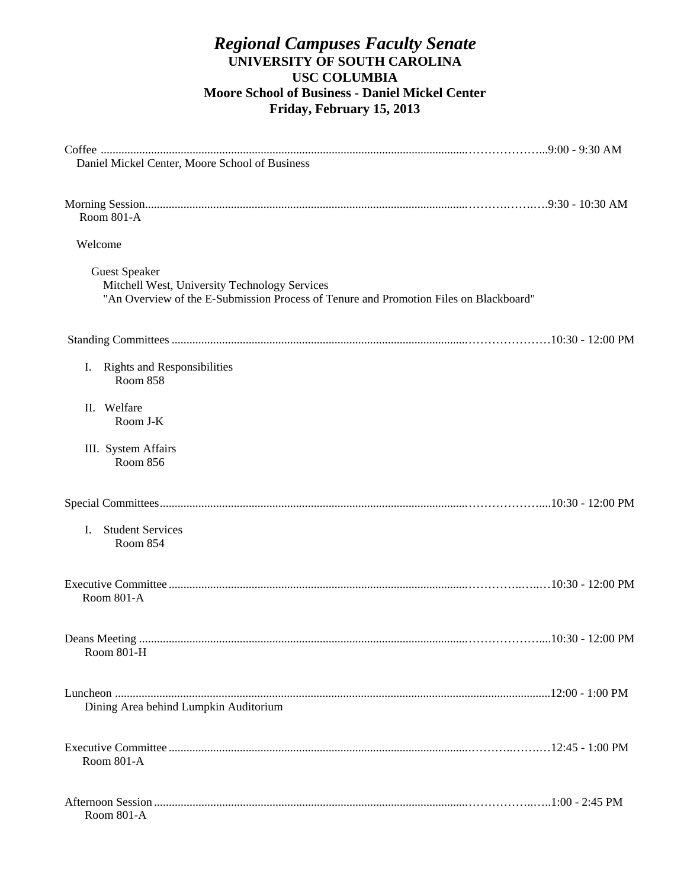### *Regional Campuses Faculty Senate*  **UNIVERSITY OF SOUTH CAROLINA USC COLUMBIA Moore School of Business - Daniel Mickel Center Friday, February 15, 2013**

| Daniel Mickel Center, Moore School of Business                                                                                                                 |  |
|----------------------------------------------------------------------------------------------------------------------------------------------------------------|--|
| Room 801-A                                                                                                                                                     |  |
| Welcome                                                                                                                                                        |  |
| <b>Guest Speaker</b><br>Mitchell West, University Technology Services<br>"An Overview of the E-Submission Process of Tenure and Promotion Files on Blackboard" |  |
|                                                                                                                                                                |  |
| <b>Rights and Responsibilities</b><br>I.<br>Room 858                                                                                                           |  |
| Welfare<br>Н.<br>Room J-K                                                                                                                                      |  |
| III. System Affairs<br>Room 856                                                                                                                                |  |
|                                                                                                                                                                |  |
| <b>Student Services</b><br>L<br>Room 854                                                                                                                       |  |
| Room 801-A                                                                                                                                                     |  |
| Room 801-H                                                                                                                                                     |  |
| Dining Area behind Lumpkin Auditorium                                                                                                                          |  |
| <b>Room 801-A</b>                                                                                                                                              |  |
| Room 801-A                                                                                                                                                     |  |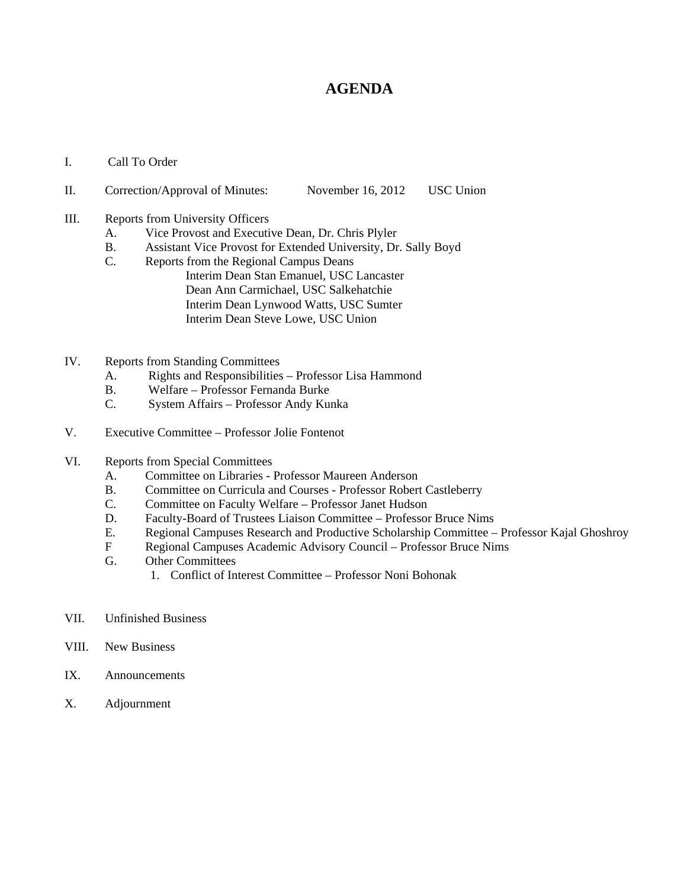### **AGENDA**

I. Call To Order

#### II. Correction/Approval of Minutes: November 16, 2012 USC Union

- III. Reports from University Officers
	- A. Vice Provost and Executive Dean, Dr. Chris Plyler
	- B. Assistant Vice Provost for Extended University, Dr. Sally Boyd
	- C. Reports from the Regional Campus Deans Interim Dean Stan Emanuel, USC Lancaster Dean Ann Carmichael, USC Salkehatchie Interim Dean Lynwood Watts, USC Sumter Interim Dean Steve Lowe, USC Union
- IV. Reports from Standing Committees
	- A. Rights and Responsibilities Professor Lisa Hammond
	- B. Welfare Professor Fernanda Burke
	- C. System Affairs Professor Andy Kunka
- V. Executive Committee Professor Jolie Fontenot
- VI. Reports from Special Committees
	- A. Committee on Libraries Professor Maureen Anderson
	- B. Committee on Curricula and Courses Professor Robert Castleberry
	- C. Committee on Faculty Welfare Professor Janet Hudson
	- D. Faculty-Board of Trustees Liaison Committee Professor Bruce Nims
	- E. Regional Campuses Research and Productive Scholarship Committee Professor Kajal Ghoshroy
	- F Regional Campuses Academic Advisory Council Professor Bruce Nims
	- G. Other Committees
		- 1. Conflict of Interest Committee Professor Noni Bohonak
- VII. Unfinished Business
- VIII. New Business
- IX. Announcements
- X. Adjournment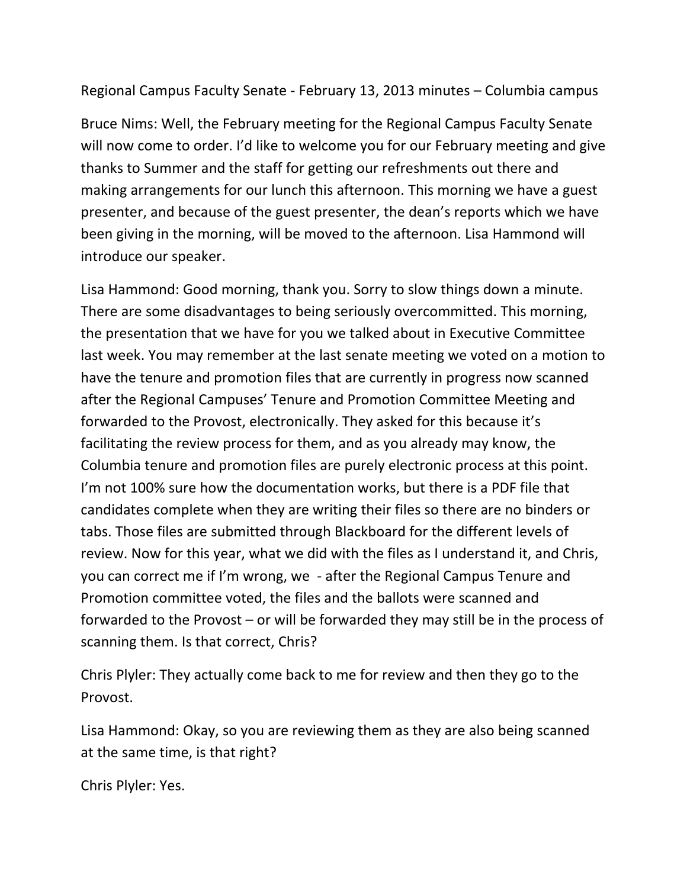Regional Campus Faculty Senate ‐ February 13, 2013 minutes – Columbia campus

Bruce Nims: Well, the February meeting for the Regional Campus Faculty Senate will now come to order. I'd like to welcome you for our February meeting and give thanks to Summer and the staff for getting our refreshments out there and making arrangements for our lunch this afternoon. This morning we have a guest presenter, and because of the guest presenter, the dean's reports which we have been giving in the morning, will be moved to the afternoon. Lisa Hammond will introduce our speaker.

Lisa Hammond: Good morning, thank you. Sorry to slow things down a minute. There are some disadvantages to being seriously overcommitted. This morning, the presentation that we have for you we talked about in Executive Committee last week. You may remember at the last senate meeting we voted on a motion to have the tenure and promotion files that are currently in progress now scanned after the Regional Campuses' Tenure and Promotion Committee Meeting and forwarded to the Provost, electronically. They asked for this because it's facilitating the review process for them, and as you already may know, the Columbia tenure and promotion files are purely electronic process at this point. I'm not 100% sure how the documentation works, but there is a PDF file that candidates complete when they are writing their files so there are no binders or tabs. Those files are submitted through Blackboard for the different levels of review. Now for this year, what we did with the files as I understand it, and Chris, you can correct me if I'm wrong, we ‐ after the Regional Campus Tenure and Promotion committee voted, the files and the ballots were scanned and forwarded to the Provost – or will be forwarded they may still be in the process of scanning them. Is that correct, Chris?

Chris Plyler: They actually come back to me for review and then they go to the Provost.

Lisa Hammond: Okay, so you are reviewing them as they are also being scanned at the same time, is that right?

Chris Plyler: Yes.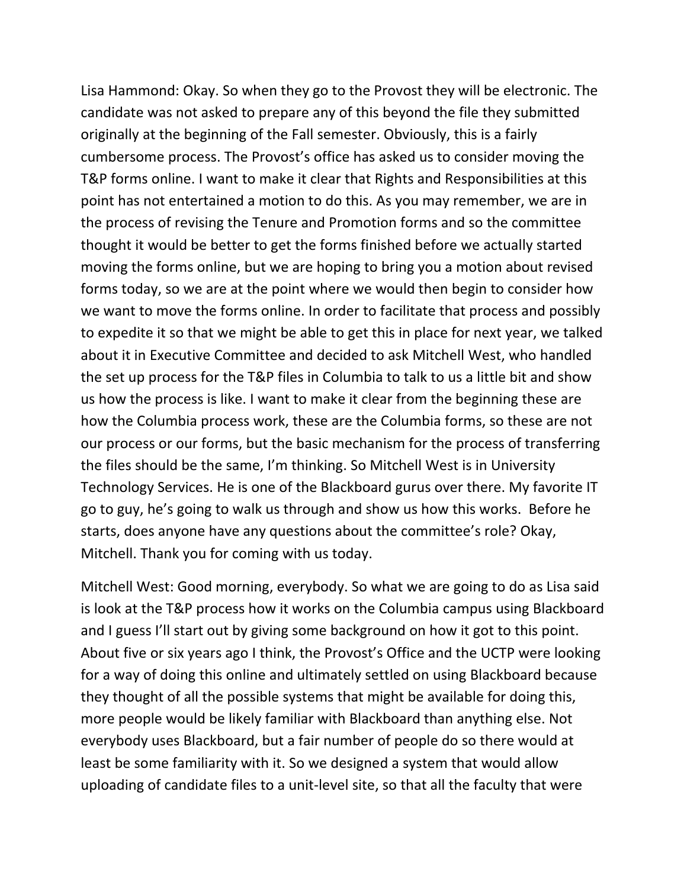Lisa Hammond: Okay. So when they go to the Provost they will be electronic. The candidate was not asked to prepare any of this beyond the file they submitted originally at the beginning of the Fall semester. Obviously, this is a fairly cumbersome process. The Provost's office has asked us to consider moving the T&P forms online. I want to make it clear that Rights and Responsibilities at this point has not entertained a motion to do this. As you may remember, we are in the process of revising the Tenure and Promotion forms and so the committee thought it would be better to get the forms finished before we actually started moving the forms online, but we are hoping to bring you a motion about revised forms today, so we are at the point where we would then begin to consider how we want to move the forms online. In order to facilitate that process and possibly to expedite it so that we might be able to get this in place for next year, we talked about it in Executive Committee and decided to ask Mitchell West, who handled the set up process for the T&P files in Columbia to talk to us a little bit and show us how the process is like. I want to make it clear from the beginning these are how the Columbia process work, these are the Columbia forms, so these are not our process or our forms, but the basic mechanism for the process of transferring the files should be the same, I'm thinking. So Mitchell West is in University Technology Services. He is one of the Blackboard gurus over there. My favorite IT go to guy, he's going to walk us through and show us how this works. Before he starts, does anyone have any questions about the committee's role? Okay, Mitchell. Thank you for coming with us today.

Mitchell West: Good morning, everybody. So what we are going to do as Lisa said is look at the T&P process how it works on the Columbia campus using Blackboard and I guess I'll start out by giving some background on how it got to this point. About five or six years ago I think, the Provost's Office and the UCTP were looking for a way of doing this online and ultimately settled on using Blackboard because they thought of all the possible systems that might be available for doing this, more people would be likely familiar with Blackboard than anything else. Not everybody uses Blackboard, but a fair number of people do so there would at least be some familiarity with it. So we designed a system that would allow uploading of candidate files to a unit‐level site, so that all the faculty that were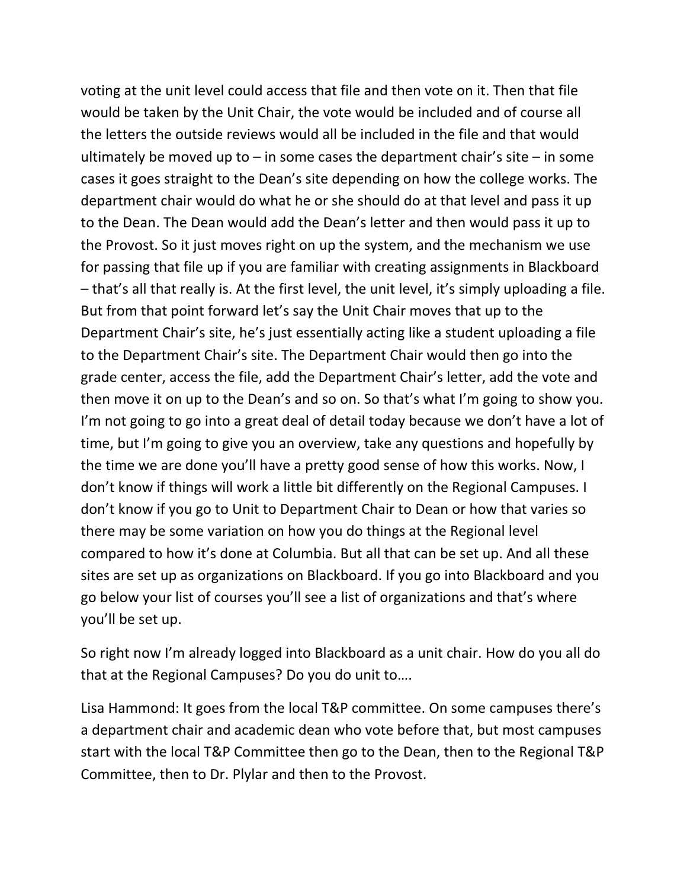voting at the unit level could access that file and then vote on it. Then that file would be taken by the Unit Chair, the vote would be included and of course all the letters the outside reviews would all be included in the file and that would ultimately be moved up to  $-$  in some cases the department chair's site  $-$  in some cases it goes straight to the Dean's site depending on how the college works. The department chair would do what he or she should do at that level and pass it up to the Dean. The Dean would add the Dean's letter and then would pass it up to the Provost. So it just moves right on up the system, and the mechanism we use for passing that file up if you are familiar with creating assignments in Blackboard – that's all that really is. At the first level, the unit level, it's simply uploading a file. But from that point forward let's say the Unit Chair moves that up to the Department Chair's site, he's just essentially acting like a student uploading a file to the Department Chair's site. The Department Chair would then go into the grade center, access the file, add the Department Chair's letter, add the vote and then move it on up to the Dean's and so on. So that's what I'm going to show you. I'm not going to go into a great deal of detail today because we don't have a lot of time, but I'm going to give you an overview, take any questions and hopefully by the time we are done you'll have a pretty good sense of how this works. Now, I don't know if things will work a little bit differently on the Regional Campuses. I don't know if you go to Unit to Department Chair to Dean or how that varies so there may be some variation on how you do things at the Regional level compared to how it's done at Columbia. But all that can be set up. And all these sites are set up as organizations on Blackboard. If you go into Blackboard and you go below your list of courses you'll see a list of organizations and that's where you'll be set up.

So right now I'm already logged into Blackboard as a unit chair. How do you all do that at the Regional Campuses? Do you do unit to….

Lisa Hammond: It goes from the local T&P committee. On some campuses there's a department chair and academic dean who vote before that, but most campuses start with the local T&P Committee then go to the Dean, then to the Regional T&P Committee, then to Dr. Plylar and then to the Provost.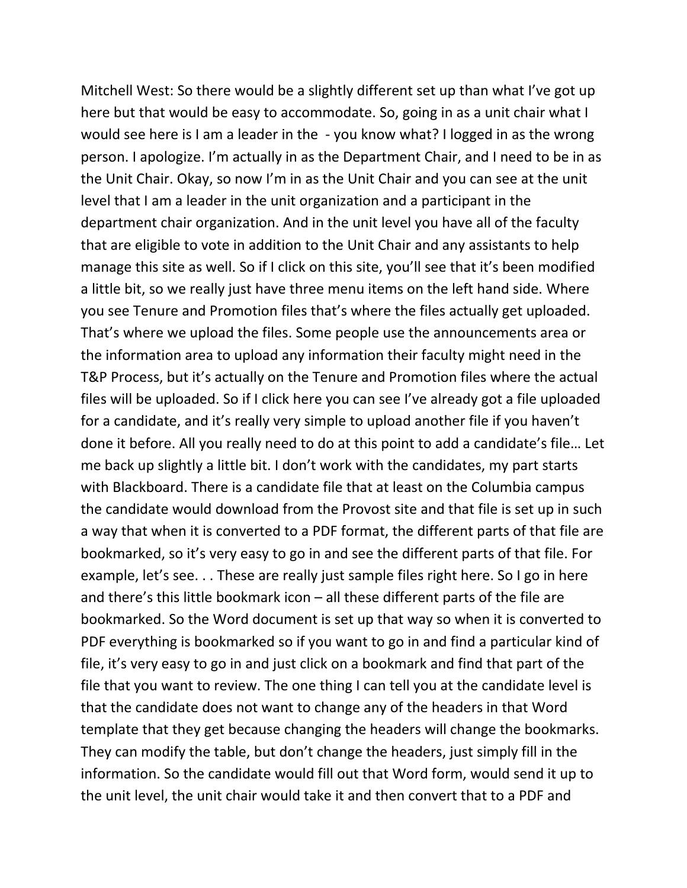Mitchell West: So there would be a slightly different set up than what I've got up here but that would be easy to accommodate. So, going in as a unit chair what I would see here is I am a leader in the - you know what? I logged in as the wrong person. I apologize. I'm actually in as the Department Chair, and I need to be in as the Unit Chair. Okay, so now I'm in as the Unit Chair and you can see at the unit level that I am a leader in the unit organization and a participant in the department chair organization. And in the unit level you have all of the faculty that are eligible to vote in addition to the Unit Chair and any assistants to help manage this site as well. So if I click on this site, you'll see that it's been modified a little bit, so we really just have three menu items on the left hand side. Where you see Tenure and Promotion files that's where the files actually get uploaded. That's where we upload the files. Some people use the announcements area or the information area to upload any information their faculty might need in the T&P Process, but it's actually on the Tenure and Promotion files where the actual files will be uploaded. So if I click here you can see I've already got a file uploaded for a candidate, and it's really very simple to upload another file if you haven't done it before. All you really need to do at this point to add a candidate's file… Let me back up slightly a little bit. I don't work with the candidates, my part starts with Blackboard. There is a candidate file that at least on the Columbia campus the candidate would download from the Provost site and that file is set up in such a way that when it is converted to a PDF format, the different parts of that file are bookmarked, so it's very easy to go in and see the different parts of that file. For example, let's see. . . These are really just sample files right here. So I go in here and there's this little bookmark icon – all these different parts of the file are bookmarked. So the Word document is set up that way so when it is converted to PDF everything is bookmarked so if you want to go in and find a particular kind of file, it's very easy to go in and just click on a bookmark and find that part of the file that you want to review. The one thing I can tell you at the candidate level is that the candidate does not want to change any of the headers in that Word template that they get because changing the headers will change the bookmarks. They can modify the table, but don't change the headers, just simply fill in the information. So the candidate would fill out that Word form, would send it up to the unit level, the unit chair would take it and then convert that to a PDF and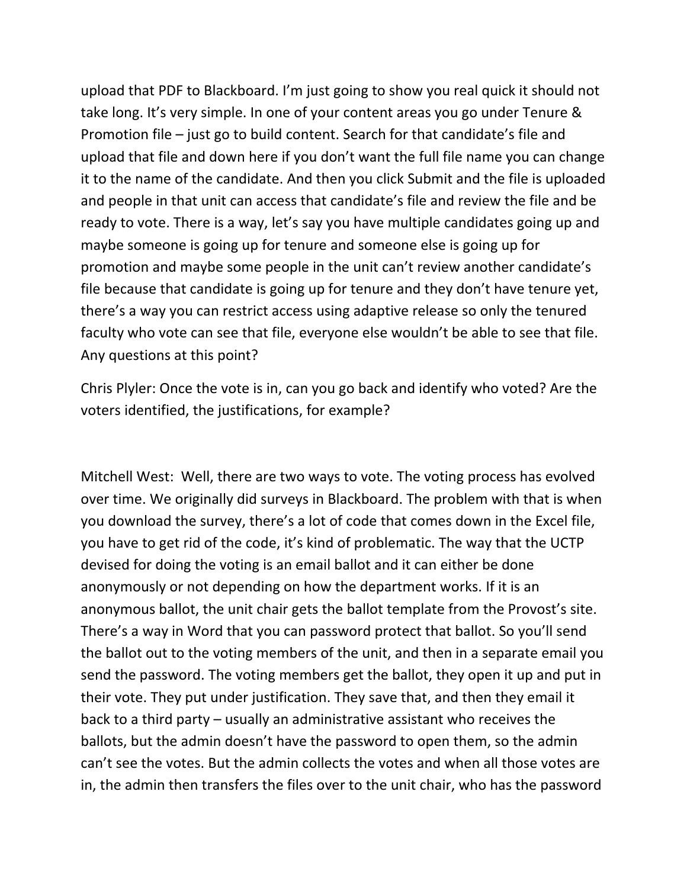upload that PDF to Blackboard. I'm just going to show you real quick it should not take long. It's very simple. In one of your content areas you go under Tenure & Promotion file – just go to build content. Search for that candidate's file and upload that file and down here if you don't want the full file name you can change it to the name of the candidate. And then you click Submit and the file is uploaded and people in that unit can access that candidate's file and review the file and be ready to vote. There is a way, let's say you have multiple candidates going up and maybe someone is going up for tenure and someone else is going up for promotion and maybe some people in the unit can't review another candidate's file because that candidate is going up for tenure and they don't have tenure yet, there's a way you can restrict access using adaptive release so only the tenured faculty who vote can see that file, everyone else wouldn't be able to see that file. Any questions at this point?

Chris Plyler: Once the vote is in, can you go back and identify who voted? Are the voters identified, the justifications, for example?

Mitchell West: Well, there are two ways to vote. The voting process has evolved over time. We originally did surveys in Blackboard. The problem with that is when you download the survey, there's a lot of code that comes down in the Excel file, you have to get rid of the code, it's kind of problematic. The way that the UCTP devised for doing the voting is an email ballot and it can either be done anonymously or not depending on how the department works. If it is an anonymous ballot, the unit chair gets the ballot template from the Provost's site. There's a way in Word that you can password protect that ballot. So you'll send the ballot out to the voting members of the unit, and then in a separate email you send the password. The voting members get the ballot, they open it up and put in their vote. They put under justification. They save that, and then they email it back to a third party – usually an administrative assistant who receives the ballots, but the admin doesn't have the password to open them, so the admin can't see the votes. But the admin collects the votes and when all those votes are in, the admin then transfers the files over to the unit chair, who has the password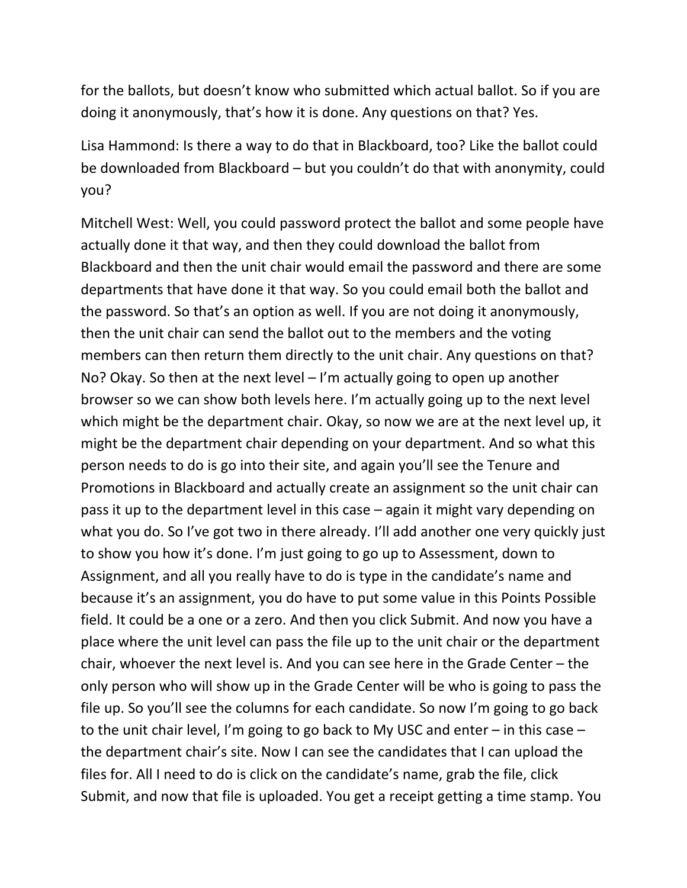for the ballots, but doesn't know who submitted which actual ballot. So if you are doing it anonymously, that's how it is done. Any questions on that? Yes.

Lisa Hammond: Is there a way to do that in Blackboard, too? Like the ballot could be downloaded from Blackboard – but you couldn't do that with anonymity, could you?

Mitchell West: Well, you could password protect the ballot and some people have actually done it that way, and then they could download the ballot from Blackboard and then the unit chair would email the password and there are some departments that have done it that way. So you could email both the ballot and the password. So that's an option as well. If you are not doing it anonymously, then the unit chair can send the ballot out to the members and the voting members can then return them directly to the unit chair. Any questions on that? No? Okay. So then at the next level – I'm actually going to open up another browser so we can show both levels here. I'm actually going up to the next level which might be the department chair. Okay, so now we are at the next level up, it might be the department chair depending on your department. And so what this person needs to do is go into their site, and again you'll see the Tenure and Promotions in Blackboard and actually create an assignment so the unit chair can pass it up to the department level in this case – again it might vary depending on what you do. So I've got two in there already. I'll add another one very quickly just to show you how it's done. I'm just going to go up to Assessment, down to Assignment, and all you really have to do is type in the candidate's name and because it's an assignment, you do have to put some value in this Points Possible field. It could be a one or a zero. And then you click Submit. And now you have a place where the unit level can pass the file up to the unit chair or the department chair, whoever the next level is. And you can see here in the Grade Center – the only person who will show up in the Grade Center will be who is going to pass the file up. So you'll see the columns for each candidate. So now I'm going to go back to the unit chair level, I'm going to go back to My USC and enter – in this case – the department chair's site. Now I can see the candidates that I can upload the files for. All I need to do is click on the candidate's name, grab the file, click Submit, and now that file is uploaded. You get a receipt getting a time stamp. You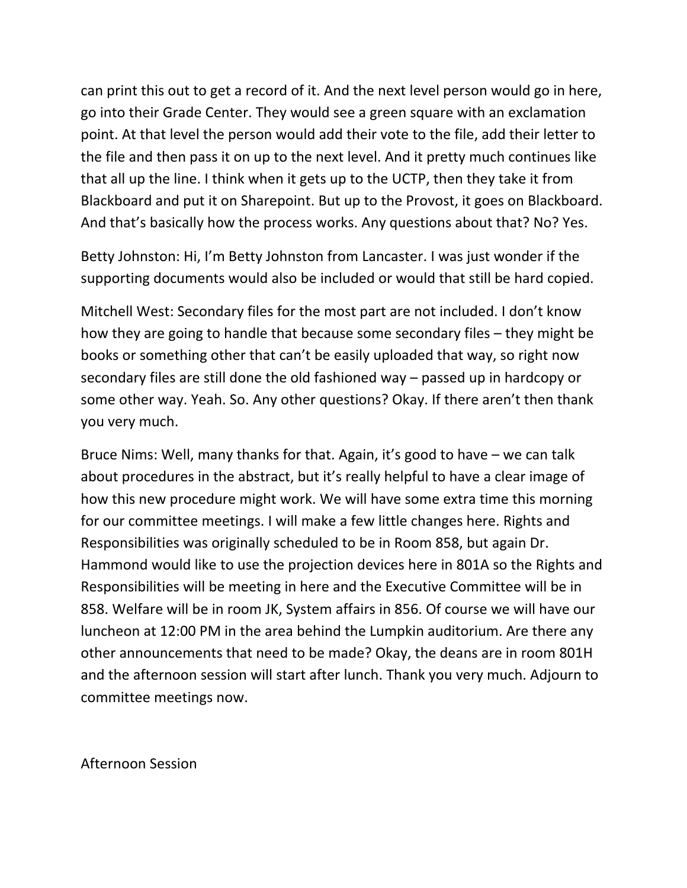can print this out to get a record of it. And the next level person would go in here, go into their Grade Center. They would see a green square with an exclamation point. At that level the person would add their vote to the file, add their letter to the file and then pass it on up to the next level. And it pretty much continues like that all up the line. I think when it gets up to the UCTP, then they take it from Blackboard and put it on Sharepoint. But up to the Provost, it goes on Blackboard. And that's basically how the process works. Any questions about that? No? Yes.

Betty Johnston: Hi, I'm Betty Johnston from Lancaster. I was just wonder if the supporting documents would also be included or would that still be hard copied.

Mitchell West: Secondary files for the most part are not included. I don't know how they are going to handle that because some secondary files – they might be books or something other that can't be easily uploaded that way, so right now secondary files are still done the old fashioned way – passed up in hardcopy or some other way. Yeah. So. Any other questions? Okay. If there aren't then thank you very much.

Bruce Nims: Well, many thanks for that. Again, it's good to have – we can talk about procedures in the abstract, but it's really helpful to have a clear image of how this new procedure might work. We will have some extra time this morning for our committee meetings. I will make a few little changes here. Rights and Responsibilities was originally scheduled to be in Room 858, but again Dr. Hammond would like to use the projection devices here in 801A so the Rights and Responsibilities will be meeting in here and the Executive Committee will be in 858. Welfare will be in room JK, System affairs in 856. Of course we will have our luncheon at 12:00 PM in the area behind the Lumpkin auditorium. Are there any other announcements that need to be made? Okay, the deans are in room 801H and the afternoon session will start after lunch. Thank you very much. Adjourn to committee meetings now.

Afternoon Session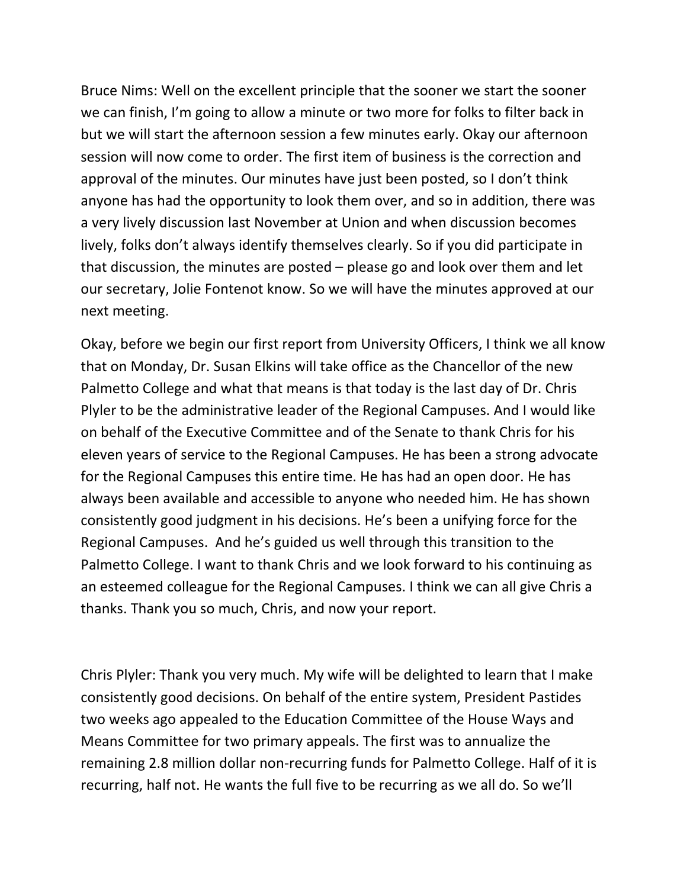Bruce Nims: Well on the excellent principle that the sooner we start the sooner we can finish, I'm going to allow a minute or two more for folks to filter back in but we will start the afternoon session a few minutes early. Okay our afternoon session will now come to order. The first item of business is the correction and approval of the minutes. Our minutes have just been posted, so I don't think anyone has had the opportunity to look them over, and so in addition, there was a very lively discussion last November at Union and when discussion becomes lively, folks don't always identify themselves clearly. So if you did participate in that discussion, the minutes are posted – please go and look over them and let our secretary, Jolie Fontenot know. So we will have the minutes approved at our next meeting.

Okay, before we begin our first report from University Officers, I think we all know that on Monday, Dr. Susan Elkins will take office as the Chancellor of the new Palmetto College and what that means is that today is the last day of Dr. Chris Plyler to be the administrative leader of the Regional Campuses. And I would like on behalf of the Executive Committee and of the Senate to thank Chris for his eleven years of service to the Regional Campuses. He has been a strong advocate for the Regional Campuses this entire time. He has had an open door. He has always been available and accessible to anyone who needed him. He has shown consistently good judgment in his decisions. He's been a unifying force for the Regional Campuses. And he's guided us well through this transition to the Palmetto College. I want to thank Chris and we look forward to his continuing as an esteemed colleague for the Regional Campuses. I think we can all give Chris a thanks. Thank you so much, Chris, and now your report.

Chris Plyler: Thank you very much. My wife will be delighted to learn that I make consistently good decisions. On behalf of the entire system, President Pastides two weeks ago appealed to the Education Committee of the House Ways and Means Committee for two primary appeals. The first was to annualize the remaining 2.8 million dollar non‐recurring funds for Palmetto College. Half of it is recurring, half not. He wants the full five to be recurring as we all do. So we'll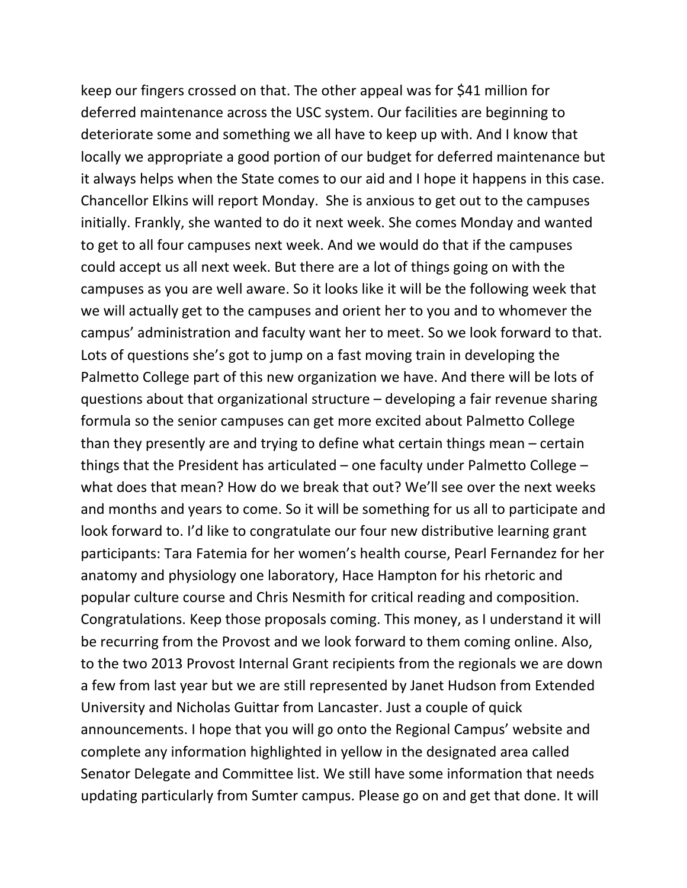keep our fingers crossed on that. The other appeal was for \$41 million for deferred maintenance across the USC system. Our facilities are beginning to deteriorate some and something we all have to keep up with. And I know that locally we appropriate a good portion of our budget for deferred maintenance but it always helps when the State comes to our aid and I hope it happens in this case. Chancellor Elkins will report Monday. She is anxious to get out to the campuses initially. Frankly, she wanted to do it next week. She comes Monday and wanted to get to all four campuses next week. And we would do that if the campuses could accept us all next week. But there are a lot of things going on with the campuses as you are well aware. So it looks like it will be the following week that we will actually get to the campuses and orient her to you and to whomever the campus' administration and faculty want her to meet. So we look forward to that. Lots of questions she's got to jump on a fast moving train in developing the Palmetto College part of this new organization we have. And there will be lots of questions about that organizational structure – developing a fair revenue sharing formula so the senior campuses can get more excited about Palmetto College than they presently are and trying to define what certain things mean – certain things that the President has articulated – one faculty under Palmetto College – what does that mean? How do we break that out? We'll see over the next weeks and months and years to come. So it will be something for us all to participate and look forward to. I'd like to congratulate our four new distributive learning grant participants: Tara Fatemia for her women's health course, Pearl Fernandez for her anatomy and physiology one laboratory, Hace Hampton for his rhetoric and popular culture course and Chris Nesmith for critical reading and composition. Congratulations. Keep those proposals coming. This money, as I understand it will be recurring from the Provost and we look forward to them coming online. Also, to the two 2013 Provost Internal Grant recipients from the regionals we are down a few from last year but we are still represented by Janet Hudson from Extended University and Nicholas Guittar from Lancaster. Just a couple of quick announcements. I hope that you will go onto the Regional Campus' website and complete any information highlighted in yellow in the designated area called Senator Delegate and Committee list. We still have some information that needs updating particularly from Sumter campus. Please go on and get that done. It will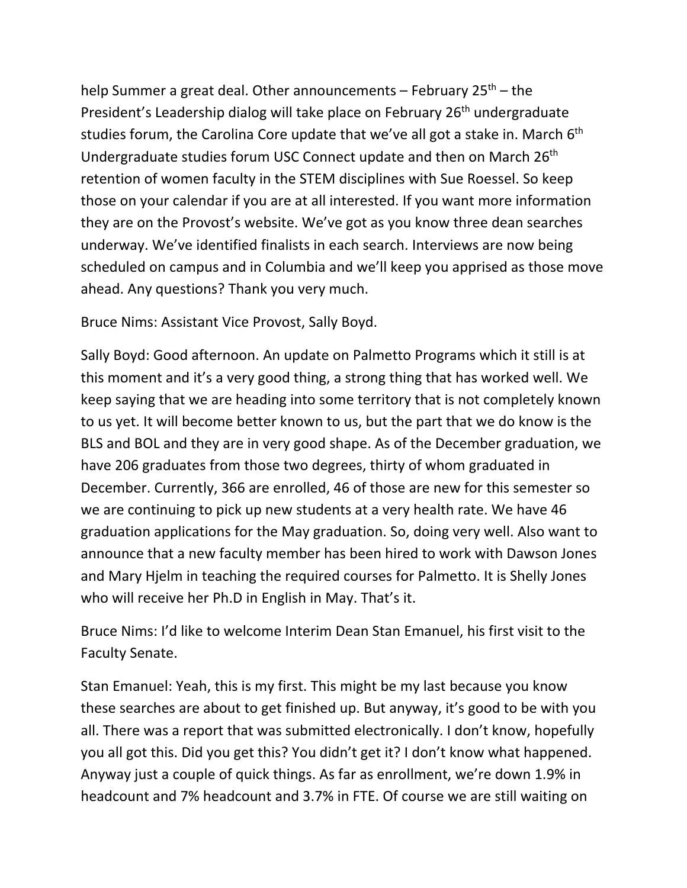help Summer a great deal. Other announcements  $-$  February 25<sup>th</sup> – the President's Leadership dialog will take place on February 26<sup>th</sup> undergraduate studies forum, the Carolina Core update that we've all got a stake in. March  $6<sup>th</sup>$ Undergraduate studies forum USC Connect update and then on March 26<sup>th</sup> retention of women faculty in the STEM disciplines with Sue Roessel. So keep those on your calendar if you are at all interested. If you want more information they are on the Provost's website. We've got as you know three dean searches underway. We've identified finalists in each search. Interviews are now being scheduled on campus and in Columbia and we'll keep you apprised as those move ahead. Any questions? Thank you very much.

Bruce Nims: Assistant Vice Provost, Sally Boyd.

Sally Boyd: Good afternoon. An update on Palmetto Programs which it still is at this moment and it's a very good thing, a strong thing that has worked well. We keep saying that we are heading into some territory that is not completely known to us yet. It will become better known to us, but the part that we do know is the BLS and BOL and they are in very good shape. As of the December graduation, we have 206 graduates from those two degrees, thirty of whom graduated in December. Currently, 366 are enrolled, 46 of those are new for this semester so we are continuing to pick up new students at a very health rate. We have 46 graduation applications for the May graduation. So, doing very well. Also want to announce that a new faculty member has been hired to work with Dawson Jones and Mary Hjelm in teaching the required courses for Palmetto. It is Shelly Jones who will receive her Ph.D in English in May. That's it.

Bruce Nims: I'd like to welcome Interim Dean Stan Emanuel, his first visit to the Faculty Senate.

Stan Emanuel: Yeah, this is my first. This might be my last because you know these searches are about to get finished up. But anyway, it's good to be with you all. There was a report that was submitted electronically. I don't know, hopefully you all got this. Did you get this? You didn't get it? I don't know what happened. Anyway just a couple of quick things. As far as enrollment, we're down 1.9% in headcount and 7% headcount and 3.7% in FTE. Of course we are still waiting on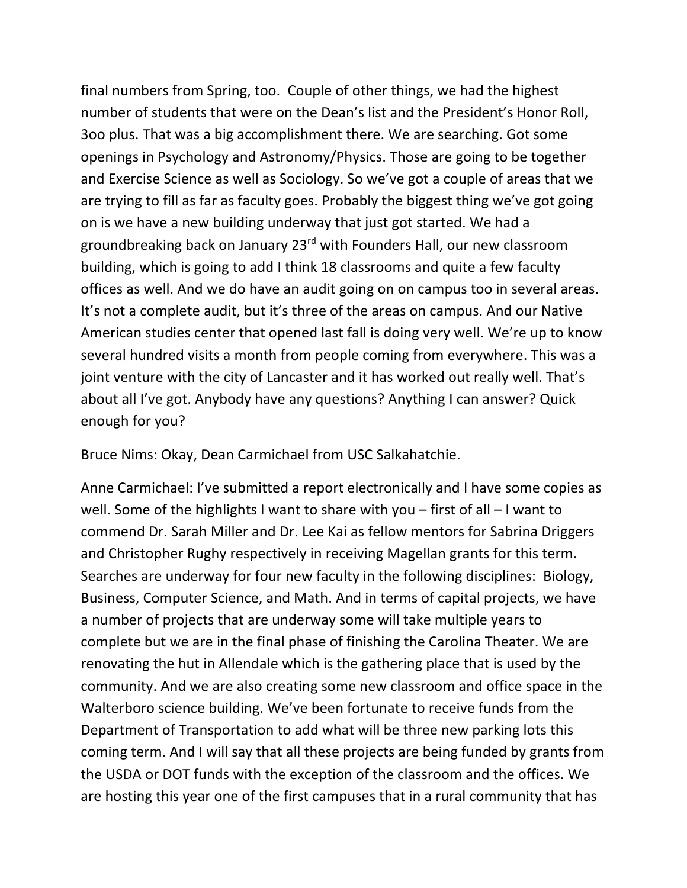final numbers from Spring, too. Couple of other things, we had the highest number of students that were on the Dean's list and the President's Honor Roll, 3oo plus. That was a big accomplishment there. We are searching. Got some openings in Psychology and Astronomy/Physics. Those are going to be together and Exercise Science as well as Sociology. So we've got a couple of areas that we are trying to fill as far as faculty goes. Probably the biggest thing we've got going on is we have a new building underway that just got started. We had a groundbreaking back on January 23rd with Founders Hall, our new classroom building, which is going to add I think 18 classrooms and quite a few faculty offices as well. And we do have an audit going on on campus too in several areas. It's not a complete audit, but it's three of the areas on campus. And our Native American studies center that opened last fall is doing very well. We're up to know several hundred visits a month from people coming from everywhere. This was a joint venture with the city of Lancaster and it has worked out really well. That's about all I've got. Anybody have any questions? Anything I can answer? Quick enough for you?

Bruce Nims: Okay, Dean Carmichael from USC Salkahatchie.

Anne Carmichael: I've submitted a report electronically and I have some copies as well. Some of the highlights I want to share with you – first of all – I want to commend Dr. Sarah Miller and Dr. Lee Kai as fellow mentors for Sabrina Driggers and Christopher Rughy respectively in receiving Magellan grants for this term. Searches are underway for four new faculty in the following disciplines: Biology, Business, Computer Science, and Math. And in terms of capital projects, we have a number of projects that are underway some will take multiple years to complete but we are in the final phase of finishing the Carolina Theater. We are renovating the hut in Allendale which is the gathering place that is used by the community. And we are also creating some new classroom and office space in the Walterboro science building. We've been fortunate to receive funds from the Department of Transportation to add what will be three new parking lots this coming term. And I will say that all these projects are being funded by grants from the USDA or DOT funds with the exception of the classroom and the offices. We are hosting this year one of the first campuses that in a rural community that has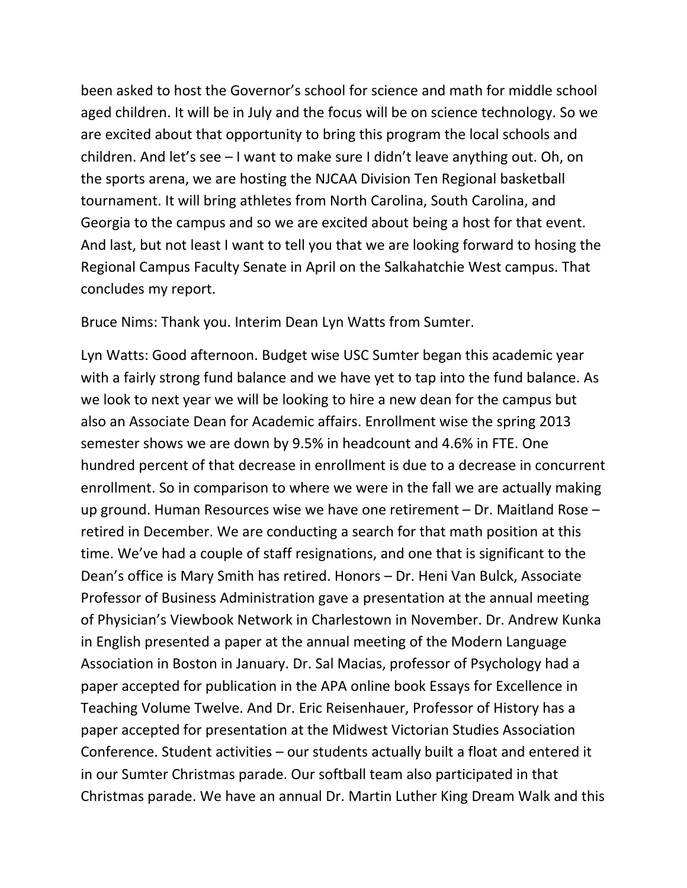been asked to host the Governor's school for science and math for middle school aged children. It will be in July and the focus will be on science technology. So we are excited about that opportunity to bring this program the local schools and children. And let's see – I want to make sure I didn't leave anything out. Oh, on the sports arena, we are hosting the NJCAA Division Ten Regional basketball tournament. It will bring athletes from North Carolina, South Carolina, and Georgia to the campus and so we are excited about being a host for that event. And last, but not least I want to tell you that we are looking forward to hosing the Regional Campus Faculty Senate in April on the Salkahatchie West campus. That concludes my report.

Bruce Nims: Thank you. Interim Dean Lyn Watts from Sumter.

Lyn Watts: Good afternoon. Budget wise USC Sumter began this academic year with a fairly strong fund balance and we have yet to tap into the fund balance. As we look to next year we will be looking to hire a new dean for the campus but also an Associate Dean for Academic affairs. Enrollment wise the spring 2013 semester shows we are down by 9.5% in headcount and 4.6% in FTE. One hundred percent of that decrease in enrollment is due to a decrease in concurrent enrollment. So in comparison to where we were in the fall we are actually making up ground. Human Resources wise we have one retirement – Dr. Maitland Rose – retired in December. We are conducting a search for that math position at this time. We've had a couple of staff resignations, and one that is significant to the Dean's office is Mary Smith has retired. Honors – Dr. Heni Van Bulck, Associate Professor of Business Administration gave a presentation at the annual meeting of Physician's Viewbook Network in Charlestown in November. Dr. Andrew Kunka in English presented a paper at the annual meeting of the Modern Language Association in Boston in January. Dr. Sal Macias, professor of Psychology had a paper accepted for publication in the APA online book Essays for Excellence in Teaching Volume Twelve. And Dr. Eric Reisenhauer, Professor of History has a paper accepted for presentation at the Midwest Victorian Studies Association Conference. Student activities – our students actually built a float and entered it in our Sumter Christmas parade. Our softball team also participated in that Christmas parade. We have an annual Dr. Martin Luther King Dream Walk and this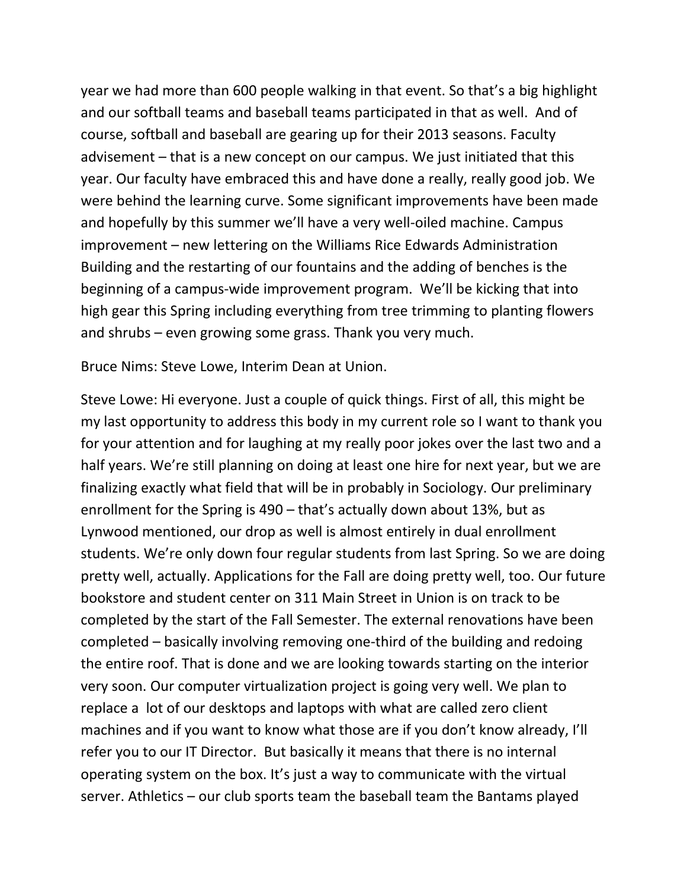year we had more than 600 people walking in that event. So that's a big highlight and our softball teams and baseball teams participated in that as well. And of course, softball and baseball are gearing up for their 2013 seasons. Faculty advisement – that is a new concept on our campus. We just initiated that this year. Our faculty have embraced this and have done a really, really good job. We were behind the learning curve. Some significant improvements have been made and hopefully by this summer we'll have a very well‐oiled machine. Campus improvement – new lettering on the Williams Rice Edwards Administration Building and the restarting of our fountains and the adding of benches is the beginning of a campus‐wide improvement program. We'll be kicking that into high gear this Spring including everything from tree trimming to planting flowers and shrubs – even growing some grass. Thank you very much.

Bruce Nims: Steve Lowe, Interim Dean at Union.

Steve Lowe: Hi everyone. Just a couple of quick things. First of all, this might be my last opportunity to address this body in my current role so I want to thank you for your attention and for laughing at my really poor jokes over the last two and a half years. We're still planning on doing at least one hire for next year, but we are finalizing exactly what field that will be in probably in Sociology. Our preliminary enrollment for the Spring is 490 – that's actually down about 13%, but as Lynwood mentioned, our drop as well is almost entirely in dual enrollment students. We're only down four regular students from last Spring. So we are doing pretty well, actually. Applications for the Fall are doing pretty well, too. Our future bookstore and student center on 311 Main Street in Union is on track to be completed by the start of the Fall Semester. The external renovations have been completed – basically involving removing one‐third of the building and redoing the entire roof. That is done and we are looking towards starting on the interior very soon. Our computer virtualization project is going very well. We plan to replace a lot of our desktops and laptops with what are called zero client machines and if you want to know what those are if you don't know already, I'll refer you to our IT Director. But basically it means that there is no internal operating system on the box. It's just a way to communicate with the virtual server. Athletics – our club sports team the baseball team the Bantams played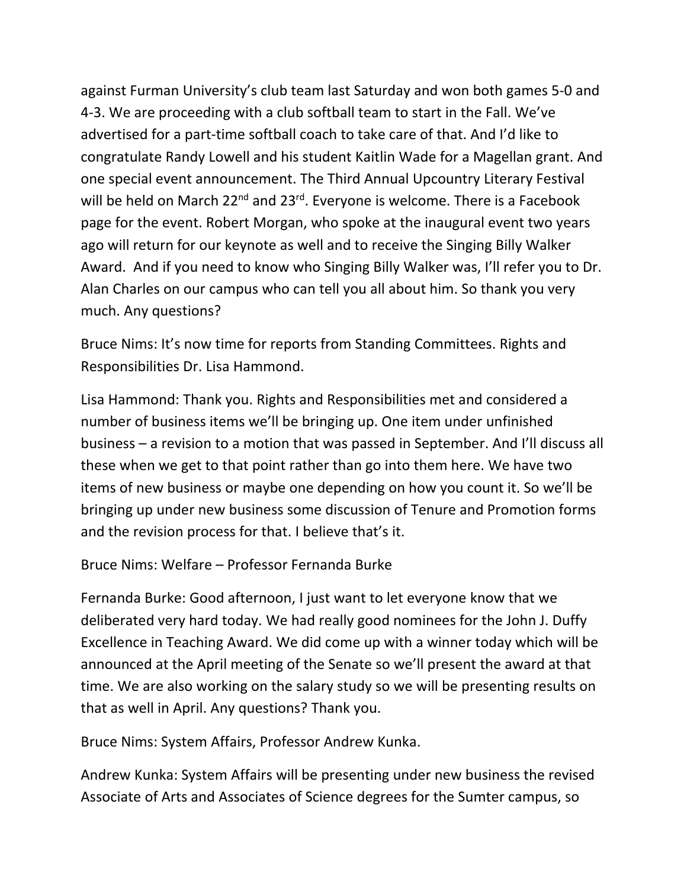against Furman University's club team last Saturday and won both games 5‐0 and 4‐3. We are proceeding with a club softball team to start in the Fall. We've advertised for a part‐time softball coach to take care of that. And I'd like to congratulate Randy Lowell and his student Kaitlin Wade for a Magellan grant. And one special event announcement. The Third Annual Upcountry Literary Festival will be held on March 22<sup>nd</sup> and 23<sup>rd</sup>. Everyone is welcome. There is a Facebook page for the event. Robert Morgan, who spoke at the inaugural event two years ago will return for our keynote as well and to receive the Singing Billy Walker Award. And if you need to know who Singing Billy Walker was, I'll refer you to Dr. Alan Charles on our campus who can tell you all about him. So thank you very much. Any questions?

Bruce Nims: It's now time for reports from Standing Committees. Rights and Responsibilities Dr. Lisa Hammond.

Lisa Hammond: Thank you. Rights and Responsibilities met and considered a number of business items we'll be bringing up. One item under unfinished business – a revision to a motion that was passed in September. And I'll discuss all these when we get to that point rather than go into them here. We have two items of new business or maybe one depending on how you count it. So we'll be bringing up under new business some discussion of Tenure and Promotion forms and the revision process for that. I believe that's it.

Bruce Nims: Welfare – Professor Fernanda Burke

Fernanda Burke: Good afternoon, I just want to let everyone know that we deliberated very hard today. We had really good nominees for the John J. Duffy Excellence in Teaching Award. We did come up with a winner today which will be announced at the April meeting of the Senate so we'll present the award at that time. We are also working on the salary study so we will be presenting results on that as well in April. Any questions? Thank you.

Bruce Nims: System Affairs, Professor Andrew Kunka.

Andrew Kunka: System Affairs will be presenting under new business the revised Associate of Arts and Associates of Science degrees for the Sumter campus, so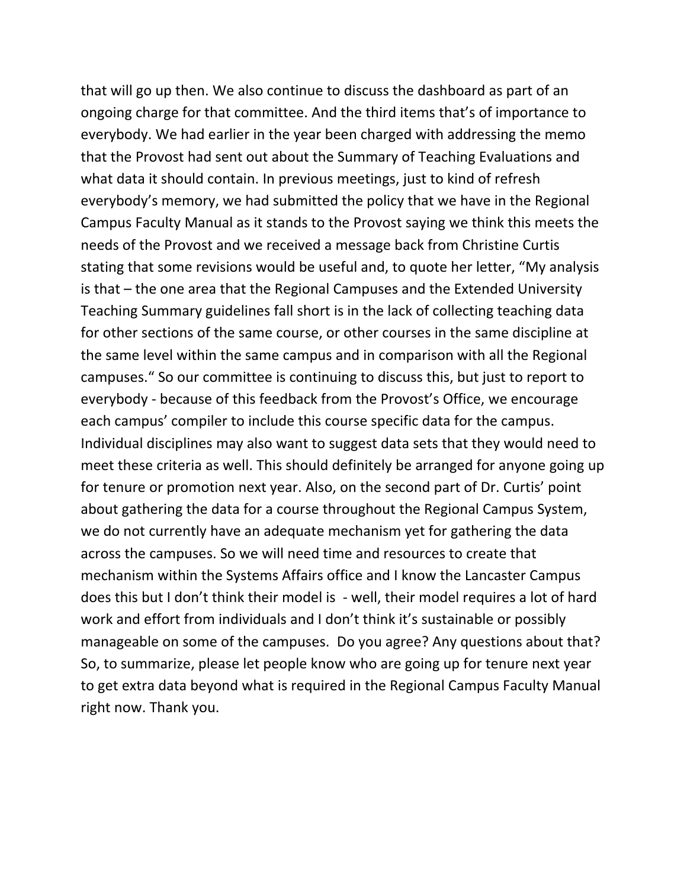that will go up then. We also continue to discuss the dashboard as part of an ongoing charge for that committee. And the third items that's of importance to everybody. We had earlier in the year been charged with addressing the memo that the Provost had sent out about the Summary of Teaching Evaluations and what data it should contain. In previous meetings, just to kind of refresh everybody's memory, we had submitted the policy that we have in the Regional Campus Faculty Manual as it stands to the Provost saying we think this meets the needs of the Provost and we received a message back from Christine Curtis stating that some revisions would be useful and, to quote her letter, "My analysis is that – the one area that the Regional Campuses and the Extended University Teaching Summary guidelines fall short is in the lack of collecting teaching data for other sections of the same course, or other courses in the same discipline at the same level within the same campus and in comparison with all the Regional campuses." So our committee is continuing to discuss this, but just to report to everybody ‐ because of this feedback from the Provost's Office, we encourage each campus' compiler to include this course specific data for the campus. Individual disciplines may also want to suggest data sets that they would need to meet these criteria as well. This should definitely be arranged for anyone going up for tenure or promotion next year. Also, on the second part of Dr. Curtis' point about gathering the data for a course throughout the Regional Campus System, we do not currently have an adequate mechanism yet for gathering the data across the campuses. So we will need time and resources to create that mechanism within the Systems Affairs office and I know the Lancaster Campus does this but I don't think their model is ‐ well, their model requires a lot of hard work and effort from individuals and I don't think it's sustainable or possibly manageable on some of the campuses. Do you agree? Any questions about that? So, to summarize, please let people know who are going up for tenure next year to get extra data beyond what is required in the Regional Campus Faculty Manual right now. Thank you.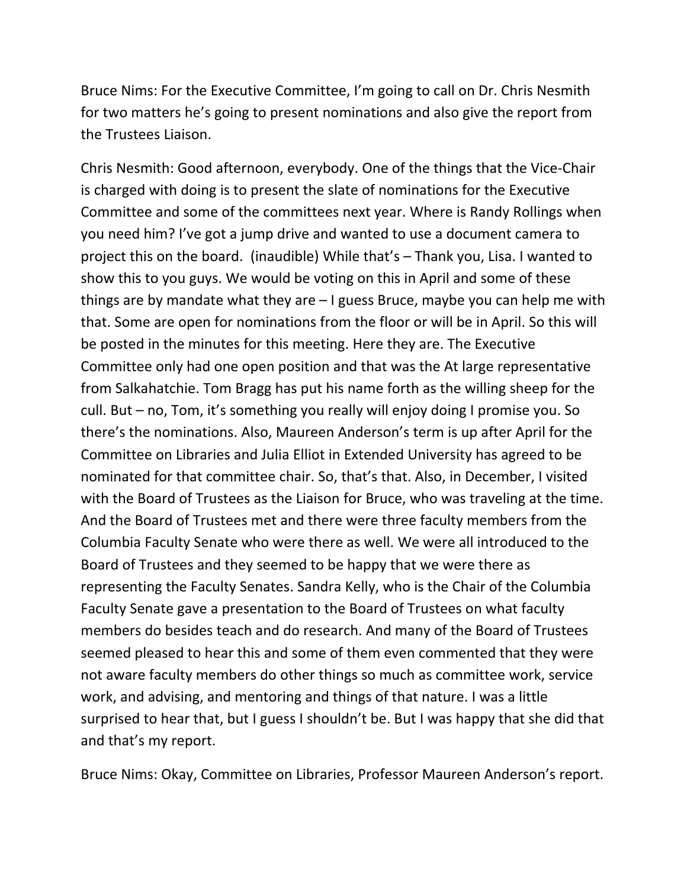Bruce Nims: For the Executive Committee, I'm going to call on Dr. Chris Nesmith for two matters he's going to present nominations and also give the report from the Trustees Liaison.

Chris Nesmith: Good afternoon, everybody. One of the things that the Vice‐Chair is charged with doing is to present the slate of nominations for the Executive Committee and some of the committees next year. Where is Randy Rollings when you need him? I've got a jump drive and wanted to use a document camera to project this on the board. (inaudible) While that's – Thank you, Lisa. I wanted to show this to you guys. We would be voting on this in April and some of these things are by mandate what they are – I guess Bruce, maybe you can help me with that. Some are open for nominations from the floor or will be in April. So this will be posted in the minutes for this meeting. Here they are. The Executive Committee only had one open position and that was the At large representative from Salkahatchie. Tom Bragg has put his name forth as the willing sheep for the cull. But – no, Tom, it's something you really will enjoy doing I promise you. So there's the nominations. Also, Maureen Anderson's term is up after April for the Committee on Libraries and Julia Elliot in Extended University has agreed to be nominated for that committee chair. So, that's that. Also, in December, I visited with the Board of Trustees as the Liaison for Bruce, who was traveling at the time. And the Board of Trustees met and there were three faculty members from the Columbia Faculty Senate who were there as well. We were all introduced to the Board of Trustees and they seemed to be happy that we were there as representing the Faculty Senates. Sandra Kelly, who is the Chair of the Columbia Faculty Senate gave a presentation to the Board of Trustees on what faculty members do besides teach and do research. And many of the Board of Trustees seemed pleased to hear this and some of them even commented that they were not aware faculty members do other things so much as committee work, service work, and advising, and mentoring and things of that nature. I was a little surprised to hear that, but I guess I shouldn't be. But I was happy that she did that and that's my report.

Bruce Nims: Okay, Committee on Libraries, Professor Maureen Anderson's report.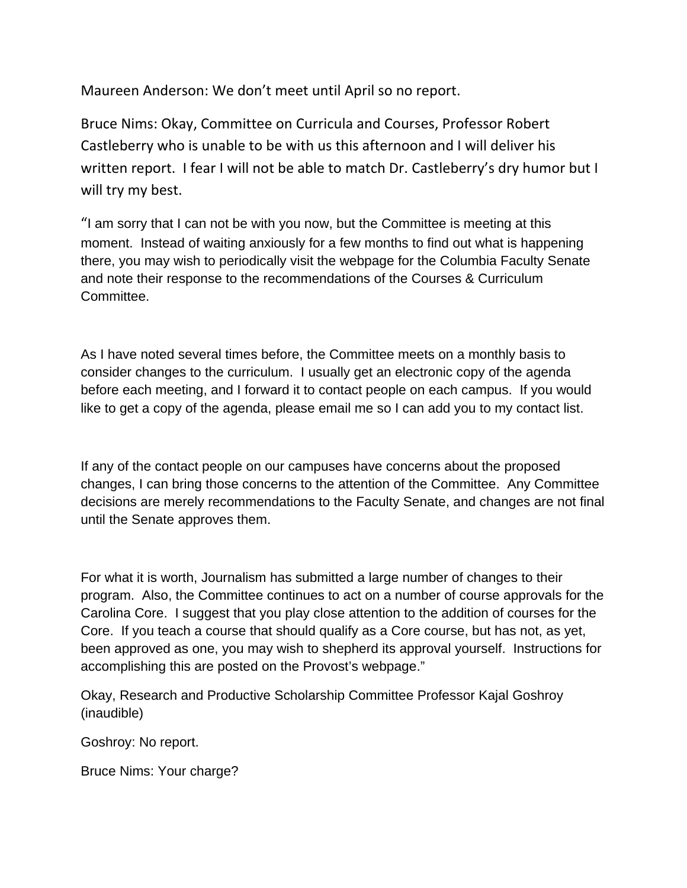Maureen Anderson: We don't meet until April so no report.

Bruce Nims: Okay, Committee on Curricula and Courses, Professor Robert Castleberry who is unable to be with us this afternoon and I will deliver his written report. I fear I will not be able to match Dr. Castleberry's dry humor but I will try my best.

"I am sorry that I can not be with you now, but the Committee is meeting at this moment. Instead of waiting anxiously for a few months to find out what is happening there, you may wish to periodically visit the webpage for the Columbia Faculty Senate and note their response to the recommendations of the Courses & Curriculum Committee.

As I have noted several times before, the Committee meets on a monthly basis to consider changes to the curriculum. I usually get an electronic copy of the agenda before each meeting, and I forward it to contact people on each campus. If you would like to get a copy of the agenda, please email me so I can add you to my contact list.

If any of the contact people on our campuses have concerns about the proposed changes, I can bring those concerns to the attention of the Committee. Any Committee decisions are merely recommendations to the Faculty Senate, and changes are not final until the Senate approves them.

For what it is worth, Journalism has submitted a large number of changes to their program. Also, the Committee continues to act on a number of course approvals for the Carolina Core. I suggest that you play close attention to the addition of courses for the Core. If you teach a course that should qualify as a Core course, but has not, as yet, been approved as one, you may wish to shepherd its approval yourself. Instructions for accomplishing this are posted on the Provost's webpage."

Okay, Research and Productive Scholarship Committee Professor Kajal Goshroy (inaudible)

Goshroy: No report.

Bruce Nims: Your charge?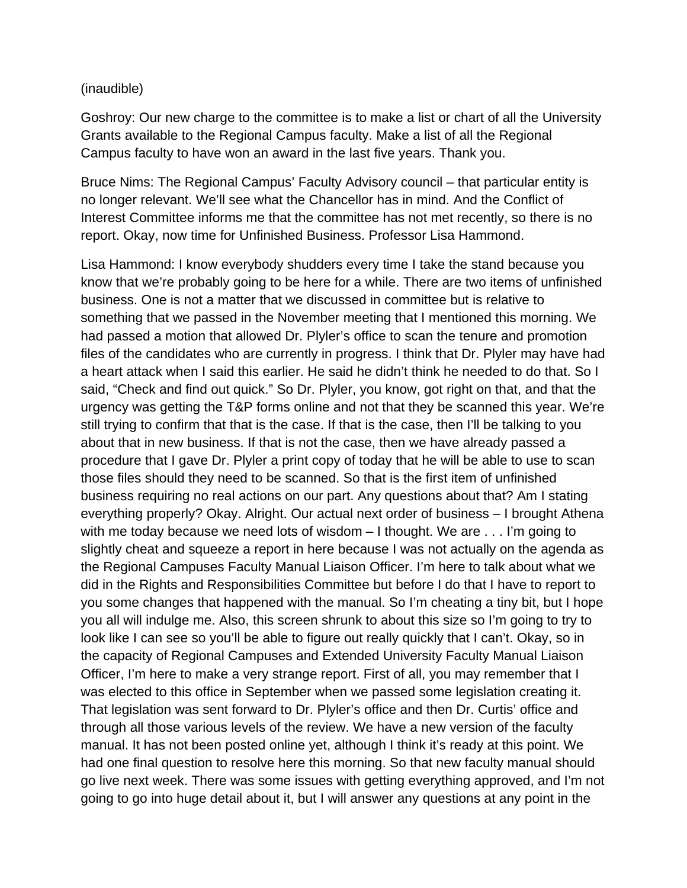#### (inaudible)

Goshroy: Our new charge to the committee is to make a list or chart of all the University Grants available to the Regional Campus faculty. Make a list of all the Regional Campus faculty to have won an award in the last five years. Thank you.

Bruce Nims: The Regional Campus' Faculty Advisory council – that particular entity is no longer relevant. We'll see what the Chancellor has in mind. And the Conflict of Interest Committee informs me that the committee has not met recently, so there is no report. Okay, now time for Unfinished Business. Professor Lisa Hammond.

Lisa Hammond: I know everybody shudders every time I take the stand because you know that we're probably going to be here for a while. There are two items of unfinished business. One is not a matter that we discussed in committee but is relative to something that we passed in the November meeting that I mentioned this morning. We had passed a motion that allowed Dr. Plyler's office to scan the tenure and promotion files of the candidates who are currently in progress. I think that Dr. Plyler may have had a heart attack when I said this earlier. He said he didn't think he needed to do that. So I said, "Check and find out quick." So Dr. Plyler, you know, got right on that, and that the urgency was getting the T&P forms online and not that they be scanned this year. We're still trying to confirm that that is the case. If that is the case, then I'll be talking to you about that in new business. If that is not the case, then we have already passed a procedure that I gave Dr. Plyler a print copy of today that he will be able to use to scan those files should they need to be scanned. So that is the first item of unfinished business requiring no real actions on our part. Any questions about that? Am I stating everything properly? Okay. Alright. Our actual next order of business – I brought Athena with me today because we need lots of wisdom – I thought. We are . . . I'm going to slightly cheat and squeeze a report in here because I was not actually on the agenda as the Regional Campuses Faculty Manual Liaison Officer. I'm here to talk about what we did in the Rights and Responsibilities Committee but before I do that I have to report to you some changes that happened with the manual. So I'm cheating a tiny bit, but I hope you all will indulge me. Also, this screen shrunk to about this size so I'm going to try to look like I can see so you'll be able to figure out really quickly that I can't. Okay, so in the capacity of Regional Campuses and Extended University Faculty Manual Liaison Officer, I'm here to make a very strange report. First of all, you may remember that I was elected to this office in September when we passed some legislation creating it. That legislation was sent forward to Dr. Plyler's office and then Dr. Curtis' office and through all those various levels of the review. We have a new version of the faculty manual. It has not been posted online yet, although I think it's ready at this point. We had one final question to resolve here this morning. So that new faculty manual should go live next week. There was some issues with getting everything approved, and I'm not going to go into huge detail about it, but I will answer any questions at any point in the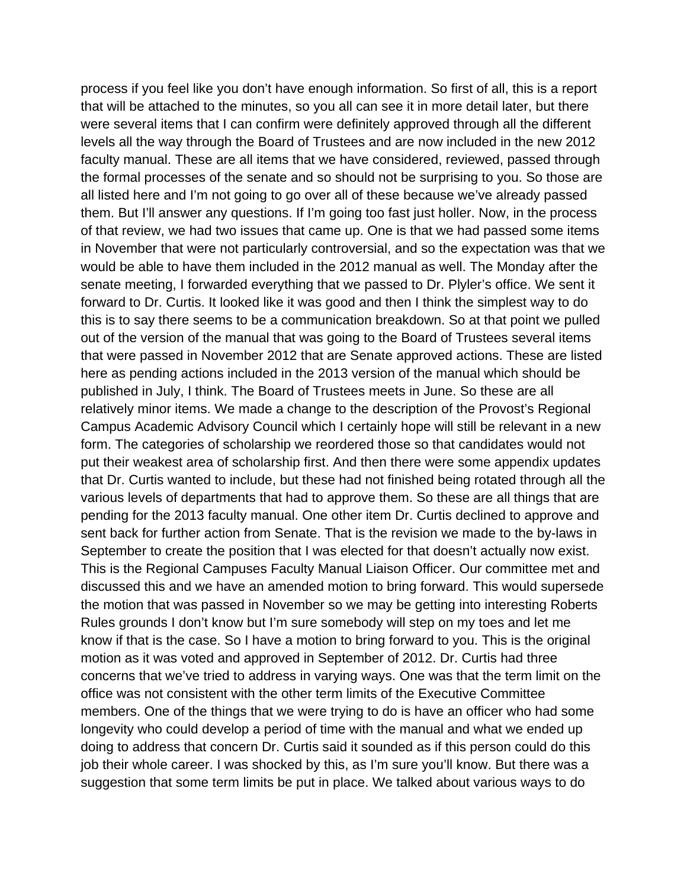process if you feel like you don't have enough information. So first of all, this is a report that will be attached to the minutes, so you all can see it in more detail later, but there were several items that I can confirm were definitely approved through all the different levels all the way through the Board of Trustees and are now included in the new 2012 faculty manual. These are all items that we have considered, reviewed, passed through the formal processes of the senate and so should not be surprising to you. So those are all listed here and I'm not going to go over all of these because we've already passed them. But I'll answer any questions. If I'm going too fast just holler. Now, in the process of that review, we had two issues that came up. One is that we had passed some items in November that were not particularly controversial, and so the expectation was that we would be able to have them included in the 2012 manual as well. The Monday after the senate meeting, I forwarded everything that we passed to Dr. Plyler's office. We sent it forward to Dr. Curtis. It looked like it was good and then I think the simplest way to do this is to say there seems to be a communication breakdown. So at that point we pulled out of the version of the manual that was going to the Board of Trustees several items that were passed in November 2012 that are Senate approved actions. These are listed here as pending actions included in the 2013 version of the manual which should be published in July, I think. The Board of Trustees meets in June. So these are all relatively minor items. We made a change to the description of the Provost's Regional Campus Academic Advisory Council which I certainly hope will still be relevant in a new form. The categories of scholarship we reordered those so that candidates would not put their weakest area of scholarship first. And then there were some appendix updates that Dr. Curtis wanted to include, but these had not finished being rotated through all the various levels of departments that had to approve them. So these are all things that are pending for the 2013 faculty manual. One other item Dr. Curtis declined to approve and sent back for further action from Senate. That is the revision we made to the by-laws in September to create the position that I was elected for that doesn't actually now exist. This is the Regional Campuses Faculty Manual Liaison Officer. Our committee met and discussed this and we have an amended motion to bring forward. This would supersede the motion that was passed in November so we may be getting into interesting Roberts Rules grounds I don't know but I'm sure somebody will step on my toes and let me know if that is the case. So I have a motion to bring forward to you. This is the original motion as it was voted and approved in September of 2012. Dr. Curtis had three concerns that we've tried to address in varying ways. One was that the term limit on the office was not consistent with the other term limits of the Executive Committee members. One of the things that we were trying to do is have an officer who had some longevity who could develop a period of time with the manual and what we ended up doing to address that concern Dr. Curtis said it sounded as if this person could do this job their whole career. I was shocked by this, as I'm sure you'll know. But there was a suggestion that some term limits be put in place. We talked about various ways to do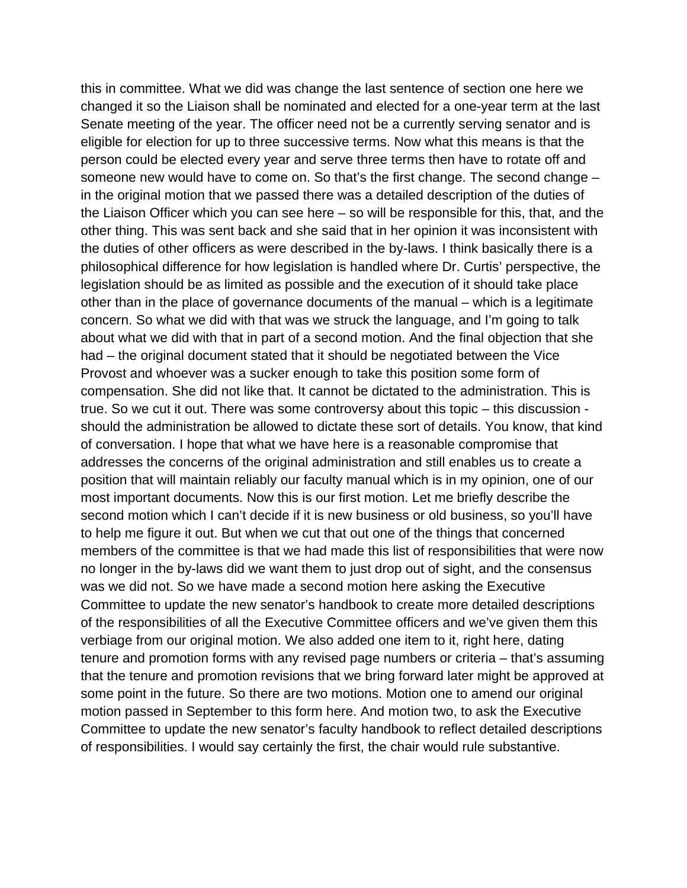this in committee. What we did was change the last sentence of section one here we changed it so the Liaison shall be nominated and elected for a one-year term at the last Senate meeting of the year. The officer need not be a currently serving senator and is eligible for election for up to three successive terms. Now what this means is that the person could be elected every year and serve three terms then have to rotate off and someone new would have to come on. So that's the first change. The second change – in the original motion that we passed there was a detailed description of the duties of the Liaison Officer which you can see here – so will be responsible for this, that, and the other thing. This was sent back and she said that in her opinion it was inconsistent with the duties of other officers as were described in the by-laws. I think basically there is a philosophical difference for how legislation is handled where Dr. Curtis' perspective, the legislation should be as limited as possible and the execution of it should take place other than in the place of governance documents of the manual – which is a legitimate concern. So what we did with that was we struck the language, and I'm going to talk about what we did with that in part of a second motion. And the final objection that she had – the original document stated that it should be negotiated between the Vice Provost and whoever was a sucker enough to take this position some form of compensation. She did not like that. It cannot be dictated to the administration. This is true. So we cut it out. There was some controversy about this topic – this discussion should the administration be allowed to dictate these sort of details. You know, that kind of conversation. I hope that what we have here is a reasonable compromise that addresses the concerns of the original administration and still enables us to create a position that will maintain reliably our faculty manual which is in my opinion, one of our most important documents. Now this is our first motion. Let me briefly describe the second motion which I can't decide if it is new business or old business, so you'll have to help me figure it out. But when we cut that out one of the things that concerned members of the committee is that we had made this list of responsibilities that were now no longer in the by-laws did we want them to just drop out of sight, and the consensus was we did not. So we have made a second motion here asking the Executive Committee to update the new senator's handbook to create more detailed descriptions of the responsibilities of all the Executive Committee officers and we've given them this verbiage from our original motion. We also added one item to it, right here, dating tenure and promotion forms with any revised page numbers or criteria – that's assuming that the tenure and promotion revisions that we bring forward later might be approved at some point in the future. So there are two motions. Motion one to amend our original motion passed in September to this form here. And motion two, to ask the Executive Committee to update the new senator's faculty handbook to reflect detailed descriptions of responsibilities. I would say certainly the first, the chair would rule substantive.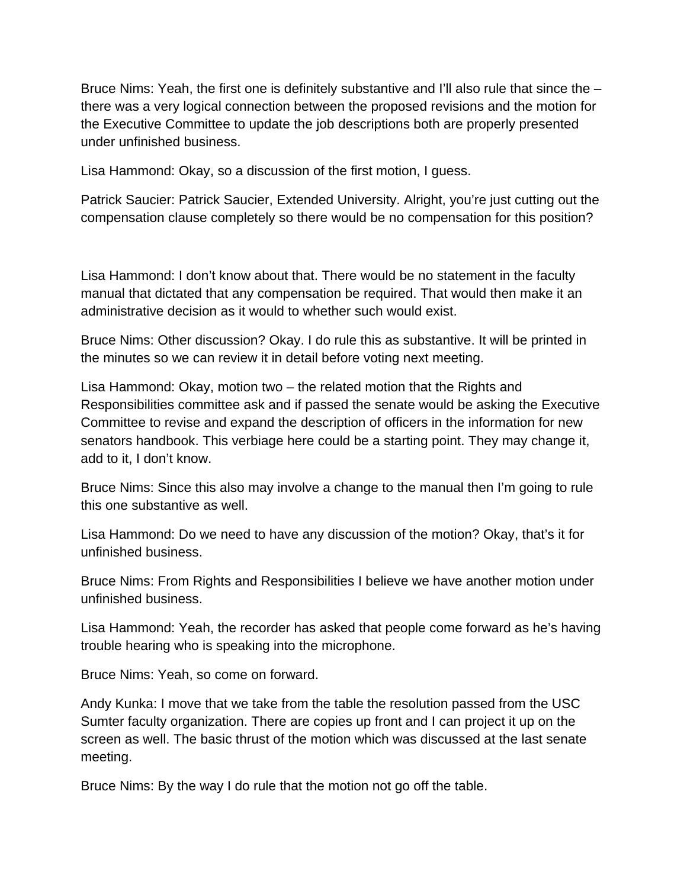Bruce Nims: Yeah, the first one is definitely substantive and I'll also rule that since the – there was a very logical connection between the proposed revisions and the motion for the Executive Committee to update the job descriptions both are properly presented under unfinished business.

Lisa Hammond: Okay, so a discussion of the first motion, I guess.

Patrick Saucier: Patrick Saucier, Extended University. Alright, you're just cutting out the compensation clause completely so there would be no compensation for this position?

Lisa Hammond: I don't know about that. There would be no statement in the faculty manual that dictated that any compensation be required. That would then make it an administrative decision as it would to whether such would exist.

Bruce Nims: Other discussion? Okay. I do rule this as substantive. It will be printed in the minutes so we can review it in detail before voting next meeting.

Lisa Hammond: Okay, motion two – the related motion that the Rights and Responsibilities committee ask and if passed the senate would be asking the Executive Committee to revise and expand the description of officers in the information for new senators handbook. This verbiage here could be a starting point. They may change it, add to it, I don't know.

Bruce Nims: Since this also may involve a change to the manual then I'm going to rule this one substantive as well.

Lisa Hammond: Do we need to have any discussion of the motion? Okay, that's it for unfinished business.

Bruce Nims: From Rights and Responsibilities I believe we have another motion under unfinished business.

Lisa Hammond: Yeah, the recorder has asked that people come forward as he's having trouble hearing who is speaking into the microphone.

Bruce Nims: Yeah, so come on forward.

Andy Kunka: I move that we take from the table the resolution passed from the USC Sumter faculty organization. There are copies up front and I can project it up on the screen as well. The basic thrust of the motion which was discussed at the last senate meeting.

Bruce Nims: By the way I do rule that the motion not go off the table.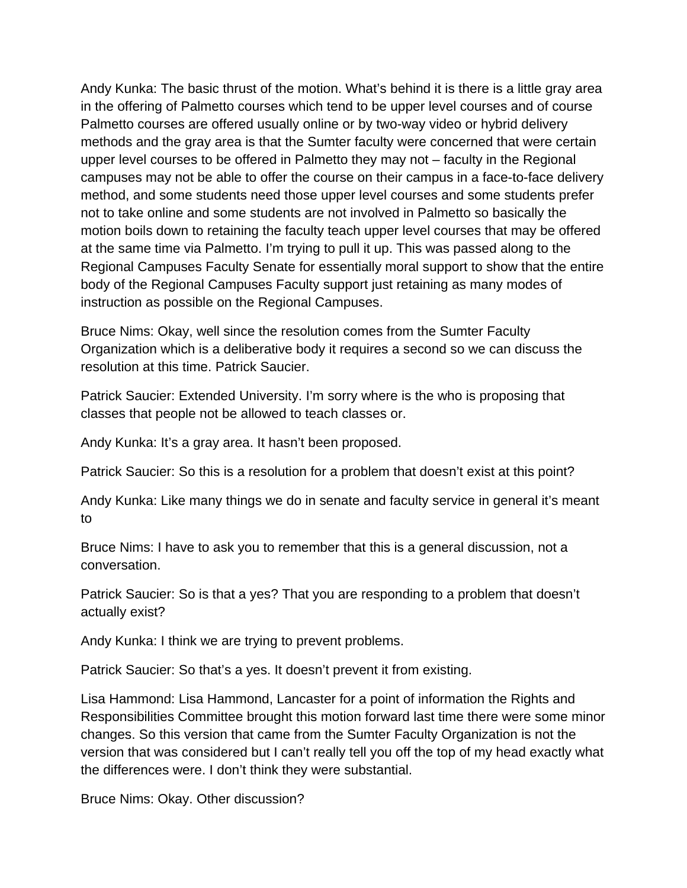Andy Kunka: The basic thrust of the motion. What's behind it is there is a little gray area in the offering of Palmetto courses which tend to be upper level courses and of course Palmetto courses are offered usually online or by two-way video or hybrid delivery methods and the gray area is that the Sumter faculty were concerned that were certain upper level courses to be offered in Palmetto they may not – faculty in the Regional campuses may not be able to offer the course on their campus in a face-to-face delivery method, and some students need those upper level courses and some students prefer not to take online and some students are not involved in Palmetto so basically the motion boils down to retaining the faculty teach upper level courses that may be offered at the same time via Palmetto. I'm trying to pull it up. This was passed along to the Regional Campuses Faculty Senate for essentially moral support to show that the entire body of the Regional Campuses Faculty support just retaining as many modes of instruction as possible on the Regional Campuses.

Bruce Nims: Okay, well since the resolution comes from the Sumter Faculty Organization which is a deliberative body it requires a second so we can discuss the resolution at this time. Patrick Saucier.

Patrick Saucier: Extended University. I'm sorry where is the who is proposing that classes that people not be allowed to teach classes or.

Andy Kunka: It's a gray area. It hasn't been proposed.

Patrick Saucier: So this is a resolution for a problem that doesn't exist at this point?

Andy Kunka: Like many things we do in senate and faculty service in general it's meant to

Bruce Nims: I have to ask you to remember that this is a general discussion, not a conversation.

Patrick Saucier: So is that a yes? That you are responding to a problem that doesn't actually exist?

Andy Kunka: I think we are trying to prevent problems.

Patrick Saucier: So that's a yes. It doesn't prevent it from existing.

Lisa Hammond: Lisa Hammond, Lancaster for a point of information the Rights and Responsibilities Committee brought this motion forward last time there were some minor changes. So this version that came from the Sumter Faculty Organization is not the version that was considered but I can't really tell you off the top of my head exactly what the differences were. I don't think they were substantial.

Bruce Nims: Okay. Other discussion?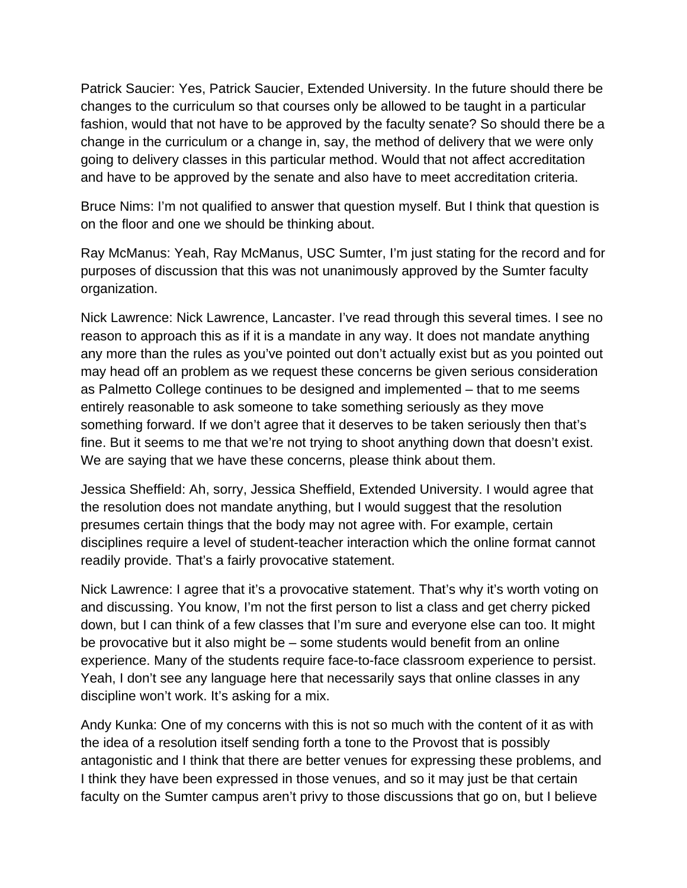Patrick Saucier: Yes, Patrick Saucier, Extended University. In the future should there be changes to the curriculum so that courses only be allowed to be taught in a particular fashion, would that not have to be approved by the faculty senate? So should there be a change in the curriculum or a change in, say, the method of delivery that we were only going to delivery classes in this particular method. Would that not affect accreditation and have to be approved by the senate and also have to meet accreditation criteria.

Bruce Nims: I'm not qualified to answer that question myself. But I think that question is on the floor and one we should be thinking about.

Ray McManus: Yeah, Ray McManus, USC Sumter, I'm just stating for the record and for purposes of discussion that this was not unanimously approved by the Sumter faculty organization.

Nick Lawrence: Nick Lawrence, Lancaster. I've read through this several times. I see no reason to approach this as if it is a mandate in any way. It does not mandate anything any more than the rules as you've pointed out don't actually exist but as you pointed out may head off an problem as we request these concerns be given serious consideration as Palmetto College continues to be designed and implemented – that to me seems entirely reasonable to ask someone to take something seriously as they move something forward. If we don't agree that it deserves to be taken seriously then that's fine. But it seems to me that we're not trying to shoot anything down that doesn't exist. We are saying that we have these concerns, please think about them.

Jessica Sheffield: Ah, sorry, Jessica Sheffield, Extended University. I would agree that the resolution does not mandate anything, but I would suggest that the resolution presumes certain things that the body may not agree with. For example, certain disciplines require a level of student-teacher interaction which the online format cannot readily provide. That's a fairly provocative statement.

Nick Lawrence: I agree that it's a provocative statement. That's why it's worth voting on and discussing. You know, I'm not the first person to list a class and get cherry picked down, but I can think of a few classes that I'm sure and everyone else can too. It might be provocative but it also might be – some students would benefit from an online experience. Many of the students require face-to-face classroom experience to persist. Yeah, I don't see any language here that necessarily says that online classes in any discipline won't work. It's asking for a mix.

Andy Kunka: One of my concerns with this is not so much with the content of it as with the idea of a resolution itself sending forth a tone to the Provost that is possibly antagonistic and I think that there are better venues for expressing these problems, and I think they have been expressed in those venues, and so it may just be that certain faculty on the Sumter campus aren't privy to those discussions that go on, but I believe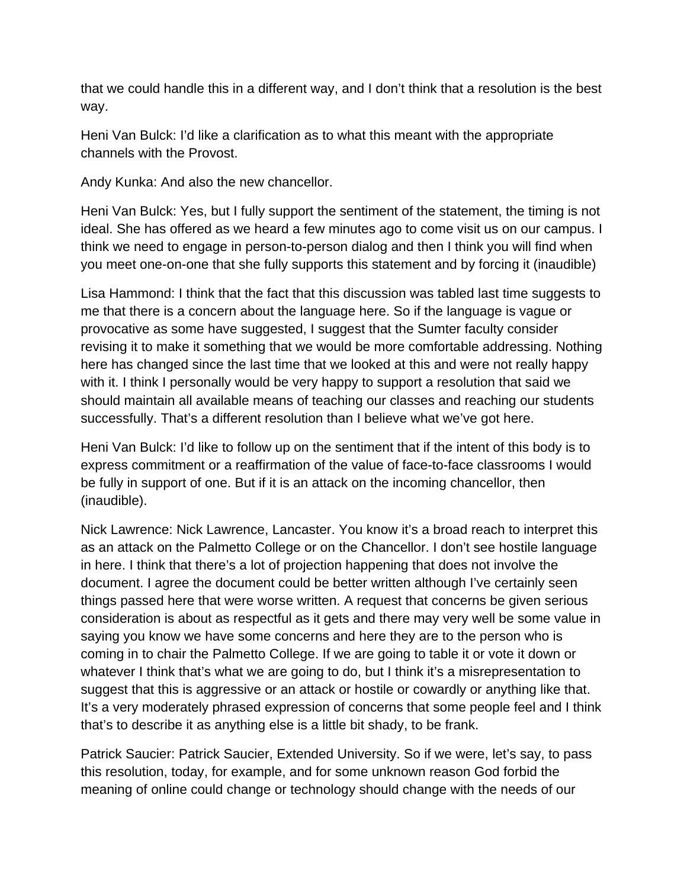that we could handle this in a different way, and I don't think that a resolution is the best way.

Heni Van Bulck: I'd like a clarification as to what this meant with the appropriate channels with the Provost.

Andy Kunka: And also the new chancellor.

Heni Van Bulck: Yes, but I fully support the sentiment of the statement, the timing is not ideal. She has offered as we heard a few minutes ago to come visit us on our campus. I think we need to engage in person-to-person dialog and then I think you will find when you meet one-on-one that she fully supports this statement and by forcing it (inaudible)

Lisa Hammond: I think that the fact that this discussion was tabled last time suggests to me that there is a concern about the language here. So if the language is vague or provocative as some have suggested, I suggest that the Sumter faculty consider revising it to make it something that we would be more comfortable addressing. Nothing here has changed since the last time that we looked at this and were not really happy with it. I think I personally would be very happy to support a resolution that said we should maintain all available means of teaching our classes and reaching our students successfully. That's a different resolution than I believe what we've got here.

Heni Van Bulck: I'd like to follow up on the sentiment that if the intent of this body is to express commitment or a reaffirmation of the value of face-to-face classrooms I would be fully in support of one. But if it is an attack on the incoming chancellor, then (inaudible).

Nick Lawrence: Nick Lawrence, Lancaster. You know it's a broad reach to interpret this as an attack on the Palmetto College or on the Chancellor. I don't see hostile language in here. I think that there's a lot of projection happening that does not involve the document. I agree the document could be better written although I've certainly seen things passed here that were worse written. A request that concerns be given serious consideration is about as respectful as it gets and there may very well be some value in saying you know we have some concerns and here they are to the person who is coming in to chair the Palmetto College. If we are going to table it or vote it down or whatever I think that's what we are going to do, but I think it's a misrepresentation to suggest that this is aggressive or an attack or hostile or cowardly or anything like that. It's a very moderately phrased expression of concerns that some people feel and I think that's to describe it as anything else is a little bit shady, to be frank.

Patrick Saucier: Patrick Saucier, Extended University. So if we were, let's say, to pass this resolution, today, for example, and for some unknown reason God forbid the meaning of online could change or technology should change with the needs of our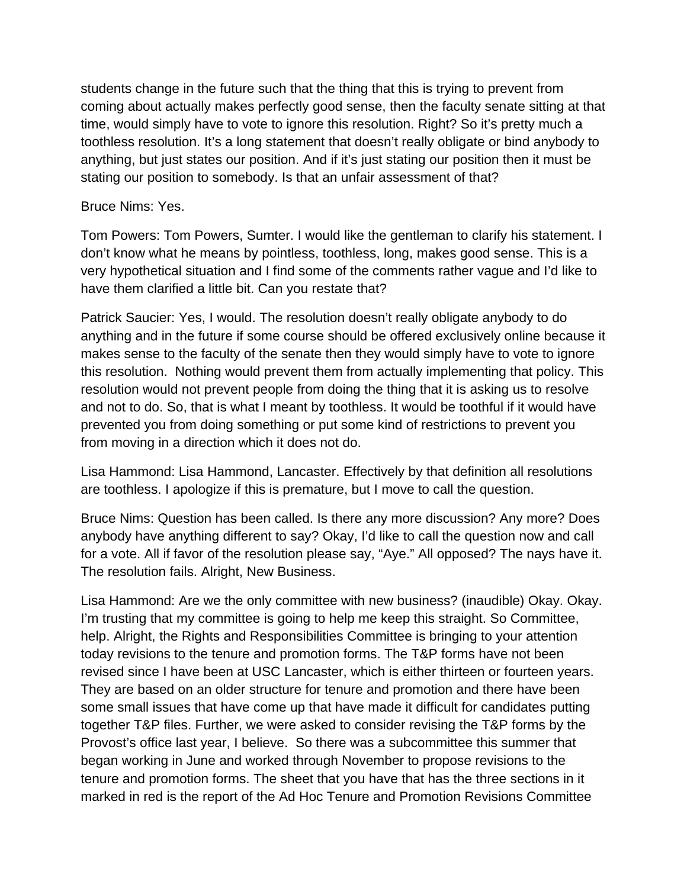students change in the future such that the thing that this is trying to prevent from coming about actually makes perfectly good sense, then the faculty senate sitting at that time, would simply have to vote to ignore this resolution. Right? So it's pretty much a toothless resolution. It's a long statement that doesn't really obligate or bind anybody to anything, but just states our position. And if it's just stating our position then it must be stating our position to somebody. Is that an unfair assessment of that?

### Bruce Nims: Yes.

Tom Powers: Tom Powers, Sumter. I would like the gentleman to clarify his statement. I don't know what he means by pointless, toothless, long, makes good sense. This is a very hypothetical situation and I find some of the comments rather vague and I'd like to have them clarified a little bit. Can you restate that?

Patrick Saucier: Yes, I would. The resolution doesn't really obligate anybody to do anything and in the future if some course should be offered exclusively online because it makes sense to the faculty of the senate then they would simply have to vote to ignore this resolution. Nothing would prevent them from actually implementing that policy. This resolution would not prevent people from doing the thing that it is asking us to resolve and not to do. So, that is what I meant by toothless. It would be toothful if it would have prevented you from doing something or put some kind of restrictions to prevent you from moving in a direction which it does not do.

Lisa Hammond: Lisa Hammond, Lancaster. Effectively by that definition all resolutions are toothless. I apologize if this is premature, but I move to call the question.

Bruce Nims: Question has been called. Is there any more discussion? Any more? Does anybody have anything different to say? Okay, I'd like to call the question now and call for a vote. All if favor of the resolution please say, "Aye." All opposed? The nays have it. The resolution fails. Alright, New Business.

Lisa Hammond: Are we the only committee with new business? (inaudible) Okay. Okay. I'm trusting that my committee is going to help me keep this straight. So Committee, help. Alright, the Rights and Responsibilities Committee is bringing to your attention today revisions to the tenure and promotion forms. The T&P forms have not been revised since I have been at USC Lancaster, which is either thirteen or fourteen years. They are based on an older structure for tenure and promotion and there have been some small issues that have come up that have made it difficult for candidates putting together T&P files. Further, we were asked to consider revising the T&P forms by the Provost's office last year, I believe. So there was a subcommittee this summer that began working in June and worked through November to propose revisions to the tenure and promotion forms. The sheet that you have that has the three sections in it marked in red is the report of the Ad Hoc Tenure and Promotion Revisions Committee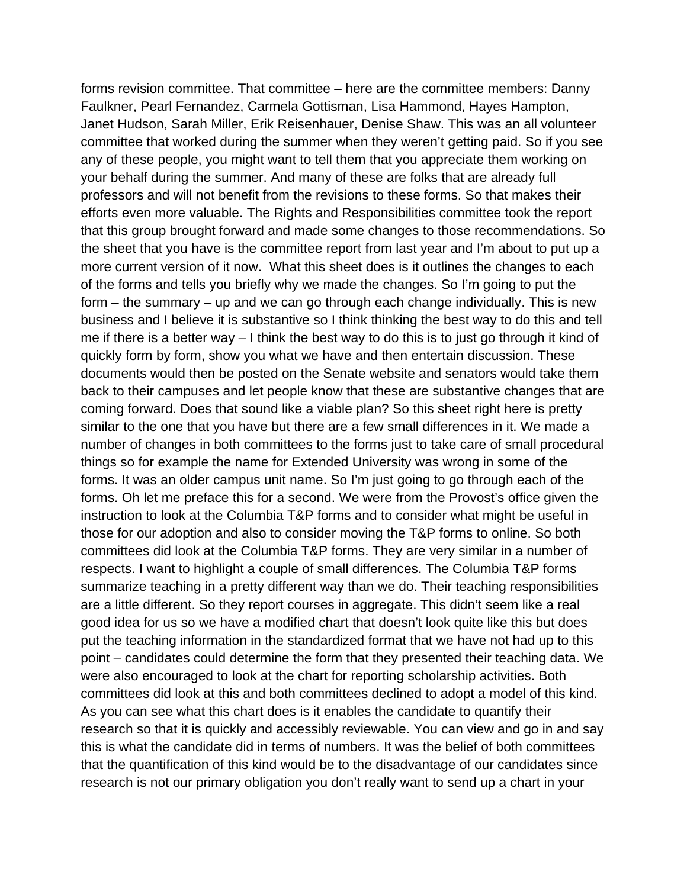forms revision committee. That committee – here are the committee members: Danny Faulkner, Pearl Fernandez, Carmela Gottisman, Lisa Hammond, Hayes Hampton, Janet Hudson, Sarah Miller, Erik Reisenhauer, Denise Shaw. This was an all volunteer committee that worked during the summer when they weren't getting paid. So if you see any of these people, you might want to tell them that you appreciate them working on your behalf during the summer. And many of these are folks that are already full professors and will not benefit from the revisions to these forms. So that makes their efforts even more valuable. The Rights and Responsibilities committee took the report that this group brought forward and made some changes to those recommendations. So the sheet that you have is the committee report from last year and I'm about to put up a more current version of it now. What this sheet does is it outlines the changes to each of the forms and tells you briefly why we made the changes. So I'm going to put the form – the summary – up and we can go through each change individually. This is new business and I believe it is substantive so I think thinking the best way to do this and tell me if there is a better way – I think the best way to do this is to just go through it kind of quickly form by form, show you what we have and then entertain discussion. These documents would then be posted on the Senate website and senators would take them back to their campuses and let people know that these are substantive changes that are coming forward. Does that sound like a viable plan? So this sheet right here is pretty similar to the one that you have but there are a few small differences in it. We made a number of changes in both committees to the forms just to take care of small procedural things so for example the name for Extended University was wrong in some of the forms. It was an older campus unit name. So I'm just going to go through each of the forms. Oh let me preface this for a second. We were from the Provost's office given the instruction to look at the Columbia T&P forms and to consider what might be useful in those for our adoption and also to consider moving the T&P forms to online. So both committees did look at the Columbia T&P forms. They are very similar in a number of respects. I want to highlight a couple of small differences. The Columbia T&P forms summarize teaching in a pretty different way than we do. Their teaching responsibilities are a little different. So they report courses in aggregate. This didn't seem like a real good idea for us so we have a modified chart that doesn't look quite like this but does put the teaching information in the standardized format that we have not had up to this point – candidates could determine the form that they presented their teaching data. We were also encouraged to look at the chart for reporting scholarship activities. Both committees did look at this and both committees declined to adopt a model of this kind. As you can see what this chart does is it enables the candidate to quantify their research so that it is quickly and accessibly reviewable. You can view and go in and say this is what the candidate did in terms of numbers. It was the belief of both committees that the quantification of this kind would be to the disadvantage of our candidates since research is not our primary obligation you don't really want to send up a chart in your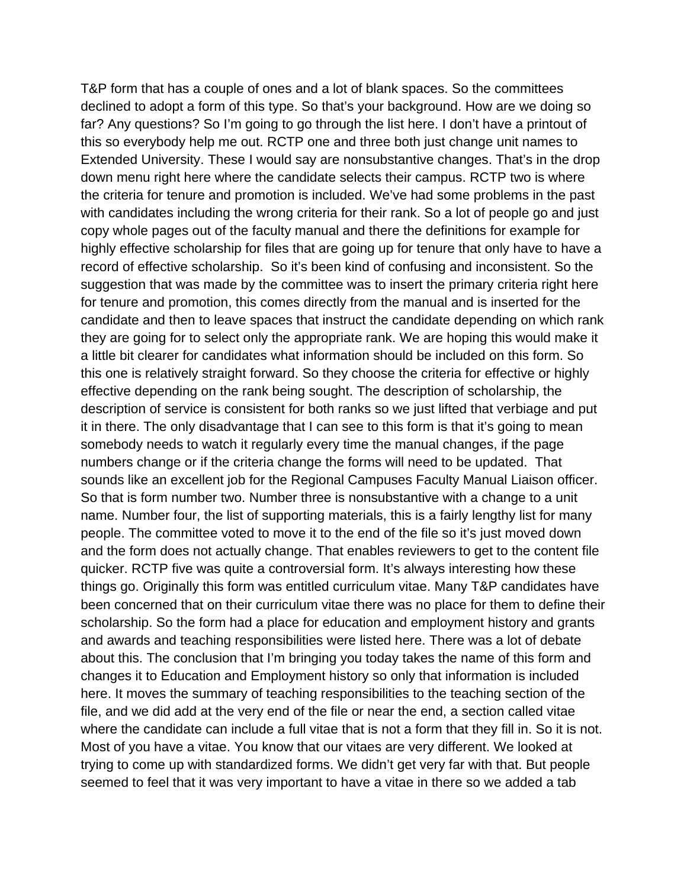T&P form that has a couple of ones and a lot of blank spaces. So the committees declined to adopt a form of this type. So that's your background. How are we doing so far? Any questions? So I'm going to go through the list here. I don't have a printout of this so everybody help me out. RCTP one and three both just change unit names to Extended University. These I would say are nonsubstantive changes. That's in the drop down menu right here where the candidate selects their campus. RCTP two is where the criteria for tenure and promotion is included. We've had some problems in the past with candidates including the wrong criteria for their rank. So a lot of people go and just copy whole pages out of the faculty manual and there the definitions for example for highly effective scholarship for files that are going up for tenure that only have to have a record of effective scholarship. So it's been kind of confusing and inconsistent. So the suggestion that was made by the committee was to insert the primary criteria right here for tenure and promotion, this comes directly from the manual and is inserted for the candidate and then to leave spaces that instruct the candidate depending on which rank they are going for to select only the appropriate rank. We are hoping this would make it a little bit clearer for candidates what information should be included on this form. So this one is relatively straight forward. So they choose the criteria for effective or highly effective depending on the rank being sought. The description of scholarship, the description of service is consistent for both ranks so we just lifted that verbiage and put it in there. The only disadvantage that I can see to this form is that it's going to mean somebody needs to watch it regularly every time the manual changes, if the page numbers change or if the criteria change the forms will need to be updated. That sounds like an excellent job for the Regional Campuses Faculty Manual Liaison officer. So that is form number two. Number three is nonsubstantive with a change to a unit name. Number four, the list of supporting materials, this is a fairly lengthy list for many people. The committee voted to move it to the end of the file so it's just moved down and the form does not actually change. That enables reviewers to get to the content file quicker. RCTP five was quite a controversial form. It's always interesting how these things go. Originally this form was entitled curriculum vitae. Many T&P candidates have been concerned that on their curriculum vitae there was no place for them to define their scholarship. So the form had a place for education and employment history and grants and awards and teaching responsibilities were listed here. There was a lot of debate about this. The conclusion that I'm bringing you today takes the name of this form and changes it to Education and Employment history so only that information is included here. It moves the summary of teaching responsibilities to the teaching section of the file, and we did add at the very end of the file or near the end, a section called vitae where the candidate can include a full vitae that is not a form that they fill in. So it is not. Most of you have a vitae. You know that our vitaes are very different. We looked at trying to come up with standardized forms. We didn't get very far with that. But people seemed to feel that it was very important to have a vitae in there so we added a tab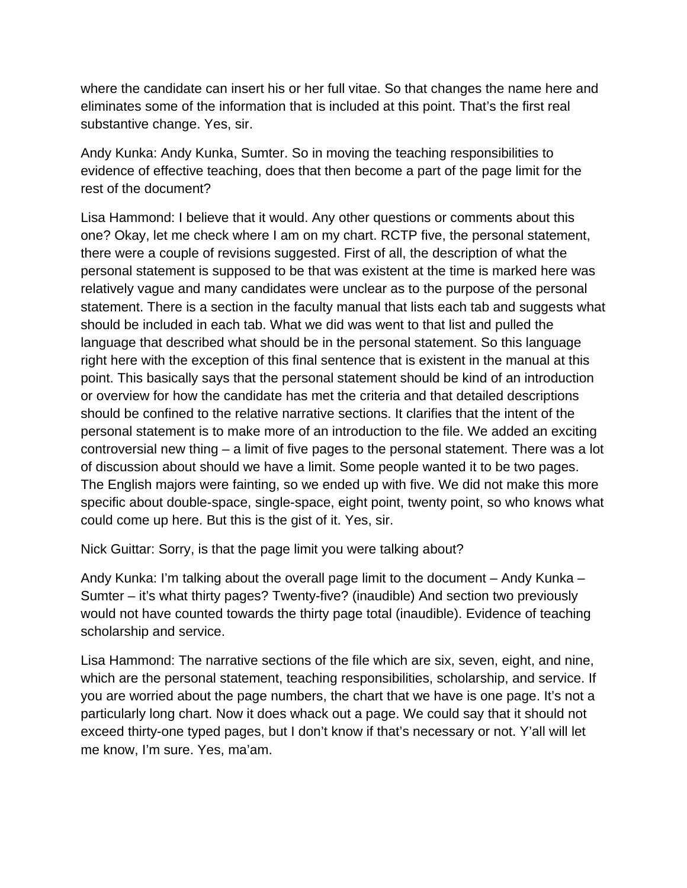where the candidate can insert his or her full vitae. So that changes the name here and eliminates some of the information that is included at this point. That's the first real substantive change. Yes, sir.

Andy Kunka: Andy Kunka, Sumter. So in moving the teaching responsibilities to evidence of effective teaching, does that then become a part of the page limit for the rest of the document?

Lisa Hammond: I believe that it would. Any other questions or comments about this one? Okay, let me check where I am on my chart. RCTP five, the personal statement, there were a couple of revisions suggested. First of all, the description of what the personal statement is supposed to be that was existent at the time is marked here was relatively vague and many candidates were unclear as to the purpose of the personal statement. There is a section in the faculty manual that lists each tab and suggests what should be included in each tab. What we did was went to that list and pulled the language that described what should be in the personal statement. So this language right here with the exception of this final sentence that is existent in the manual at this point. This basically says that the personal statement should be kind of an introduction or overview for how the candidate has met the criteria and that detailed descriptions should be confined to the relative narrative sections. It clarifies that the intent of the personal statement is to make more of an introduction to the file. We added an exciting controversial new thing – a limit of five pages to the personal statement. There was a lot of discussion about should we have a limit. Some people wanted it to be two pages. The English majors were fainting, so we ended up with five. We did not make this more specific about double-space, single-space, eight point, twenty point, so who knows what could come up here. But this is the gist of it. Yes, sir.

Nick Guittar: Sorry, is that the page limit you were talking about?

Andy Kunka: I'm talking about the overall page limit to the document – Andy Kunka – Sumter – it's what thirty pages? Twenty-five? (inaudible) And section two previously would not have counted towards the thirty page total (inaudible). Evidence of teaching scholarship and service.

Lisa Hammond: The narrative sections of the file which are six, seven, eight, and nine, which are the personal statement, teaching responsibilities, scholarship, and service. If you are worried about the page numbers, the chart that we have is one page. It's not a particularly long chart. Now it does whack out a page. We could say that it should not exceed thirty-one typed pages, but I don't know if that's necessary or not. Y'all will let me know, I'm sure. Yes, ma'am.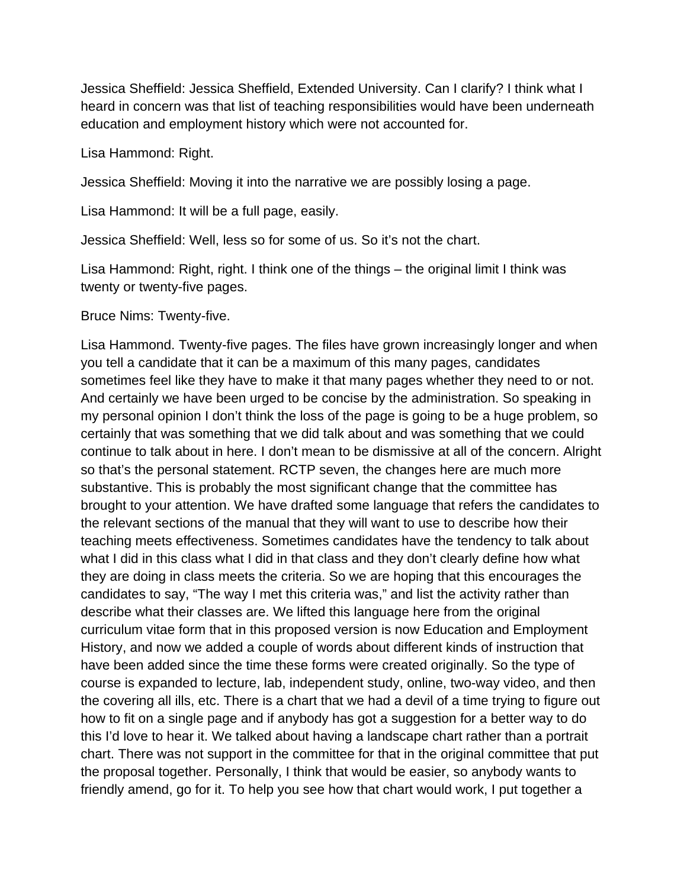Jessica Sheffield: Jessica Sheffield, Extended University. Can I clarify? I think what I heard in concern was that list of teaching responsibilities would have been underneath education and employment history which were not accounted for.

Lisa Hammond: Right.

Jessica Sheffield: Moving it into the narrative we are possibly losing a page.

Lisa Hammond: It will be a full page, easily.

Jessica Sheffield: Well, less so for some of us. So it's not the chart.

Lisa Hammond: Right, right. I think one of the things – the original limit I think was twenty or twenty-five pages.

Bruce Nims: Twenty-five.

Lisa Hammond. Twenty-five pages. The files have grown increasingly longer and when you tell a candidate that it can be a maximum of this many pages, candidates sometimes feel like they have to make it that many pages whether they need to or not. And certainly we have been urged to be concise by the administration. So speaking in my personal opinion I don't think the loss of the page is going to be a huge problem, so certainly that was something that we did talk about and was something that we could continue to talk about in here. I don't mean to be dismissive at all of the concern. Alright so that's the personal statement. RCTP seven, the changes here are much more substantive. This is probably the most significant change that the committee has brought to your attention. We have drafted some language that refers the candidates to the relevant sections of the manual that they will want to use to describe how their teaching meets effectiveness. Sometimes candidates have the tendency to talk about what I did in this class what I did in that class and they don't clearly define how what they are doing in class meets the criteria. So we are hoping that this encourages the candidates to say, "The way I met this criteria was," and list the activity rather than describe what their classes are. We lifted this language here from the original curriculum vitae form that in this proposed version is now Education and Employment History, and now we added a couple of words about different kinds of instruction that have been added since the time these forms were created originally. So the type of course is expanded to lecture, lab, independent study, online, two-way video, and then the covering all ills, etc. There is a chart that we had a devil of a time trying to figure out how to fit on a single page and if anybody has got a suggestion for a better way to do this I'd love to hear it. We talked about having a landscape chart rather than a portrait chart. There was not support in the committee for that in the original committee that put the proposal together. Personally, I think that would be easier, so anybody wants to friendly amend, go for it. To help you see how that chart would work, I put together a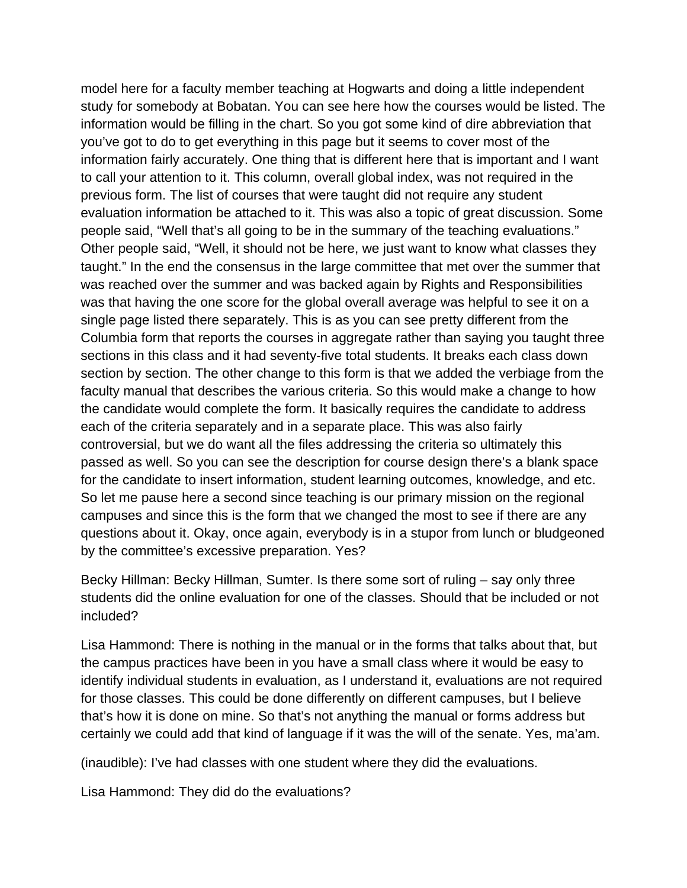model here for a faculty member teaching at Hogwarts and doing a little independent study for somebody at Bobatan. You can see here how the courses would be listed. The information would be filling in the chart. So you got some kind of dire abbreviation that you've got to do to get everything in this page but it seems to cover most of the information fairly accurately. One thing that is different here that is important and I want to call your attention to it. This column, overall global index, was not required in the previous form. The list of courses that were taught did not require any student evaluation information be attached to it. This was also a topic of great discussion. Some people said, "Well that's all going to be in the summary of the teaching evaluations." Other people said, "Well, it should not be here, we just want to know what classes they taught." In the end the consensus in the large committee that met over the summer that was reached over the summer and was backed again by Rights and Responsibilities was that having the one score for the global overall average was helpful to see it on a single page listed there separately. This is as you can see pretty different from the Columbia form that reports the courses in aggregate rather than saying you taught three sections in this class and it had seventy-five total students. It breaks each class down section by section. The other change to this form is that we added the verbiage from the faculty manual that describes the various criteria. So this would make a change to how the candidate would complete the form. It basically requires the candidate to address each of the criteria separately and in a separate place. This was also fairly controversial, but we do want all the files addressing the criteria so ultimately this passed as well. So you can see the description for course design there's a blank space for the candidate to insert information, student learning outcomes, knowledge, and etc. So let me pause here a second since teaching is our primary mission on the regional campuses and since this is the form that we changed the most to see if there are any questions about it. Okay, once again, everybody is in a stupor from lunch or bludgeoned by the committee's excessive preparation. Yes?

Becky Hillman: Becky Hillman, Sumter. Is there some sort of ruling – say only three students did the online evaluation for one of the classes. Should that be included or not included?

Lisa Hammond: There is nothing in the manual or in the forms that talks about that, but the campus practices have been in you have a small class where it would be easy to identify individual students in evaluation, as I understand it, evaluations are not required for those classes. This could be done differently on different campuses, but I believe that's how it is done on mine. So that's not anything the manual or forms address but certainly we could add that kind of language if it was the will of the senate. Yes, ma'am.

(inaudible): I've had classes with one student where they did the evaluations.

Lisa Hammond: They did do the evaluations?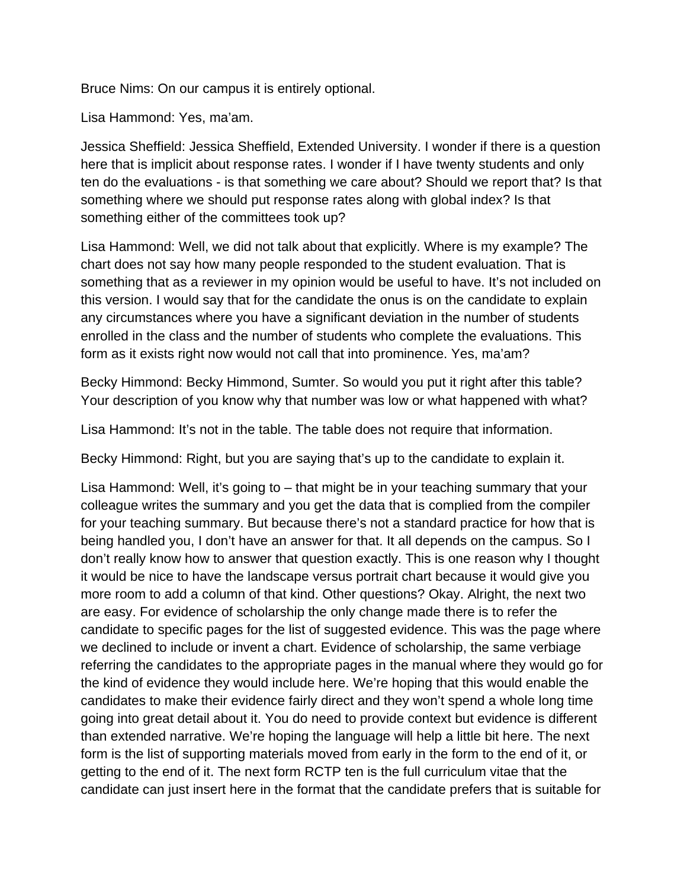Bruce Nims: On our campus it is entirely optional.

Lisa Hammond: Yes, ma'am.

Jessica Sheffield: Jessica Sheffield, Extended University. I wonder if there is a question here that is implicit about response rates. I wonder if I have twenty students and only ten do the evaluations - is that something we care about? Should we report that? Is that something where we should put response rates along with global index? Is that something either of the committees took up?

Lisa Hammond: Well, we did not talk about that explicitly. Where is my example? The chart does not say how many people responded to the student evaluation. That is something that as a reviewer in my opinion would be useful to have. It's not included on this version. I would say that for the candidate the onus is on the candidate to explain any circumstances where you have a significant deviation in the number of students enrolled in the class and the number of students who complete the evaluations. This form as it exists right now would not call that into prominence. Yes, ma'am?

Becky Himmond: Becky Himmond, Sumter. So would you put it right after this table? Your description of you know why that number was low or what happened with what?

Lisa Hammond: It's not in the table. The table does not require that information.

Becky Himmond: Right, but you are saying that's up to the candidate to explain it.

Lisa Hammond: Well, it's going to – that might be in your teaching summary that your colleague writes the summary and you get the data that is complied from the compiler for your teaching summary. But because there's not a standard practice for how that is being handled you, I don't have an answer for that. It all depends on the campus. So I don't really know how to answer that question exactly. This is one reason why I thought it would be nice to have the landscape versus portrait chart because it would give you more room to add a column of that kind. Other questions? Okay. Alright, the next two are easy. For evidence of scholarship the only change made there is to refer the candidate to specific pages for the list of suggested evidence. This was the page where we declined to include or invent a chart. Evidence of scholarship, the same verbiage referring the candidates to the appropriate pages in the manual where they would go for the kind of evidence they would include here. We're hoping that this would enable the candidates to make their evidence fairly direct and they won't spend a whole long time going into great detail about it. You do need to provide context but evidence is different than extended narrative. We're hoping the language will help a little bit here. The next form is the list of supporting materials moved from early in the form to the end of it, or getting to the end of it. The next form RCTP ten is the full curriculum vitae that the candidate can just insert here in the format that the candidate prefers that is suitable for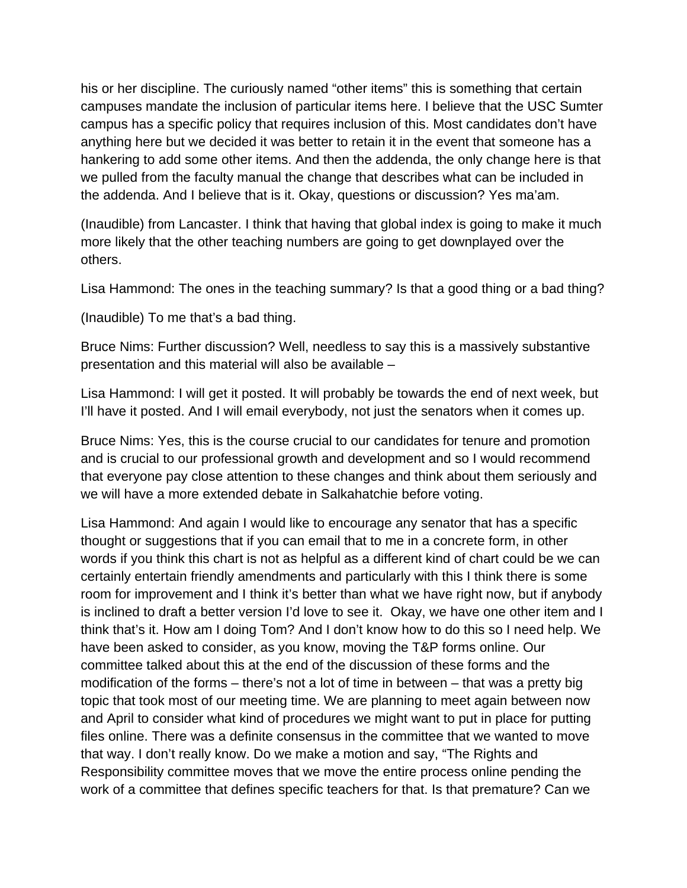his or her discipline. The curiously named "other items" this is something that certain campuses mandate the inclusion of particular items here. I believe that the USC Sumter campus has a specific policy that requires inclusion of this. Most candidates don't have anything here but we decided it was better to retain it in the event that someone has a hankering to add some other items. And then the addenda, the only change here is that we pulled from the faculty manual the change that describes what can be included in the addenda. And I believe that is it. Okay, questions or discussion? Yes ma'am.

(Inaudible) from Lancaster. I think that having that global index is going to make it much more likely that the other teaching numbers are going to get downplayed over the others.

Lisa Hammond: The ones in the teaching summary? Is that a good thing or a bad thing?

(Inaudible) To me that's a bad thing.

Bruce Nims: Further discussion? Well, needless to say this is a massively substantive presentation and this material will also be available –

Lisa Hammond: I will get it posted. It will probably be towards the end of next week, but I'll have it posted. And I will email everybody, not just the senators when it comes up.

Bruce Nims: Yes, this is the course crucial to our candidates for tenure and promotion and is crucial to our professional growth and development and so I would recommend that everyone pay close attention to these changes and think about them seriously and we will have a more extended debate in Salkahatchie before voting.

Lisa Hammond: And again I would like to encourage any senator that has a specific thought or suggestions that if you can email that to me in a concrete form, in other words if you think this chart is not as helpful as a different kind of chart could be we can certainly entertain friendly amendments and particularly with this I think there is some room for improvement and I think it's better than what we have right now, but if anybody is inclined to draft a better version I'd love to see it. Okay, we have one other item and I think that's it. How am I doing Tom? And I don't know how to do this so I need help. We have been asked to consider, as you know, moving the T&P forms online. Our committee talked about this at the end of the discussion of these forms and the modification of the forms – there's not a lot of time in between – that was a pretty big topic that took most of our meeting time. We are planning to meet again between now and April to consider what kind of procedures we might want to put in place for putting files online. There was a definite consensus in the committee that we wanted to move that way. I don't really know. Do we make a motion and say, "The Rights and Responsibility committee moves that we move the entire process online pending the work of a committee that defines specific teachers for that. Is that premature? Can we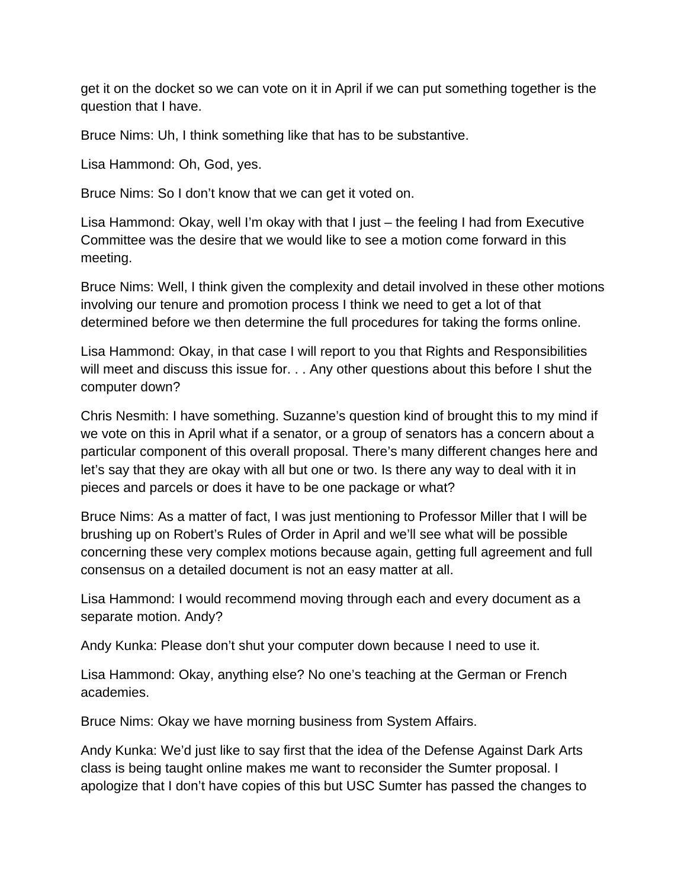get it on the docket so we can vote on it in April if we can put something together is the question that I have.

Bruce Nims: Uh, I think something like that has to be substantive.

Lisa Hammond: Oh, God, yes.

Bruce Nims: So I don't know that we can get it voted on.

Lisa Hammond: Okay, well I'm okay with that I just – the feeling I had from Executive Committee was the desire that we would like to see a motion come forward in this meeting.

Bruce Nims: Well, I think given the complexity and detail involved in these other motions involving our tenure and promotion process I think we need to get a lot of that determined before we then determine the full procedures for taking the forms online.

Lisa Hammond: Okay, in that case I will report to you that Rights and Responsibilities will meet and discuss this issue for. . . Any other questions about this before I shut the computer down?

Chris Nesmith: I have something. Suzanne's question kind of brought this to my mind if we vote on this in April what if a senator, or a group of senators has a concern about a particular component of this overall proposal. There's many different changes here and let's say that they are okay with all but one or two. Is there any way to deal with it in pieces and parcels or does it have to be one package or what?

Bruce Nims: As a matter of fact, I was just mentioning to Professor Miller that I will be brushing up on Robert's Rules of Order in April and we'll see what will be possible concerning these very complex motions because again, getting full agreement and full consensus on a detailed document is not an easy matter at all.

Lisa Hammond: I would recommend moving through each and every document as a separate motion. Andy?

Andy Kunka: Please don't shut your computer down because I need to use it.

Lisa Hammond: Okay, anything else? No one's teaching at the German or French academies.

Bruce Nims: Okay we have morning business from System Affairs.

Andy Kunka: We'd just like to say first that the idea of the Defense Against Dark Arts class is being taught online makes me want to reconsider the Sumter proposal. I apologize that I don't have copies of this but USC Sumter has passed the changes to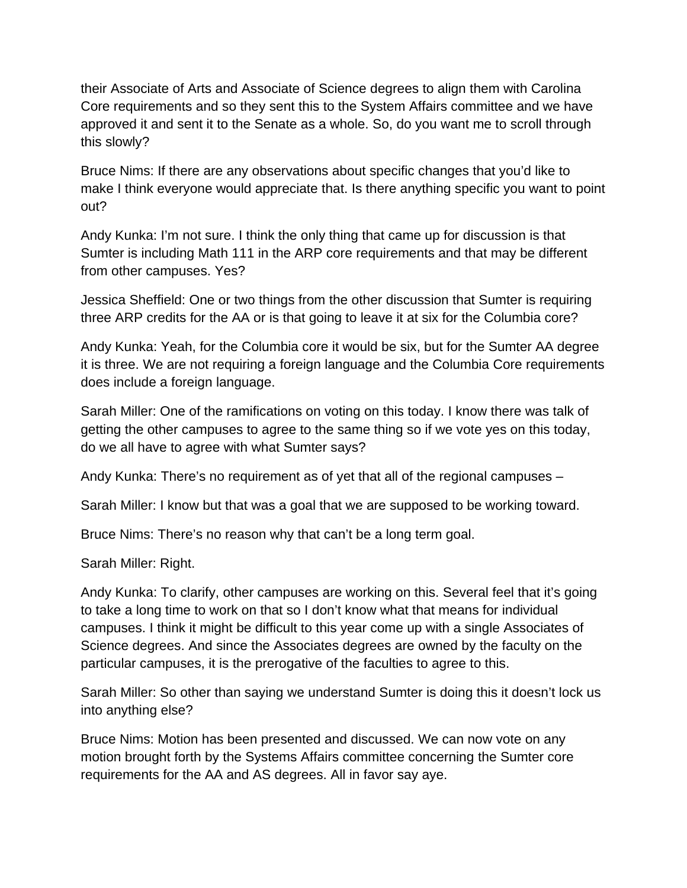their Associate of Arts and Associate of Science degrees to align them with Carolina Core requirements and so they sent this to the System Affairs committee and we have approved it and sent it to the Senate as a whole. So, do you want me to scroll through this slowly?

Bruce Nims: If there are any observations about specific changes that you'd like to make I think everyone would appreciate that. Is there anything specific you want to point out?

Andy Kunka: I'm not sure. I think the only thing that came up for discussion is that Sumter is including Math 111 in the ARP core requirements and that may be different from other campuses. Yes?

Jessica Sheffield: One or two things from the other discussion that Sumter is requiring three ARP credits for the AA or is that going to leave it at six for the Columbia core?

Andy Kunka: Yeah, for the Columbia core it would be six, but for the Sumter AA degree it is three. We are not requiring a foreign language and the Columbia Core requirements does include a foreign language.

Sarah Miller: One of the ramifications on voting on this today. I know there was talk of getting the other campuses to agree to the same thing so if we vote yes on this today, do we all have to agree with what Sumter says?

Andy Kunka: There's no requirement as of yet that all of the regional campuses –

Sarah Miller: I know but that was a goal that we are supposed to be working toward.

Bruce Nims: There's no reason why that can't be a long term goal.

Sarah Miller: Right.

Andy Kunka: To clarify, other campuses are working on this. Several feel that it's going to take a long time to work on that so I don't know what that means for individual campuses. I think it might be difficult to this year come up with a single Associates of Science degrees. And since the Associates degrees are owned by the faculty on the particular campuses, it is the prerogative of the faculties to agree to this.

Sarah Miller: So other than saying we understand Sumter is doing this it doesn't lock us into anything else?

Bruce Nims: Motion has been presented and discussed. We can now vote on any motion brought forth by the Systems Affairs committee concerning the Sumter core requirements for the AA and AS degrees. All in favor say aye.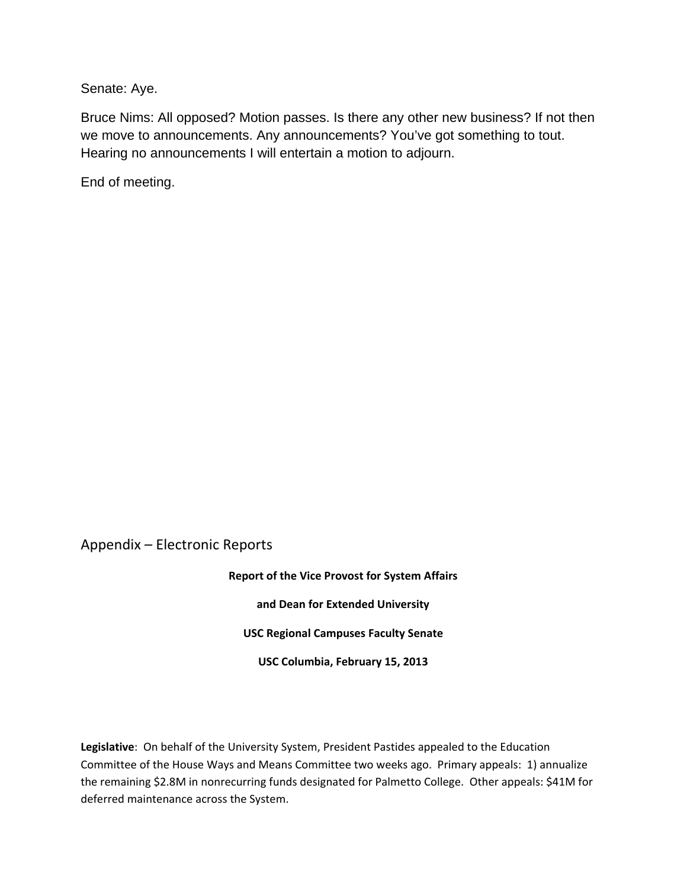Senate: Aye.

Bruce Nims: All opposed? Motion passes. Is there any other new business? If not then we move to announcements. Any announcements? You've got something to tout. Hearing no announcements I will entertain a motion to adjourn.

End of meeting.

Appendix – Electronic Reports

**Report of the Vice Provost for System Affairs and Dean for Extended University USC Regional Campuses Faculty Senate USC Columbia, February 15, 2013**

**Legislative**: On behalf of the University System, President Pastides appealed to the Education Committee of the House Ways and Means Committee two weeks ago. Primary appeals: 1) annualize the remaining \$2.8M in nonrecurring funds designated for Palmetto College. Other appeals: \$41M for deferred maintenance across the System.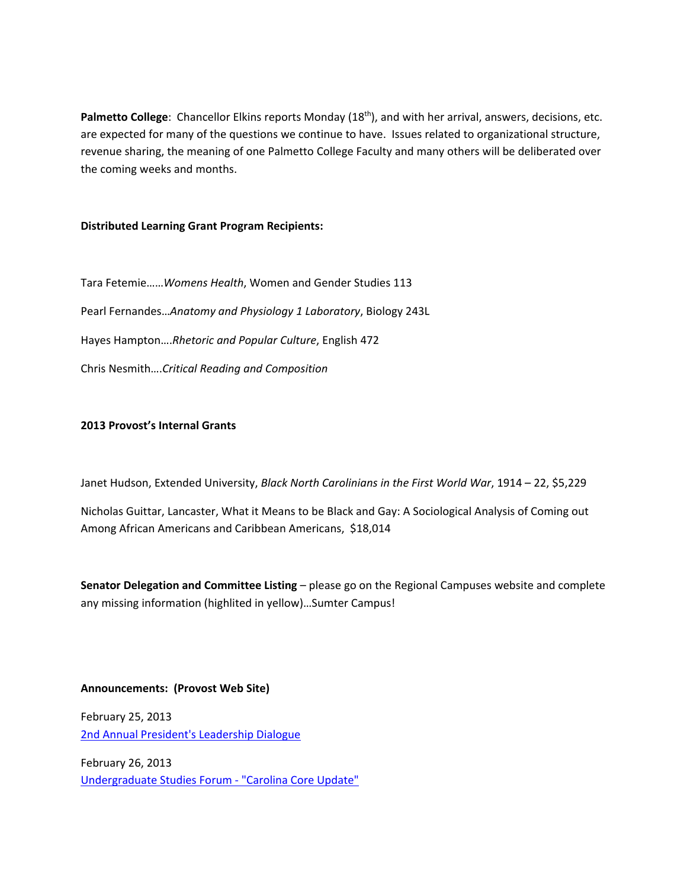Palmetto College: Chancellor Elkins reports Monday (18<sup>th</sup>), and with her arrival, answers, decisions, etc. are expected for many of the questions we continue to have. Issues related to organizational structure, revenue sharing, the meaning of one Palmetto College Faculty and many others will be deliberated over the coming weeks and months.

#### **Distributed Learning Grant Program Recipients:**

Tara Fetemie……*Womens Health*, Women and Gender Studies 113 Pearl Fernandes…*Anatomy and Physiology 1 Laboratory*, Biology 243L Hayes Hampton….*Rhetoric and Popular Culture*, English 472 Chris Nesmith….*Critical Reading and Composition*

#### **2013 Provost's Internal Grants**

Janet Hudson, Extended University, *Black North Carolinians in the First World War*, 1914 – 22, \$5,229

Nicholas Guittar, Lancaster, What it Means to be Black and Gay: A Sociological Analysis of Coming out Among African Americans and Caribbean Americans, \$18,014

**Senator Delegation and Committee Listing** – please go on the Regional Campuses website and complete any missing information (highlited in yellow)…Sumter Campus!

#### **Announcements: (Provost Web Site)**

February 25, 2013 2nd Annual President's Leadership Dialogue

February 26, 2013 Undergraduate Studies Forum ‐ "Carolina Core Update"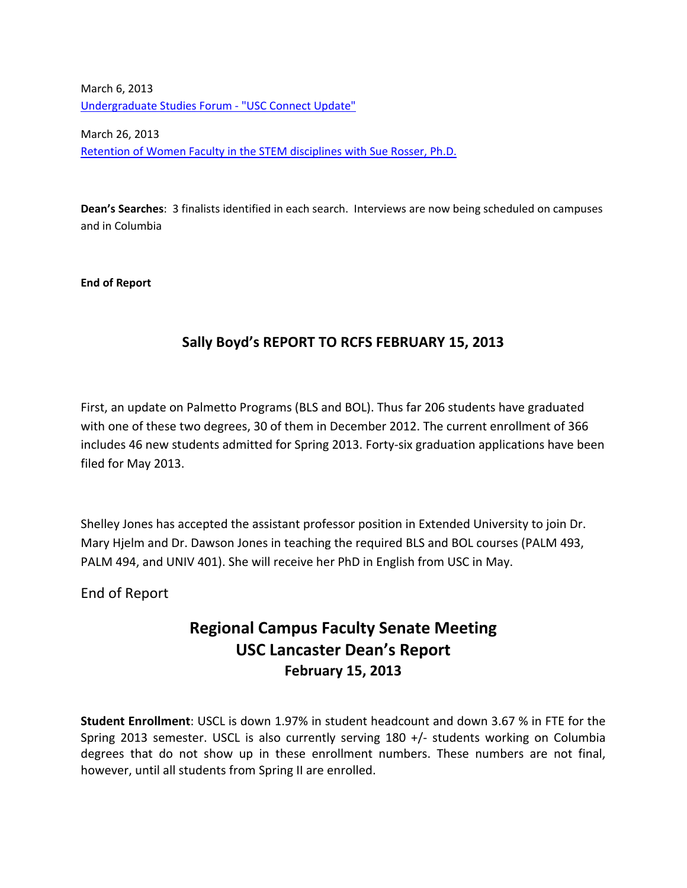March 6, 2013 Undergraduate Studies Forum ‐ "USC Connect Update"

March 26, 2013 Retention of Women Faculty in the STEM disciplines with Sue Rosser, Ph.D.

**Dean's Searches**: 3 finalists identified in each search. Interviews are now being scheduled on campuses and in Columbia

**End of Report**

### **Sally Boyd's REPORT TO RCFS FEBRUARY 15, 2013**

First, an update on Palmetto Programs (BLS and BOL). Thus far 206 students have graduated with one of these two degrees, 30 of them in December 2012. The current enrollment of 366 includes 46 new students admitted for Spring 2013. Forty‐six graduation applications have been filed for May 2013.

Shelley Jones has accepted the assistant professor position in Extended University to join Dr. Mary Hjelm and Dr. Dawson Jones in teaching the required BLS and BOL courses (PALM 493, PALM 494, and UNIV 401). She will receive her PhD in English from USC in May.

End of Report

# **Regional Campus Faculty Senate Meeting USC Lancaster Dean's Report February 15, 2013**

**Student Enrollment**: USCL is down 1.97% in student headcount and down 3.67 % in FTE for the Spring 2013 semester. USCL is also currently serving 180 +/‐ students working on Columbia degrees that do not show up in these enrollment numbers. These numbers are not final, however, until all students from Spring II are enrolled.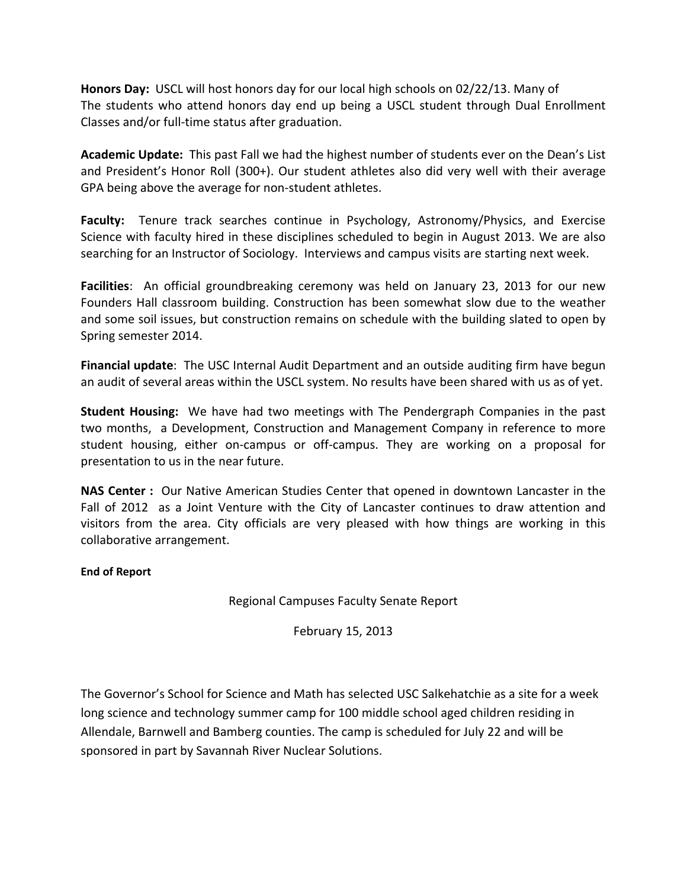**Honors Day:** USCL will host honors day for our local high schools on 02/22/13. Many of The students who attend honors day end up being a USCL student through Dual Enrollment Classes and/or full‐time status after graduation.

**Academic Update:** This past Fall we had the highest number of students ever on the Dean's List and President's Honor Roll (300+). Our student athletes also did very well with their average GPA being above the average for non‐student athletes.

**Faculty:** Tenure track searches continue in Psychology, Astronomy/Physics, and Exercise Science with faculty hired in these disciplines scheduled to begin in August 2013. We are also searching for an Instructor of Sociology. Interviews and campus visits are starting next week.

**Facilities**: An official groundbreaking ceremony was held on January 23, 2013 for our new Founders Hall classroom building. Construction has been somewhat slow due to the weather and some soil issues, but construction remains on schedule with the building slated to open by Spring semester 2014.

**Financial update**: The USC Internal Audit Department and an outside auditing firm have begun an audit of several areas within the USCL system. No results have been shared with us as of yet.

**Student Housing:** We have had two meetings with The Pendergraph Companies in the past two months, a Development, Construction and Management Company in reference to more student housing, either on‐campus or off‐campus. They are working on a proposal for presentation to us in the near future.

**NAS Center :** Our Native American Studies Center that opened in downtown Lancaster in the Fall of 2012 as a Joint Venture with the City of Lancaster continues to draw attention and visitors from the area. City officials are very pleased with how things are working in this collaborative arrangement.

#### **End of Report**

Regional Campuses Faculty Senate Report

February 15, 2013

The Governor's School for Science and Math has selected USC Salkehatchie as a site for a week long science and technology summer camp for 100 middle school aged children residing in Allendale, Barnwell and Bamberg counties. The camp is scheduled for July 22 and will be sponsored in part by Savannah River Nuclear Solutions.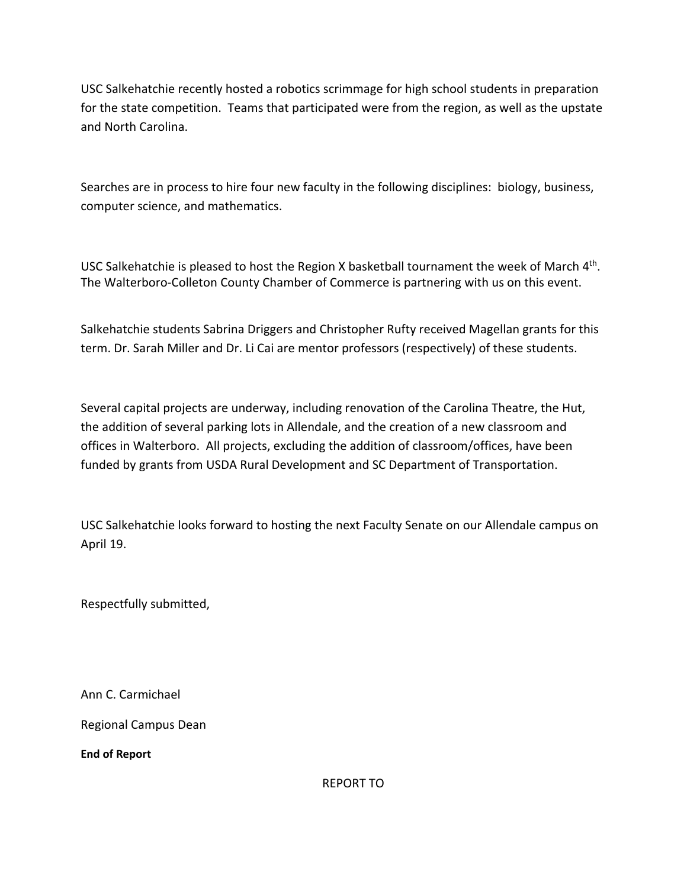USC Salkehatchie recently hosted a robotics scrimmage for high school students in preparation for the state competition. Teams that participated were from the region, as well as the upstate and North Carolina.

Searches are in process to hire four new faculty in the following disciplines: biology, business, computer science, and mathematics.

USC Salkehatchie is pleased to host the Region X basketball tournament the week of March 4th. The Walterboro-Colleton County Chamber of Commerce is partnering with us on this event.

Salkehatchie students Sabrina Driggers and Christopher Rufty received Magellan grants for this term. Dr. Sarah Miller and Dr. Li Cai are mentor professors (respectively) of these students.

Several capital projects are underway, including renovation of the Carolina Theatre, the Hut, the addition of several parking lots in Allendale, and the creation of a new classroom and offices in Walterboro. All projects, excluding the addition of classroom/offices, have been funded by grants from USDA Rural Development and SC Department of Transportation.

USC Salkehatchie looks forward to hosting the next Faculty Senate on our Allendale campus on April 19.

Respectfully submitted,

Ann C. Carmichael

Regional Campus Dean

**End of Report**

REPORT TO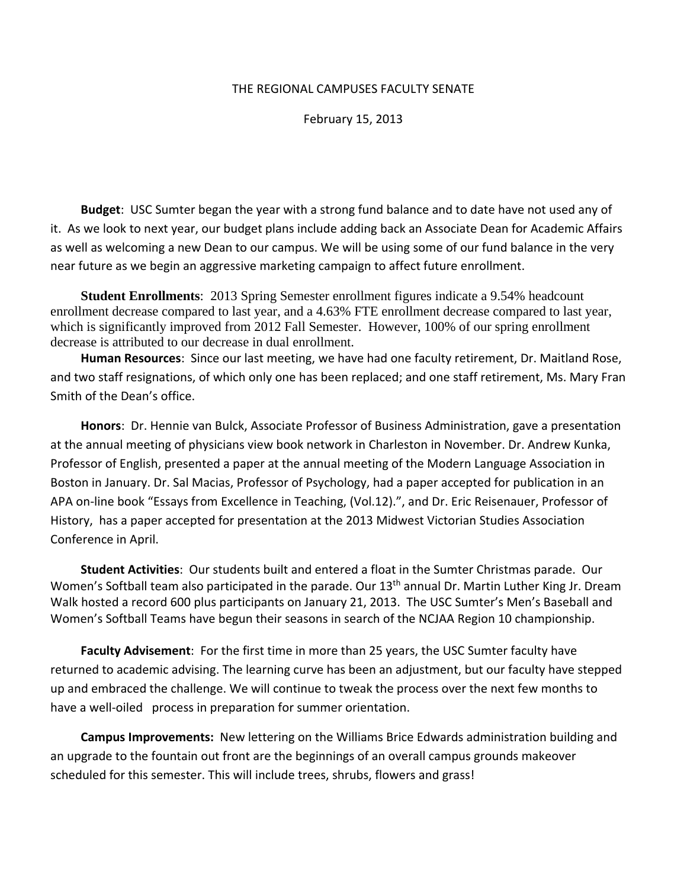#### THE REGIONAL CAMPUSES FACULTY SENATE

February 15, 2013

**Budget**: USC Sumter began the year with a strong fund balance and to date have not used any of it. As we look to next year, our budget plans include adding back an Associate Dean for Academic Affairs as well as welcoming a new Dean to our campus. We will be using some of our fund balance in the very near future as we begin an aggressive marketing campaign to affect future enrollment.

**Student Enrollments**: 2013 Spring Semester enrollment figures indicate a 9.54% headcount enrollment decrease compared to last year, and a 4.63% FTE enrollment decrease compared to last year, which is significantly improved from 2012 Fall Semester. However, 100% of our spring enrollment decrease is attributed to our decrease in dual enrollment.

**Human Resources**: Since our last meeting, we have had one faculty retirement, Dr. Maitland Rose, and two staff resignations, of which only one has been replaced; and one staff retirement, Ms. Mary Fran Smith of the Dean's office.

**Honors**: Dr. Hennie van Bulck, Associate Professor of Business Administration, gave a presentation at the annual meeting of physicians view book network in Charleston in November. Dr. Andrew Kunka, Professor of English, presented a paper at the annual meeting of the Modern Language Association in Boston in January. Dr. Sal Macias, Professor of Psychology, had a paper accepted for publication in an APA on‐line book "Essays from Excellence in Teaching, (Vol.12).", and Dr. Eric Reisenauer, Professor of History, has a paper accepted for presentation at the 2013 Midwest Victorian Studies Association Conference in April.

**Student Activities**: Our students built and entered a float in the Sumter Christmas parade. Our Women's Softball team also participated in the parade. Our 13<sup>th</sup> annual Dr. Martin Luther King Jr. Dream Walk hosted a record 600 plus participants on January 21, 2013. The USC Sumter's Men's Baseball and Women's Softball Teams have begun their seasons in search of the NCJAA Region 10 championship.

**Faculty Advisement**: For the first time in more than 25 years, the USC Sumter faculty have returned to academic advising. The learning curve has been an adjustment, but our faculty have stepped up and embraced the challenge. We will continue to tweak the process over the next few months to have a well-oiled process in preparation for summer orientation.

**Campus Improvements:** New lettering on the Williams Brice Edwards administration building and an upgrade to the fountain out front are the beginnings of an overall campus grounds makeover scheduled for this semester. This will include trees, shrubs, flowers and grass!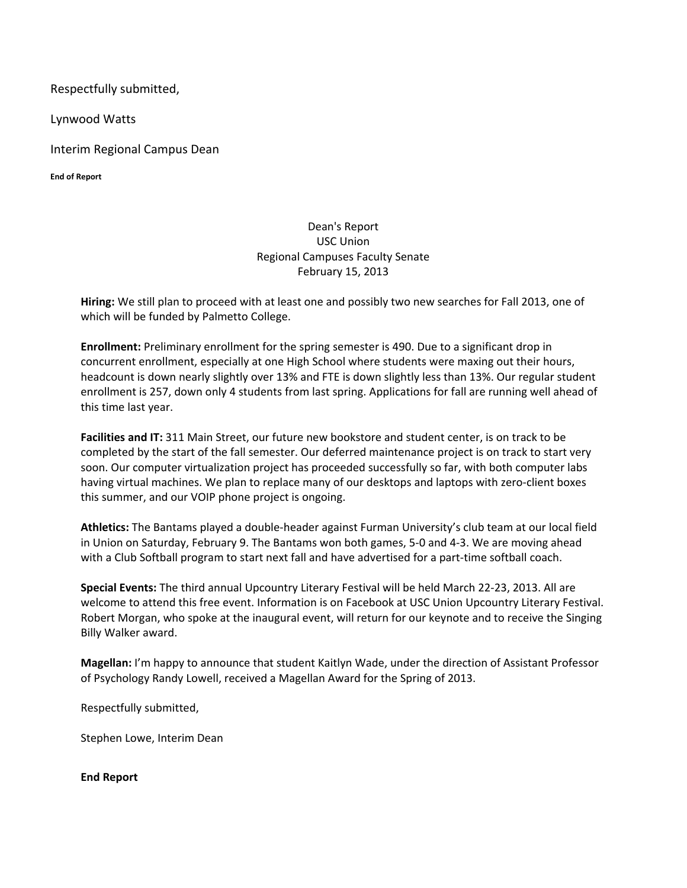Respectfully submitted,

Lynwood Watts

Interim Regional Campus Dean

**End of Report**

#### Dean's Report USC Union Regional Campuses Faculty Senate February 15, 2013

**Hiring:** We still plan to proceed with at least one and possibly two new searches for Fall 2013, one of which will be funded by Palmetto College.

**Enrollment:** Preliminary enrollment for the spring semester is 490. Due to a significant drop in concurrent enrollment, especially at one High School where students were maxing out their hours, headcount is down nearly slightly over 13% and FTE is down slightly less than 13%. Our regular student enrollment is 257, down only 4 students from last spring. Applications for fall are running well ahead of this time last year.

**Facilities and IT:** 311 Main Street, our future new bookstore and student center, is on track to be completed by the start of the fall semester. Our deferred maintenance project is on track to start very soon. Our computer virtualization project has proceeded successfully so far, with both computer labs having virtual machines. We plan to replace many of our desktops and laptops with zero‐client boxes this summer, and our VOIP phone project is ongoing.

**Athletics:** The Bantams played a double‐header against Furman University's club team at our local field in Union on Saturday, February 9. The Bantams won both games, 5‐0 and 4‐3. We are moving ahead with a Club Softball program to start next fall and have advertised for a part-time softball coach.

**Special Events:** The third annual Upcountry Literary Festival will be held March 22‐23, 2013. All are welcome to attend this free event. Information is on Facebook at USC Union Upcountry Literary Festival. Robert Morgan, who spoke at the inaugural event, will return for our keynote and to receive the Singing Billy Walker award.

**Magellan:** I'm happy to announce that student Kaitlyn Wade, under the direction of Assistant Professor of Psychology Randy Lowell, received a Magellan Award for the Spring of 2013.

Respectfully submitted,

Stephen Lowe, Interim Dean

**End Report**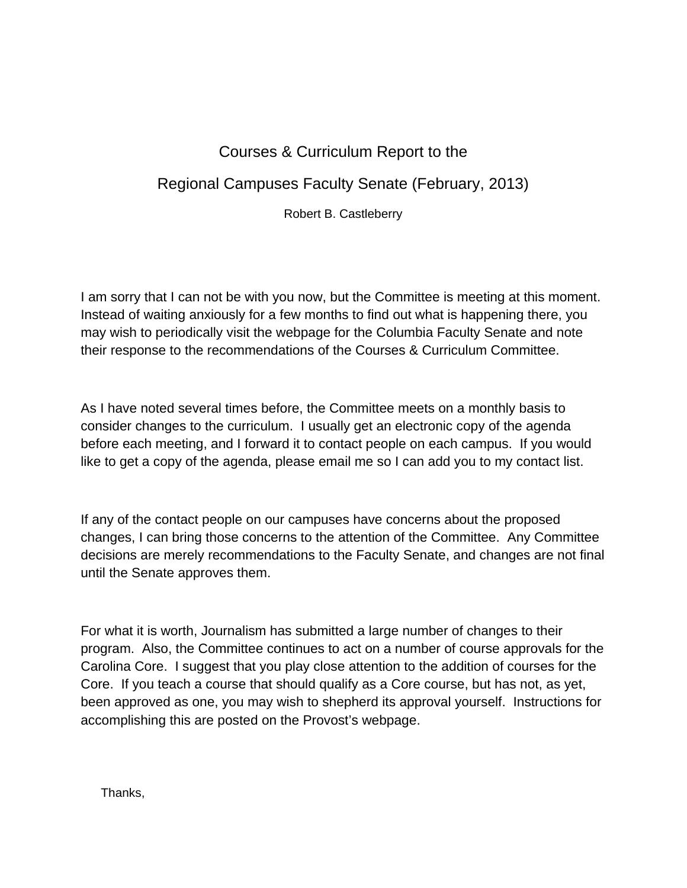# Courses & Curriculum Report to the

# Regional Campuses Faculty Senate (February, 2013)

Robert B. Castleberry

I am sorry that I can not be with you now, but the Committee is meeting at this moment. Instead of waiting anxiously for a few months to find out what is happening there, you may wish to periodically visit the webpage for the Columbia Faculty Senate and note their response to the recommendations of the Courses & Curriculum Committee.

As I have noted several times before, the Committee meets on a monthly basis to consider changes to the curriculum. I usually get an electronic copy of the agenda before each meeting, and I forward it to contact people on each campus. If you would like to get a copy of the agenda, please email me so I can add you to my contact list.

If any of the contact people on our campuses have concerns about the proposed changes, I can bring those concerns to the attention of the Committee. Any Committee decisions are merely recommendations to the Faculty Senate, and changes are not final until the Senate approves them.

For what it is worth, Journalism has submitted a large number of changes to their program. Also, the Committee continues to act on a number of course approvals for the Carolina Core. I suggest that you play close attention to the addition of courses for the Core. If you teach a course that should qualify as a Core course, but has not, as yet, been approved as one, you may wish to shepherd its approval yourself. Instructions for accomplishing this are posted on the Provost's webpage.

Thanks,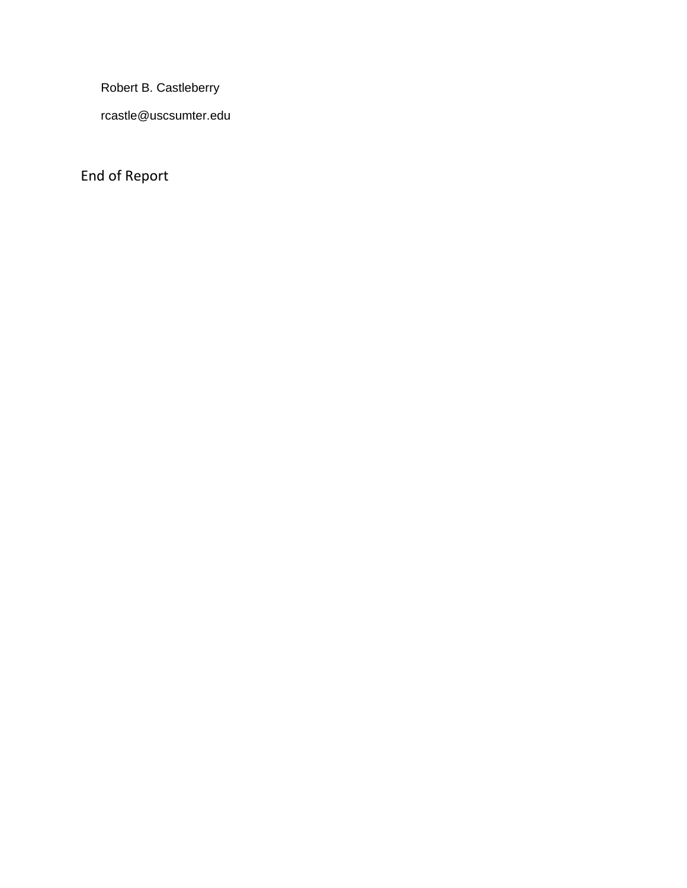Robert B. Castleberry

rcastle@uscsumter.edu

End of Report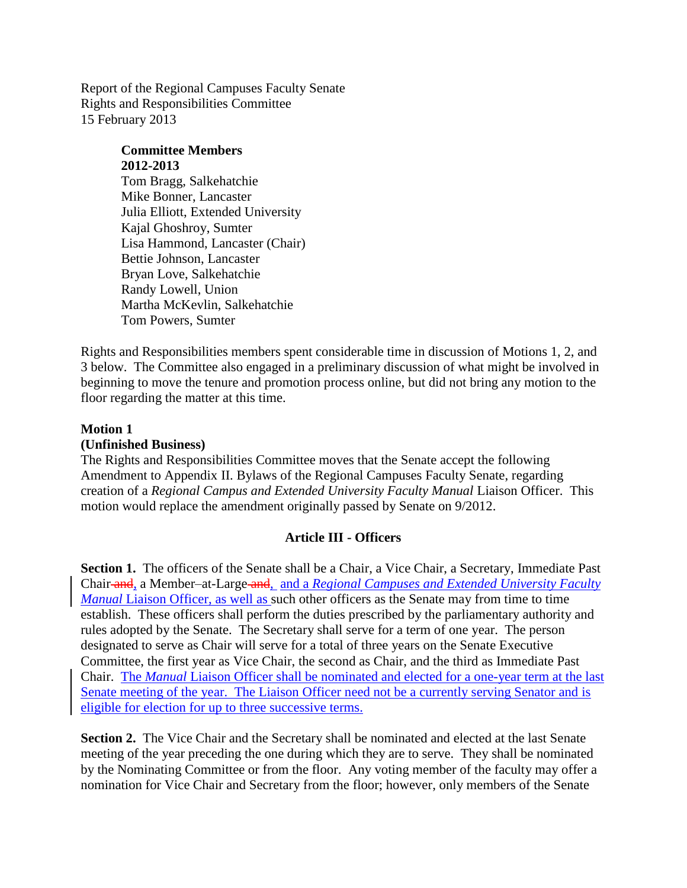Report of the Regional Campuses Faculty Senate Rights and Responsibilities Committee 15 February 2013

# **Committee Members 2012-2013**

Tom Bragg, Salkehatchie Mike Bonner, Lancaster Julia Elliott, Extended University Kajal Ghoshroy, Sumter Lisa Hammond, Lancaster (Chair) Bettie Johnson, Lancaster Bryan Love, Salkehatchie Randy Lowell, Union Martha McKevlin, Salkehatchie Tom Powers, Sumter

Rights and Responsibilities members spent considerable time in discussion of Motions 1, 2, and 3 below. The Committee also engaged in a preliminary discussion of what might be involved in beginning to move the tenure and promotion process online, but did not bring any motion to the floor regarding the matter at this time.

#### **Motion 1**

#### **(Unfinished Business)**

The Rights and Responsibilities Committee moves that the Senate accept the following Amendment to Appendix II. Bylaws of the Regional Campuses Faculty Senate, regarding creation of a *Regional Campus and Extended University Faculty Manual* Liaison Officer. This motion would replace the amendment originally passed by Senate on 9/2012.

#### **Article III - Officers**

**Section 1.** The officers of the Senate shall be a Chair, a Vice Chair, a Secretary, Immediate Past Chair and, a Member–at-Large and, and a *Regional Campuses and Extended University Faculty Manual* Liaison Officer, as well as such other officers as the Senate may from time to time establish. These officers shall perform the duties prescribed by the parliamentary authority and rules adopted by the Senate. The Secretary shall serve for a term of one year. The person designated to serve as Chair will serve for a total of three years on the Senate Executive Committee, the first year as Vice Chair, the second as Chair, and the third as Immediate Past Chair. The *Manual* Liaison Officer shall be nominated and elected for a one-year term at the last Senate meeting of the year. The Liaison Officer need not be a currently serving Senator and is eligible for election for up to three successive terms.

**Section 2.** The Vice Chair and the Secretary shall be nominated and elected at the last Senate meeting of the year preceding the one during which they are to serve. They shall be nominated by the Nominating Committee or from the floor. Any voting member of the faculty may offer a nomination for Vice Chair and Secretary from the floor; however, only members of the Senate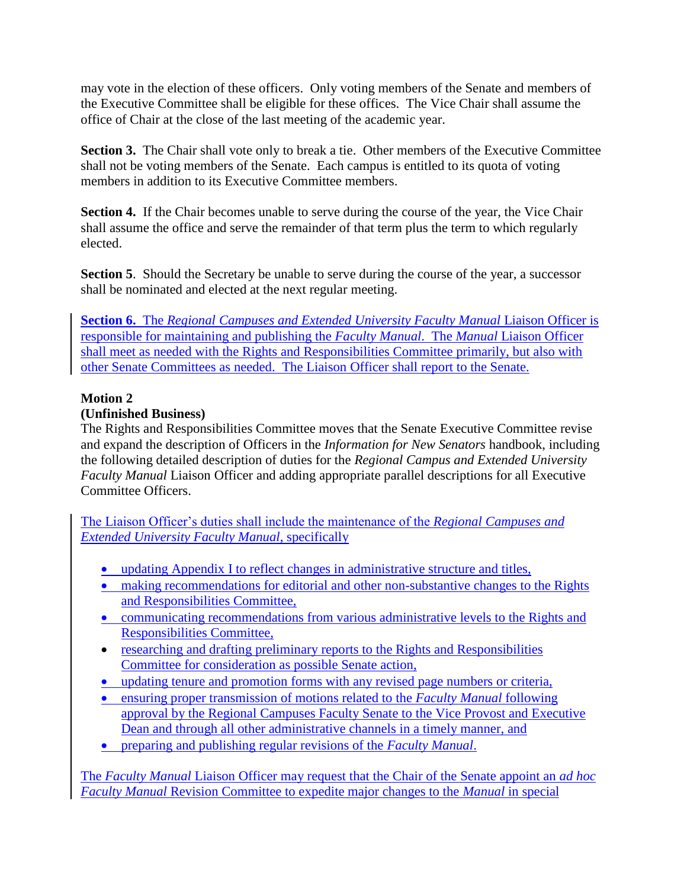may vote in the election of these officers. Only voting members of the Senate and members of the Executive Committee shall be eligible for these offices. The Vice Chair shall assume the office of Chair at the close of the last meeting of the academic year.

**Section 3.** The Chair shall vote only to break a tie. Other members of the Executive Committee shall not be voting members of the Senate. Each campus is entitled to its quota of voting members in addition to its Executive Committee members.

Section 4. If the Chair becomes unable to serve during the course of the year, the Vice Chair shall assume the office and serve the remainder of that term plus the term to which regularly elected.

**Section 5.** Should the Secretary be unable to serve during the course of the year, a successor shall be nominated and elected at the next regular meeting.

**Section 6.** The *Regional Campuses and Extended University Faculty Manual Liaison Officer is* responsible for maintaining and publishing the *Faculty Manual*. The *Manual* Liaison Officer shall meet as needed with the Rights and Responsibilities Committee primarily, but also with other Senate Committees as needed. The Liaison Officer shall report to the Senate.

### **Motion 2**

### **(Unfinished Business)**

The Rights and Responsibilities Committee moves that the Senate Executive Committee revise and expand the description of Officers in the *Information for New Senators* handbook, including the following detailed description of duties for the *Regional Campus and Extended University Faculty Manual* Liaison Officer and adding appropriate parallel descriptions for all Executive Committee Officers.

The Liaison Officer's duties shall include the maintenance of the *Regional Campuses and Extended University Faculty Manual*, specifically

- updating Appendix I to reflect changes in administrative structure and titles,
- making recommendations for editorial and other non-substantive changes to the Rights and Responsibilities Committee,
- communicating recommendations from various administrative levels to the Rights and Responsibilities Committee,
- researching and drafting preliminary reports to the Rights and Responsibilities Committee for consideration as possible Senate action,
- updating tenure and promotion forms with any revised page numbers or criteria,
- ensuring proper transmission of motions related to the *Faculty Manual* following approval by the Regional Campuses Faculty Senate to the Vice Provost and Executive Dean and through all other administrative channels in a timely manner, and
- preparing and publishing regular revisions of the *Faculty Manual*.

The *Faculty Manual* Liaison Officer may request that the Chair of the Senate appoint an *ad hoc Faculty Manual* Revision Committee to expedite major changes to the *Manual* in special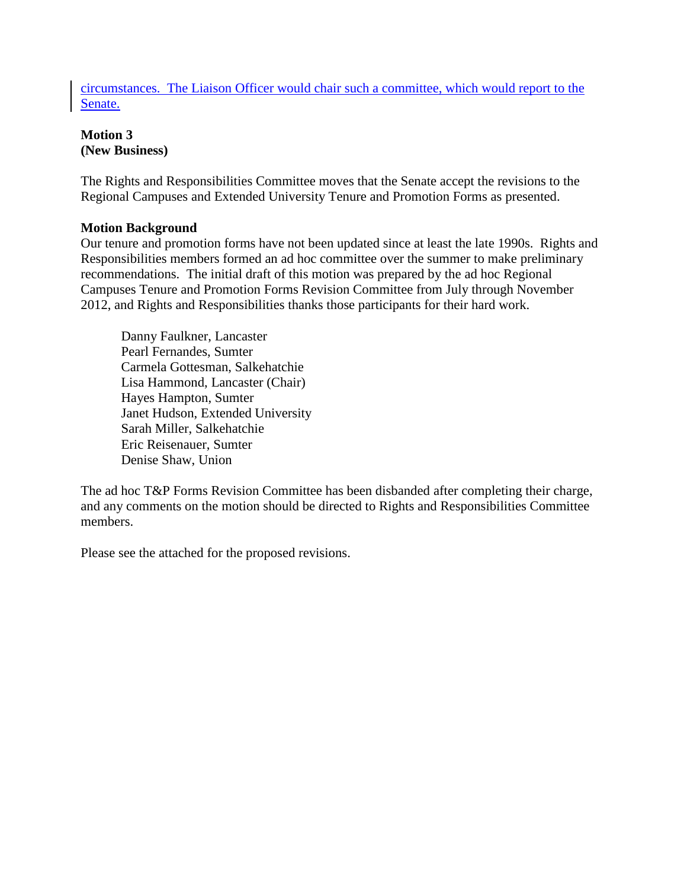circumstances. The Liaison Officer would chair such a committee, which would report to the Senate.

### **Motion 3 (New Business)**

The Rights and Responsibilities Committee moves that the Senate accept the revisions to the Regional Campuses and Extended University Tenure and Promotion Forms as presented.

#### **Motion Background**

Our tenure and promotion forms have not been updated since at least the late 1990s. Rights and Responsibilities members formed an ad hoc committee over the summer to make preliminary recommendations. The initial draft of this motion was prepared by the ad hoc Regional Campuses Tenure and Promotion Forms Revision Committee from July through November 2012, and Rights and Responsibilities thanks those participants for their hard work.

Danny Faulkner, Lancaster Pearl Fernandes, Sumter Carmela Gottesman, Salkehatchie Lisa Hammond, Lancaster (Chair) Hayes Hampton, Sumter Janet Hudson, Extended University Sarah Miller, Salkehatchie Eric Reisenauer, Sumter Denise Shaw, Union

The ad hoc T&P Forms Revision Committee has been disbanded after completing their charge, and any comments on the motion should be directed to Rights and Responsibilities Committee members.

Please see the attached for the proposed revisions.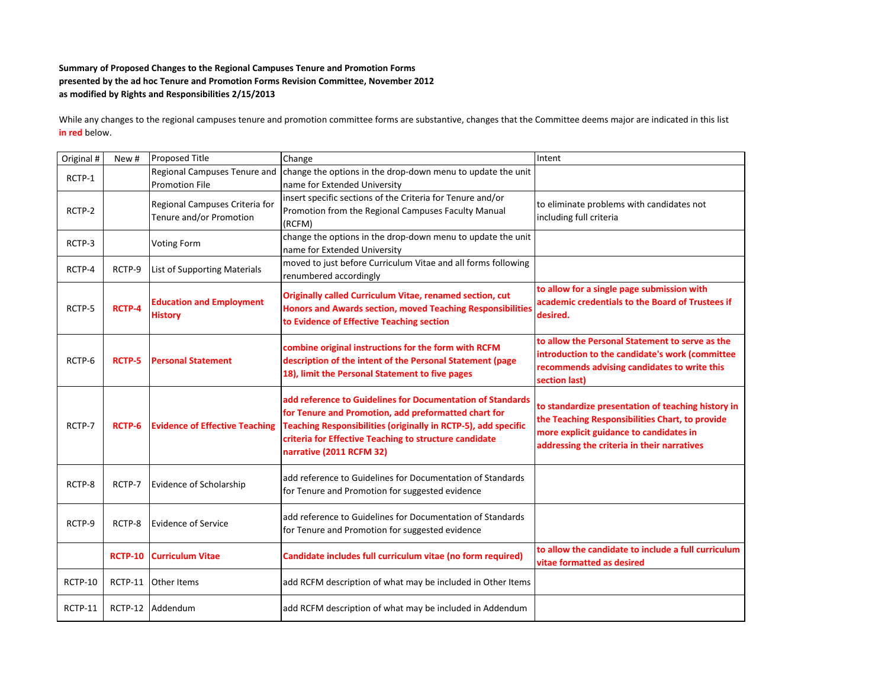#### **Summary of Proposed Changes to the Regional Campuses Tenure and Promotion Forms presented by the ad hoc Tenure and Promotion Forms Revision Committee, November 2012 as modified by Rights and Responsibilities 2/15/2013**

While any changes to the regional campuses tenure and promotion committee forms are substantive, changes that the Committee deems major are indicated in this list **in red** below.

| Original # | New #          | <b>Proposed Title</b>                                     | Change                                                                                                                                                                                                                                                                     | Intent                                                                                                                                                                                          |
|------------|----------------|-----------------------------------------------------------|----------------------------------------------------------------------------------------------------------------------------------------------------------------------------------------------------------------------------------------------------------------------------|-------------------------------------------------------------------------------------------------------------------------------------------------------------------------------------------------|
| RCTP-1     |                | Regional Campuses Tenure and<br><b>Promotion File</b>     | change the options in the drop-down menu to update the unit<br>name for Extended University                                                                                                                                                                                |                                                                                                                                                                                                 |
| RCTP-2     |                | Regional Campuses Criteria for<br>Tenure and/or Promotion | insert specific sections of the Criteria for Tenure and/or<br>Promotion from the Regional Campuses Faculty Manual<br>(RCFM)                                                                                                                                                | to eliminate problems with candidates not<br>including full criteria                                                                                                                            |
| RCTP-3     |                | <b>Voting Form</b>                                        | change the options in the drop-down menu to update the unit<br>name for Extended University                                                                                                                                                                                |                                                                                                                                                                                                 |
| RCTP-4     | RCTP-9         | <b>List of Supporting Materials</b>                       | moved to just before Curriculum Vitae and all forms following<br>renumbered accordingly                                                                                                                                                                                    |                                                                                                                                                                                                 |
| RCTP-5     | <b>RCTP-4</b>  | <b>Education and Employment</b><br><b>History</b>         | <b>Originally called Curriculum Vitae, renamed section, cut</b><br>Honors and Awards section, moved Teaching Responsibilities<br>to Evidence of Effective Teaching section                                                                                                 | to allow for a single page submission with<br>academic credentials to the Board of Trustees if<br>desired.                                                                                      |
| RCTP-6     | <b>RCTP-5</b>  | <b>Personal Statement</b>                                 | combine original instructions for the form with RCFM<br>description of the intent of the Personal Statement (page<br>18), limit the Personal Statement to five pages                                                                                                       | to allow the Personal Statement to serve as the<br>introduction to the candidate's work (committee<br>recommends advising candidates to write this<br>section last)                             |
| RCTP-7     | RCTP-6         | <b>Evidence of Effective Teaching</b>                     | add reference to Guidelines for Documentation of Standards<br>for Tenure and Promotion, add preformatted chart for<br>Teaching Responsibilities (originally in RCTP-5), add specific<br>criteria for Effective Teaching to structure candidate<br>narrative (2011 RCFM 32) | to standardize presentation of teaching history in<br>the Teaching Responsibilities Chart, to provide<br>more explicit guidance to candidates in<br>addressing the criteria in their narratives |
| RCTP-8     | RCTP-7         | <b>Evidence of Scholarship</b>                            | add reference to Guidelines for Documentation of Standards<br>for Tenure and Promotion for suggested evidence                                                                                                                                                              |                                                                                                                                                                                                 |
| RCTP-9     | RCTP-8         | Evidence of Service                                       | add reference to Guidelines for Documentation of Standards<br>for Tenure and Promotion for suggested evidence                                                                                                                                                              |                                                                                                                                                                                                 |
|            | <b>RCTP-10</b> | <b>Curriculum Vitae</b>                                   | Candidate includes full curriculum vitae (no form required)                                                                                                                                                                                                                | to allow the candidate to include a full curriculum<br>vitae formatted as desired                                                                                                               |
| RCTP-10    | RCTP-11        | <b>Other Items</b>                                        | add RCFM description of what may be included in Other Items                                                                                                                                                                                                                |                                                                                                                                                                                                 |
| RCTP-11    |                | RCTP-12 Addendum                                          | add RCFM description of what may be included in Addendum                                                                                                                                                                                                                   |                                                                                                                                                                                                 |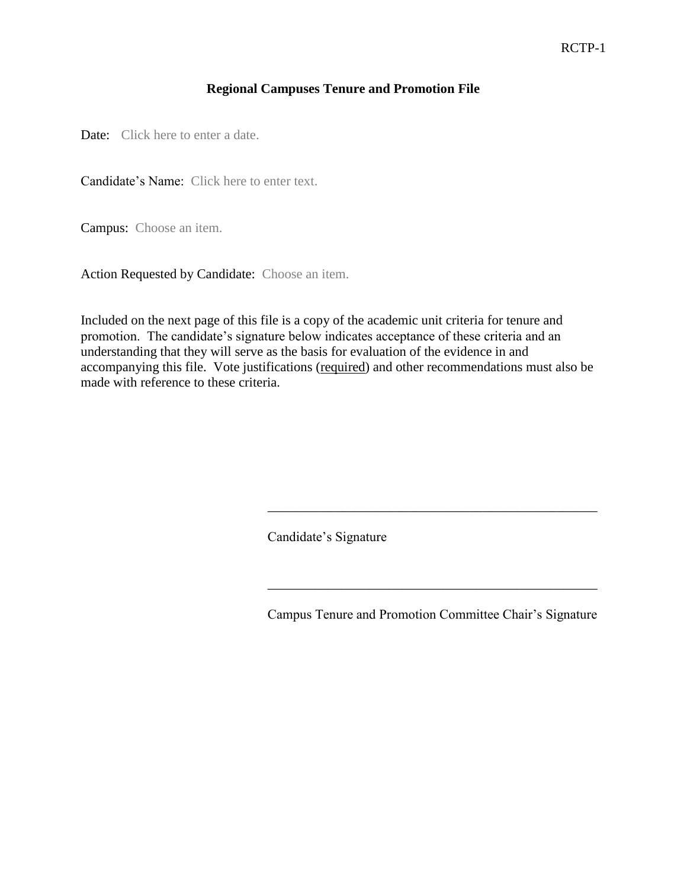#### **Regional Campuses Tenure and Promotion File**

Date: Click here to enter a date.

Candidate's Name: Click here to enter text.

Campus: Choose an item.

Action Requested by Candidate: Choose an item.

Included on the next page of this file is a copy of the academic unit criteria for tenure and promotion. The candidate's signature below indicates acceptance of these criteria and an understanding that they will serve as the basis for evaluation of the evidence in and accompanying this file. Vote justifications (required) and other recommendations must also be made with reference to these criteria.

Candidate's Signature

Campus Tenure and Promotion Committee Chair's Signature

\_\_\_\_\_\_\_\_\_\_\_\_\_\_\_\_\_\_\_\_\_\_\_\_\_\_\_\_\_\_\_\_\_\_\_\_\_\_\_\_\_\_\_\_\_\_\_\_\_

\_\_\_\_\_\_\_\_\_\_\_\_\_\_\_\_\_\_\_\_\_\_\_\_\_\_\_\_\_\_\_\_\_\_\_\_\_\_\_\_\_\_\_\_\_\_\_\_\_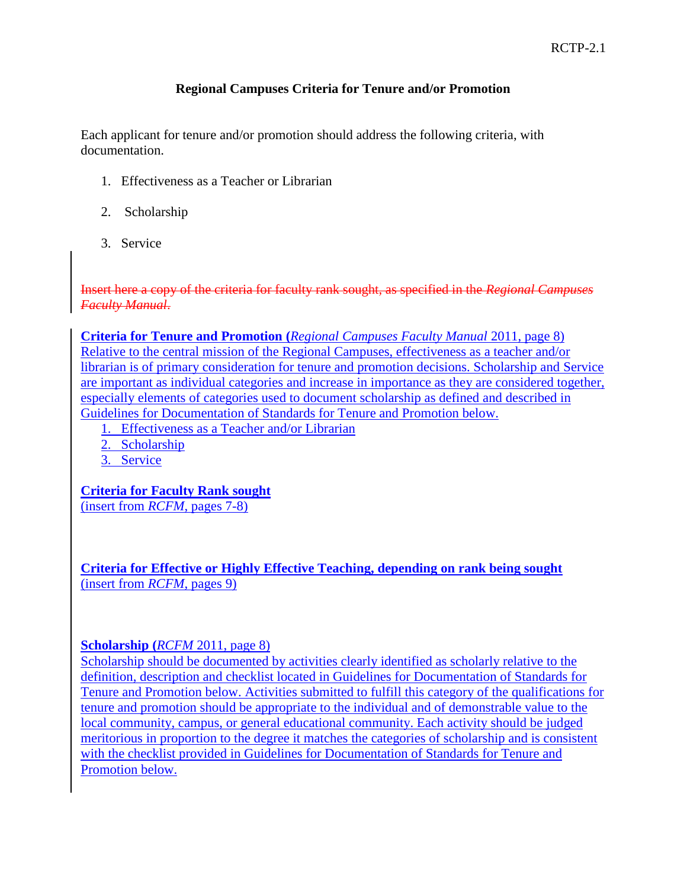#### **Regional Campuses Criteria for Tenure and/or Promotion**

Each applicant for tenure and/or promotion should address the following criteria, with documentation.

- 1. Effectiveness as a Teacher or Librarian
- 2. Scholarship
- 3. Service

Insert here a copy of the criteria for faculty rank sought, as specified in the *Regional Campuses Faculty Manual*.

**Criteria for Tenure and Promotion (***Regional Campuses Faculty Manual* 2011, page 8) Relative to the central mission of the Regional Campuses, effectiveness as a teacher and/or librarian is of primary consideration for tenure and promotion decisions. Scholarship and Service are important as individual categories and increase in importance as they are considered together, especially elements of categories used to document scholarship as defined and described in Guidelines for Documentation of Standards for Tenure and Promotion below.

- 1. Effectiveness as a Teacher and/or Librarian
- 2. Scholarship
- 3. Service

**Criteria for Faculty Rank sought**

(insert from *RCFM*, pages 7-8)

**Criteria for Effective or Highly Effective Teaching, depending on rank being sought**  (insert from *RCFM*, pages 9)

#### **Scholarship (***RCFM* 2011, page 8)

Scholarship should be documented by activities clearly identified as scholarly relative to the definition, description and checklist located in Guidelines for Documentation of Standards for Tenure and Promotion below. Activities submitted to fulfill this category of the qualifications for tenure and promotion should be appropriate to the individual and of demonstrable value to the local community, campus, or general educational community. Each activity should be judged meritorious in proportion to the degree it matches the categories of scholarship and is consistent with the checklist provided in Guidelines for Documentation of Standards for Tenure and Promotion below.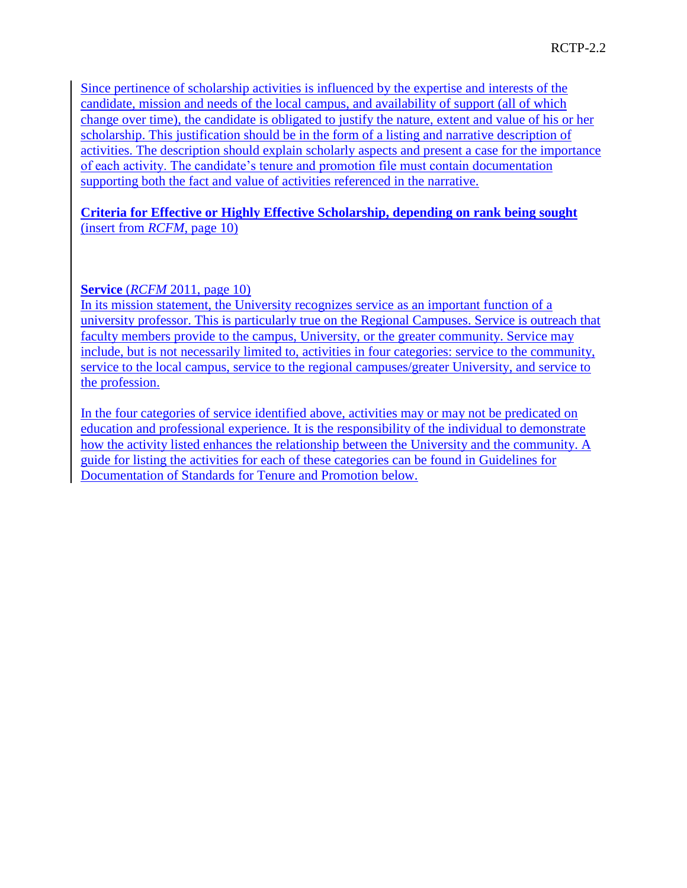Since pertinence of scholarship activities is influenced by the expertise and interests of the candidate, mission and needs of the local campus, and availability of support (all of which change over time), the candidate is obligated to justify the nature, extent and value of his or her scholarship. This justification should be in the form of a listing and narrative description of activities. The description should explain scholarly aspects and present a case for the importance of each activity. The candidate's tenure and promotion file must contain documentation supporting both the fact and value of activities referenced in the narrative.

#### **Criteria for Effective or Highly Effective Scholarship, depending on rank being sought**  (insert from *RCFM*, page 10)

#### **Service** (*RCFM* 2011, page 10)

In its mission statement, the University recognizes service as an important function of a university professor. This is particularly true on the Regional Campuses. Service is outreach that faculty members provide to the campus, University, or the greater community. Service may include, but is not necessarily limited to, activities in four categories: service to the community, service to the local campus, service to the regional campuses/greater University, and service to the profession.

In the four categories of service identified above, activities may or may not be predicated on education and professional experience. It is the responsibility of the individual to demonstrate how the activity listed enhances the relationship between the University and the community. A guide for listing the activities for each of these categories can be found in Guidelines for Documentation of Standards for Tenure and Promotion below.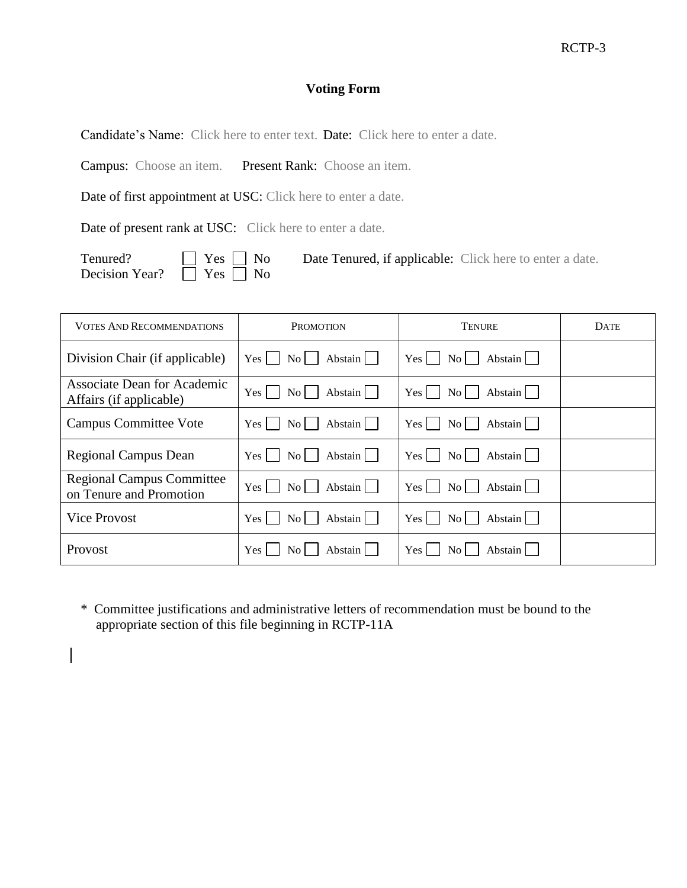### **Voting Form**

Candidate's Name: Click here to enter text. Date: Click here to enter a date.

Campus: Choose an item. Present Rank: Choose an item.

Date of first appointment at USC: Click here to enter a date.

Date of present rank at USC: Click here to enter a date.

Decision Year?  $\overline{\Box}$  Yes  $\overline{\Box}$  No

Tenured?  $\Box$  Yes  $\Box$  No Date Tenured, if applicable: Click here to enter a date.

| <b>VOTES AND RECOMMENDATIONS</b>                              | <b>PROMOTION</b>                                | TENURE                                            | <b>DATE</b> |
|---------------------------------------------------------------|-------------------------------------------------|---------------------------------------------------|-------------|
| Division Chair (if applicable)                                | Abstain<br>No <sub>1</sub><br>Yes 1             | Abstain<br>Yes  <br>$\rm{No}$                     |             |
| <b>Associate Dean for Academic</b><br>Affairs (if applicable) | Abstain<br>Yes  <br>No <sub>1</sub>             | Abstain<br>Yes  <br>No <sub>1</sub>               |             |
| <b>Campus Committee Vote</b>                                  | Abstain<br>$\rm{No}$<br>Yes                     | Abstain<br>Yes<br>$\overline{N_{O}}$              |             |
| <b>Regional Campus Dean</b>                                   | Abstain    <br>Yes l<br>$\vert$ $\vert$ $\vert$ | Abstain<br>Yes  <br>$\rm{No}$                     |             |
| <b>Regional Campus Committee</b><br>on Tenure and Promotion   | Abstain<br>Yes<br>$\overline{N_{0}}$            | Yes <sup>1</sup><br>Abstain<br>$\overline{N_{O}}$ |             |
| <b>Vice Provost</b>                                           | Abstain<br>$\rm{No}$<br>Yes                     | Abstain<br>Yes  <br>No <sub>1</sub>               |             |
| <b>Provost</b>                                                | Abstain l<br>Yes 1<br>No.                       | Yes<br>Abstain  <br>No l                          |             |

\* Committee justifications and administrative letters of recommendation must be bound to the appropriate section of this file beginning in RCTP-11A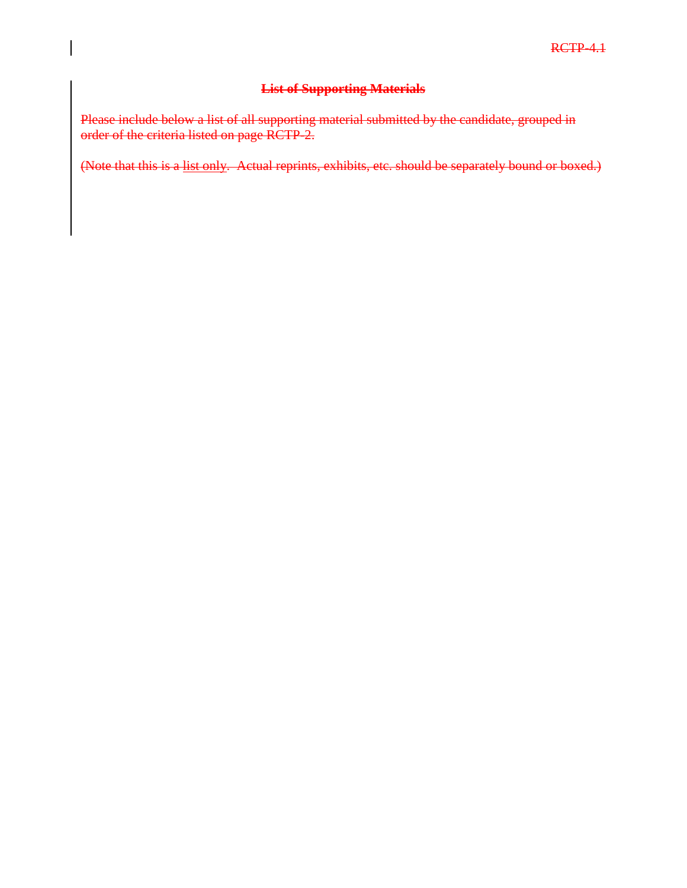#### **List of Supporting Materials**

Please include below a list of all supporting material submitted by the candidate, grouped in order of the criteria listed on page RCTP-2.

(Note that this is a list only. Actual reprints, exhibits, etc. should be separately bound or boxed.)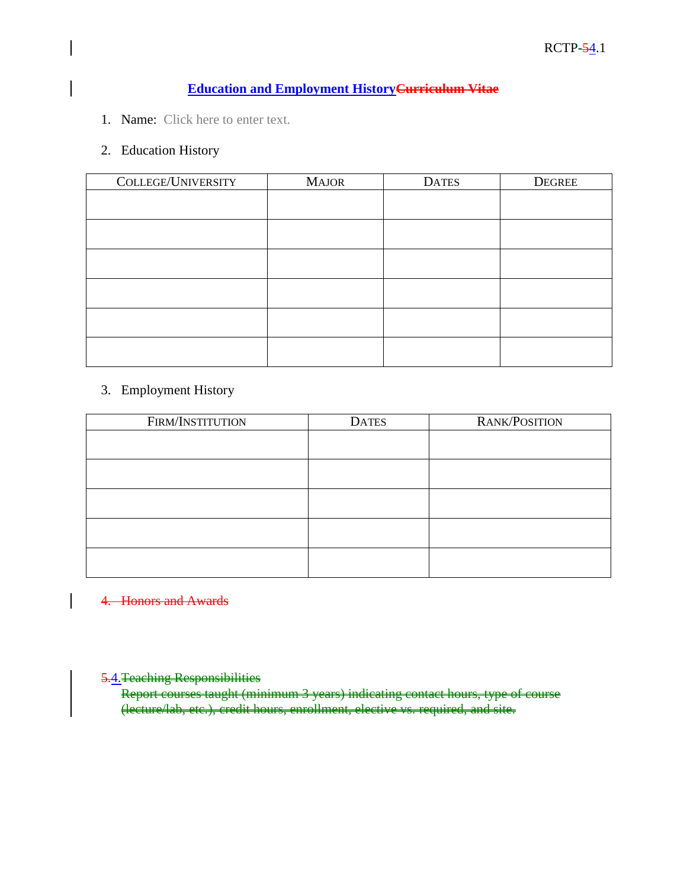### **Education and Employment HistoryCurriculum Vitae**

1. Name: Click here to enter text.

#### 2. Education History

| COLLEGE/UNIVERSITY | <b>MAJOR</b> | <b>DATES</b> | <b>DEGREE</b> |
|--------------------|--------------|--------------|---------------|
|                    |              |              |               |
|                    |              |              |               |
|                    |              |              |               |
|                    |              |              |               |
|                    |              |              |               |
|                    |              |              |               |
|                    |              |              |               |

#### 3. Employment History

| FIRM/INSTITUTION | <b>DATES</b> | RANK/POSITION |
|------------------|--------------|---------------|
|                  |              |               |
|                  |              |               |
|                  |              |               |
|                  |              |               |
|                  |              |               |

#### 4. Honors and Awards

 $\overline{\phantom{a}}$ 

### 5.4. Teaching Responsibilities

Report courses taught (minimum 3 years) indicating contact hours, type of course (lecture/lab, etc.), credit hours, enrollment, elective vs. required, and site.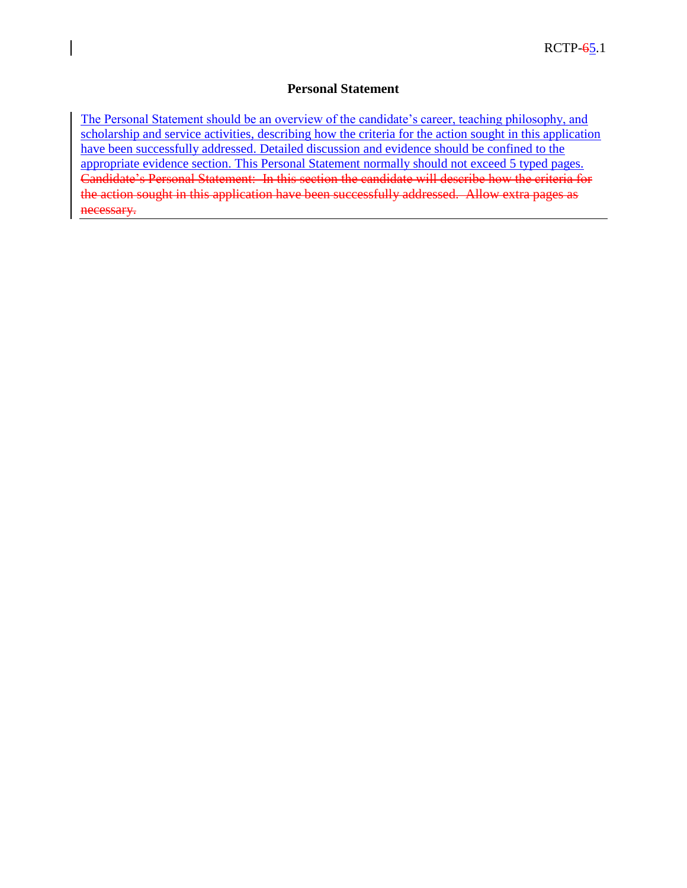#### **Personal Statement**

The Personal Statement should be an overview of the candidate's career, teaching philosophy, and scholarship and service activities, describing how the criteria for the action sought in this application have been successfully addressed. Detailed discussion and evidence should be confined to the appropriate evidence section. This Personal Statement normally should not exceed 5 typed pages. Candidate's Personal Statement: In this section the candidate will describe how the criteria for the action sought in this application have been successfully addressed. Allow extra pages as necessary.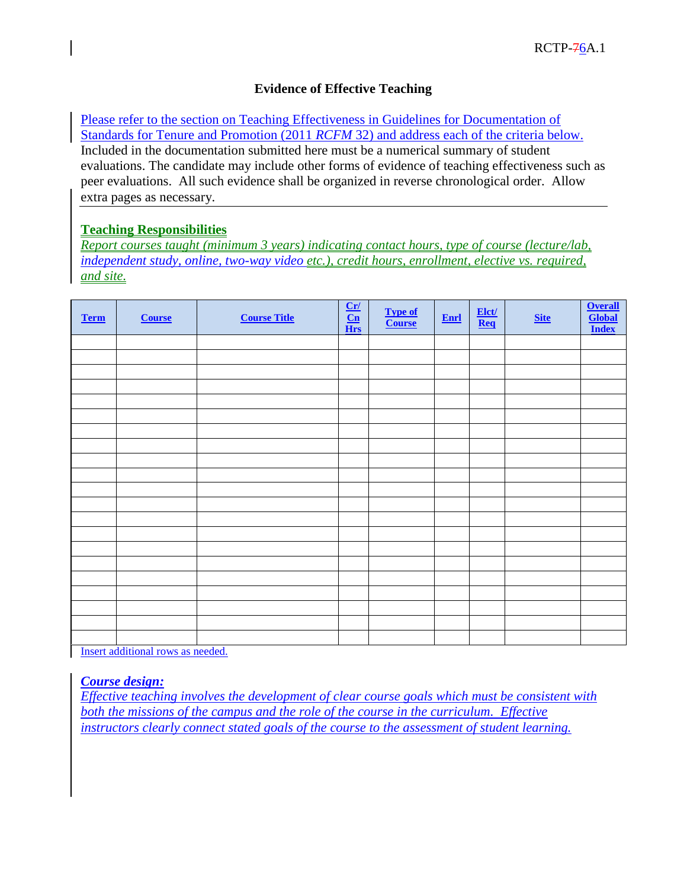#### **Evidence of Effective Teaching**

Please refer to the section on Teaching Effectiveness in Guidelines for Documentation of Standards for Tenure and Promotion (2011 *RCFM* 32) and address each of the criteria below. Included in the documentation submitted here must be a numerical summary of student evaluations. The candidate may include other forms of evidence of teaching effectiveness such as peer evaluations. All such evidence shall be organized in reverse chronological order. Allow extra pages as necessary.

#### **Teaching Responsibilities**

*Report courses taught (minimum 3 years) indicating contact hours, type of course (lecture/lab, independent study, online, two-way video etc.), credit hours, enrollment, elective vs. required, and site.*

| <b>Term</b> | <b>Course</b> | <b>Course Title</b> | $\frac{Cr}{Cn}$ Hrs | Type of<br>Course | $Enrl$ | $\frac{\text{Elet}}{\text{Req}}$ | <b>Site</b> | <b>Overall</b><br>Global<br><b>Index</b> |
|-------------|---------------|---------------------|---------------------|-------------------|--------|----------------------------------|-------------|------------------------------------------|
|             |               |                     |                     |                   |        |                                  |             |                                          |
|             |               |                     |                     |                   |        |                                  |             |                                          |
|             |               |                     |                     |                   |        |                                  |             |                                          |
|             |               |                     |                     |                   |        |                                  |             |                                          |
|             |               |                     |                     |                   |        |                                  |             |                                          |
|             |               |                     |                     |                   |        |                                  |             |                                          |
|             |               |                     |                     |                   |        |                                  |             |                                          |
|             |               |                     |                     |                   |        |                                  |             |                                          |
|             |               |                     |                     |                   |        |                                  |             |                                          |
|             |               |                     |                     |                   |        |                                  |             |                                          |
|             |               |                     |                     |                   |        |                                  |             |                                          |
|             |               |                     |                     |                   |        |                                  |             |                                          |
|             |               |                     |                     |                   |        |                                  |             |                                          |
|             |               |                     |                     |                   |        |                                  |             |                                          |
|             |               |                     |                     |                   |        |                                  |             |                                          |
|             |               |                     |                     |                   |        |                                  |             |                                          |
|             |               |                     |                     |                   |        |                                  |             |                                          |
|             |               |                     |                     |                   |        |                                  |             |                                          |
|             |               |                     |                     |                   |        |                                  |             |                                          |
|             |               |                     |                     |                   |        |                                  |             |                                          |
|             |               |                     |                     |                   |        |                                  |             |                                          |

Insert additional rows as needed.

#### *Course design:*

*Effective teaching involves the development of clear course goals which must be consistent with both the missions of the campus and the role of the course in the curriculum. Effective instructors clearly connect stated goals of the course to the assessment of student learning.*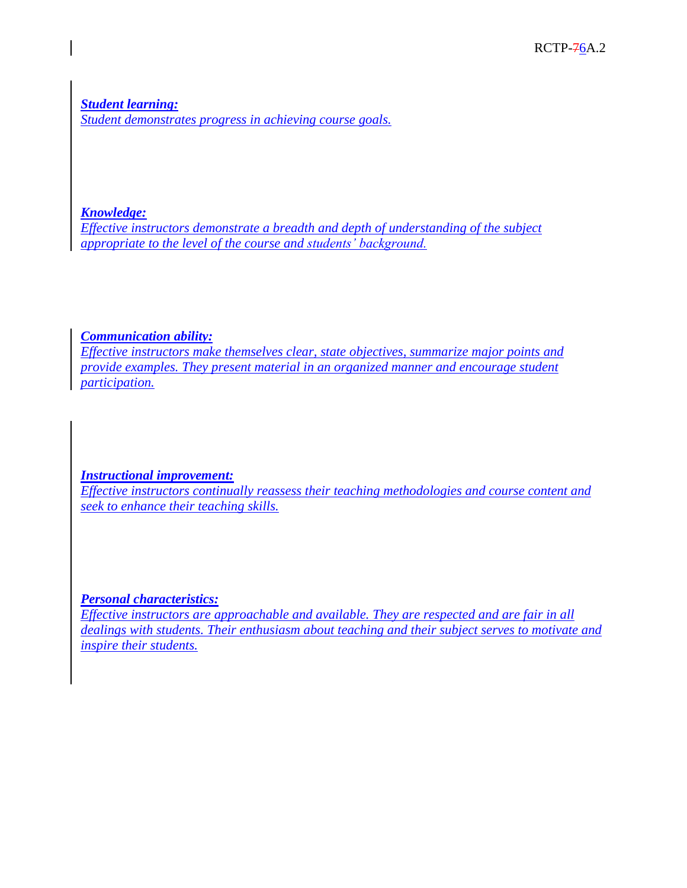*Student learning: Student demonstrates progress in achieving course goals.* 

#### *Knowledge:*

*Effective instructors demonstrate a breadth and depth of understanding of the subject appropriate to the level of the course and students' background.*

#### *Communication ability:*

*Effective instructors make themselves clear, state objectives, summarize major points and provide examples. They present material in an organized manner and encourage student participation.*

#### *Instructional improvement:*

*Effective instructors continually reassess their teaching methodologies and course content and seek to enhance their teaching skills.*

#### *Personal characteristics:*

*Effective instructors are approachable and available. They are respected and are fair in all dealings with students. Their enthusiasm about teaching and their subject serves to motivate and inspire their students.*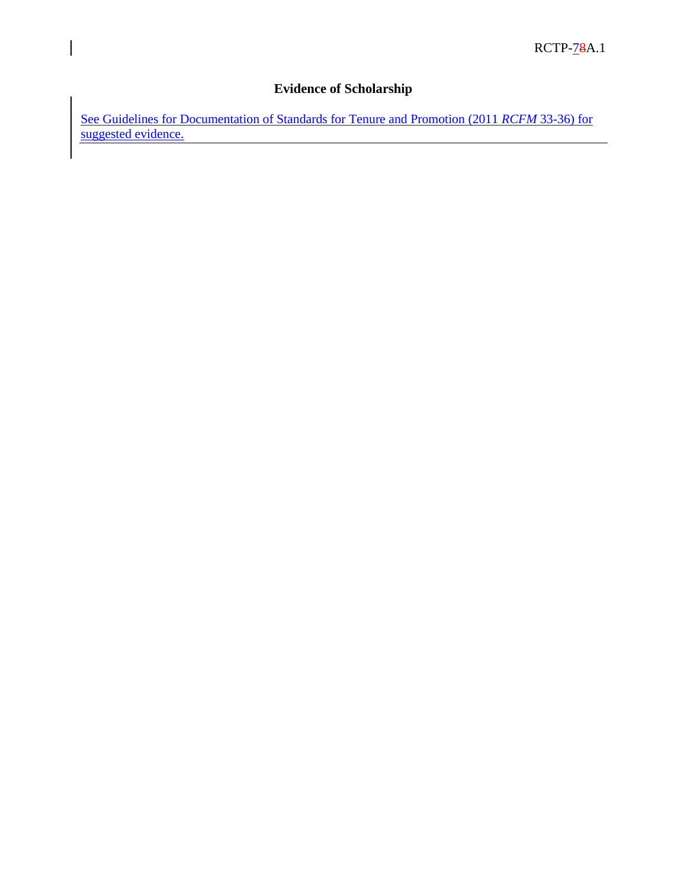# **Evidence of Scholarship**

 $\overline{\phantom{a}}$ 

See Guidelines for Documentation of Standards for Tenure and Promotion (2011 *RCFM* 33-36) for suggested evidence.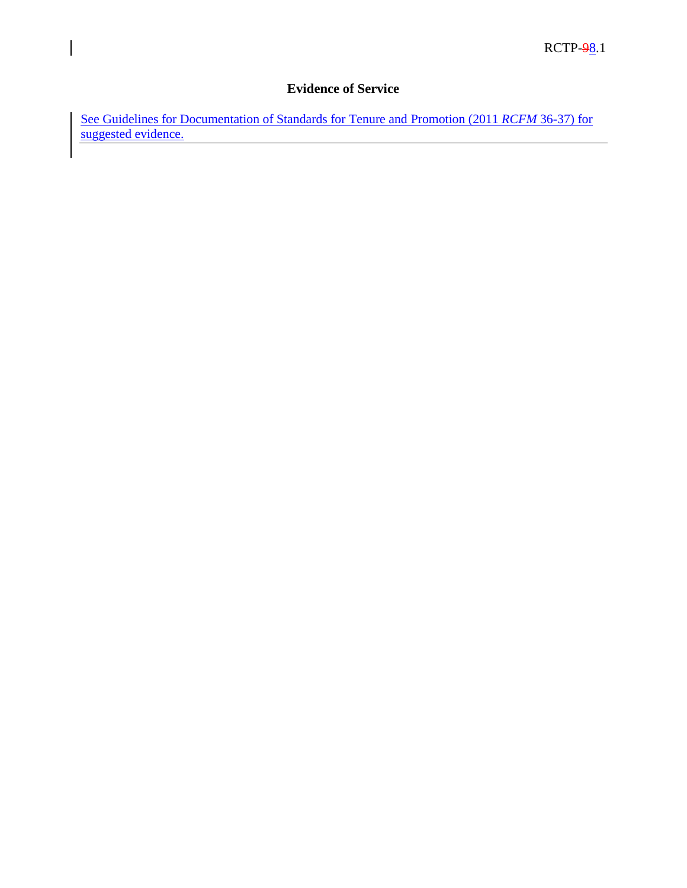### **Evidence of Service**

 $\overline{\phantom{a}}$ 

See Guidelines for Documentation of Standards for Tenure and Promotion (2011 *RCFM* 36-37) for suggested evidence.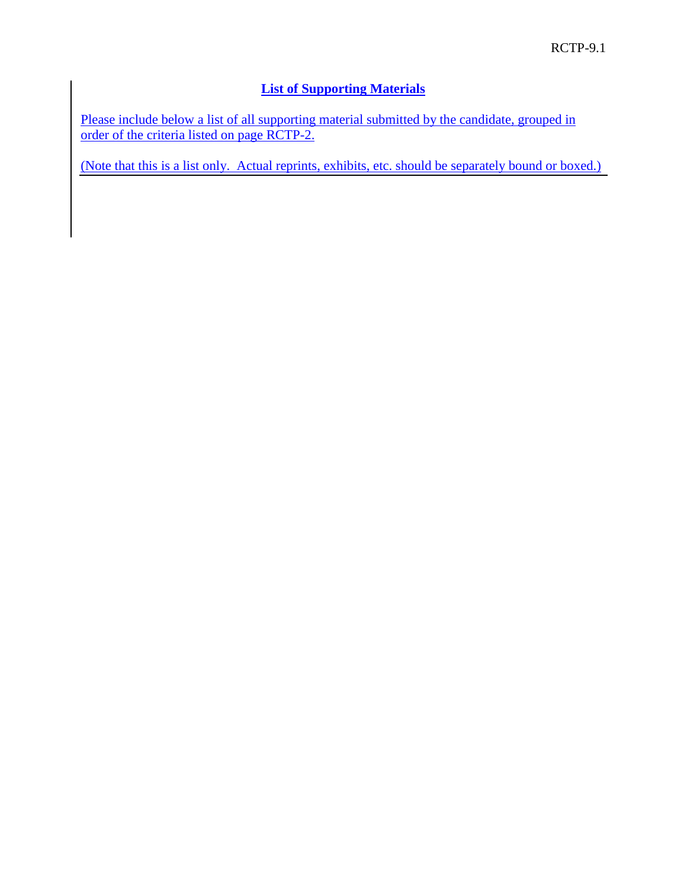### **List of Supporting Materials**

Please include below a list of all supporting material submitted by the candidate, grouped in order of the criteria listed on page RCTP-2.

(Note that this is a list only. Actual reprints, exhibits, etc. should be separately bound or boxed.)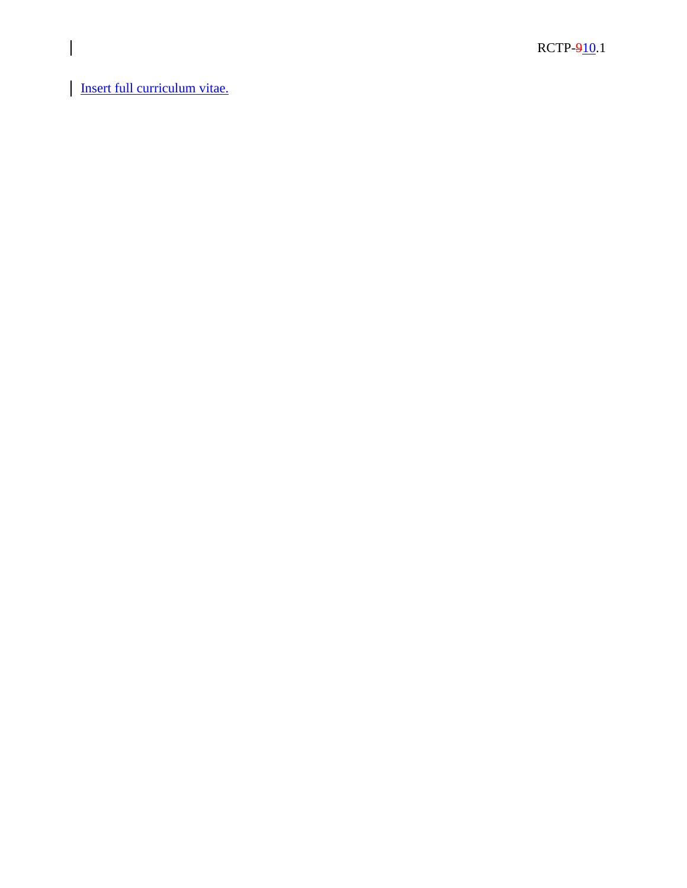Insert full curriculum vitae.

 $\overline{\phantom{a}}$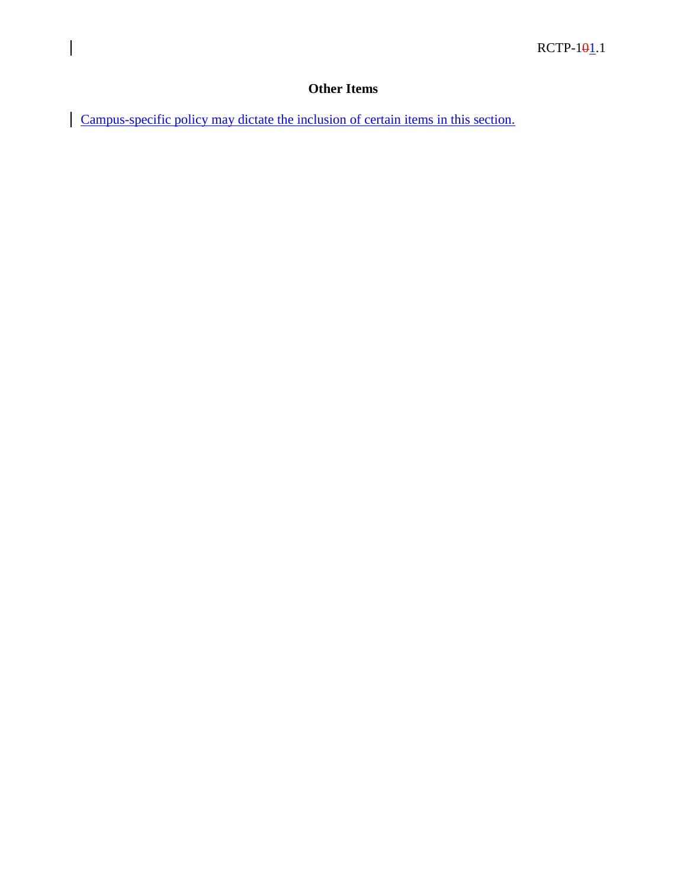# **Other Items**

Campus-specific policy may dictate the inclusion of certain items in this section.

 $\overline{\phantom{a}}$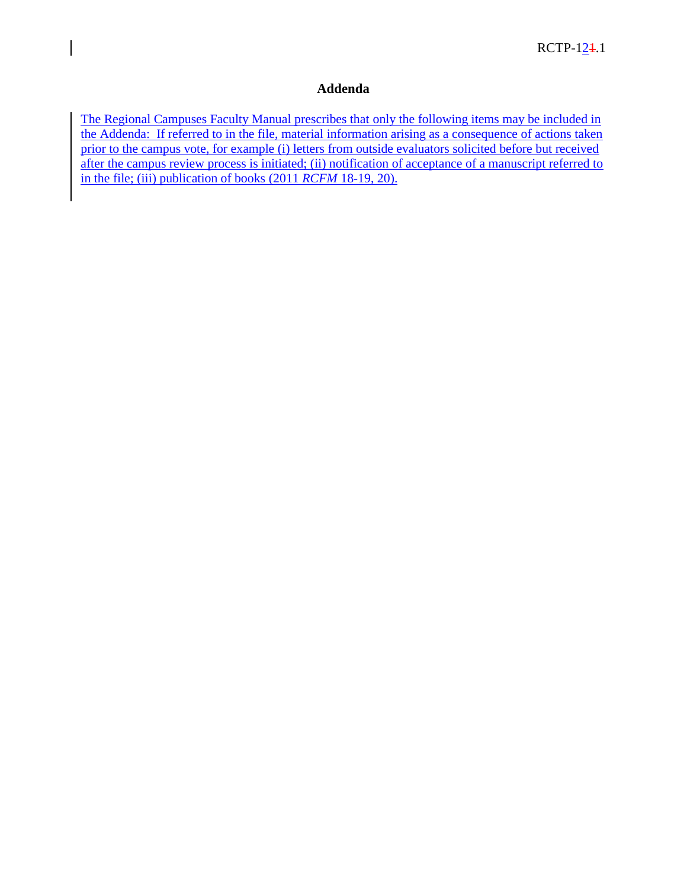#### **Addenda**

The Regional Campuses Faculty Manual prescribes that only the following items may be included in the Addenda: If referred to in the file, material information arising as a consequence of actions taken prior to the campus vote, for example (i) letters from outside evaluators solicited before but received after the campus review process is initiated; (ii) notification of acceptance of a manuscript referred to in the file; (iii) publication of books (2011 *RCFM* 18-19, 20).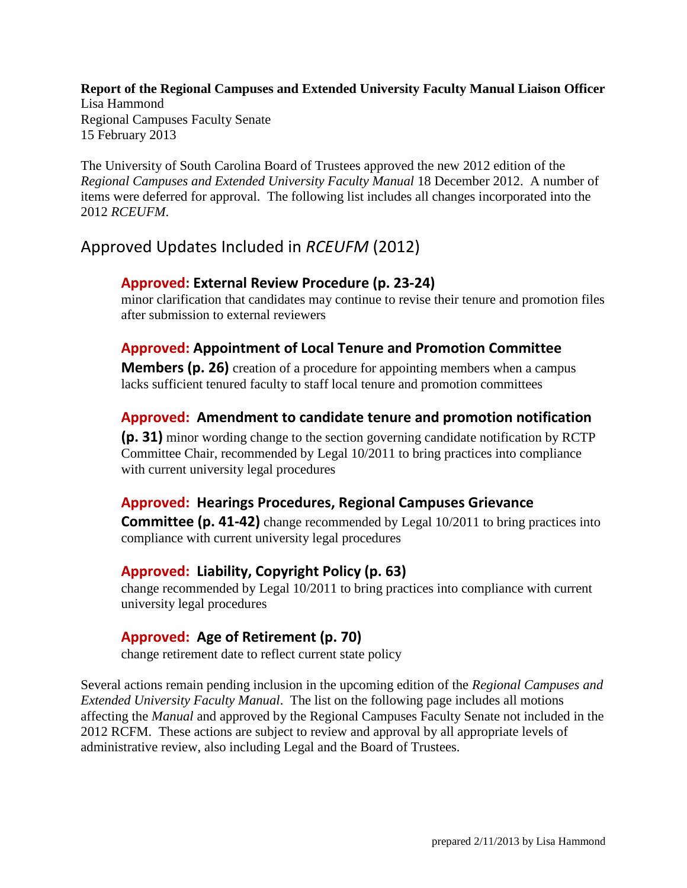**Report of the Regional Campuses and Extended University Faculty Manual Liaison Officer** Lisa Hammond Regional Campuses Faculty Senate 15 February 2013

The University of South Carolina Board of Trustees approved the new 2012 edition of the *Regional Campuses and Extended University Faculty Manual* 18 December 2012. A number of items were deferred for approval. The following list includes all changes incorporated into the 2012 *RCEUFM*.

# Approved Updates Included in *RCEUFM* (2012)

### **Approved: External Review Procedure (p. 23-24)**

minor clarification that candidates may continue to revise their tenure and promotion files after submission to external reviewers

### **Approved: Appointment of Local Tenure and Promotion Committee**

**Members (p. 26)** creation of a procedure for appointing members when a campus lacks sufficient tenured faculty to staff local tenure and promotion committees

### **Approved: Amendment to candidate tenure and promotion notification**

**(p. 31)** minor wording change to the section governing candidate notification by RCTP Committee Chair, recommended by Legal 10/2011 to bring practices into compliance with current university legal procedures

### **Approved: Hearings Procedures, Regional Campuses Grievance**

**Committee (p. 41-42)** change recommended by Legal 10/2011 to bring practices into compliance with current university legal procedures

### **Approved: Liability, Copyright Policy (p. 63)**

change recommended by Legal 10/2011 to bring practices into compliance with current university legal procedures

### **Approved: Age of Retirement (p. 70)**

change retirement date to reflect current state policy

Several actions remain pending inclusion in the upcoming edition of the *Regional Campuses and Extended University Faculty Manual*. The list on the following page includes all motions affecting the *Manual* and approved by the Regional Campuses Faculty Senate not included in the 2012 RCFM. These actions are subject to review and approval by all appropriate levels of administrative review, also including Legal and the Board of Trustees.